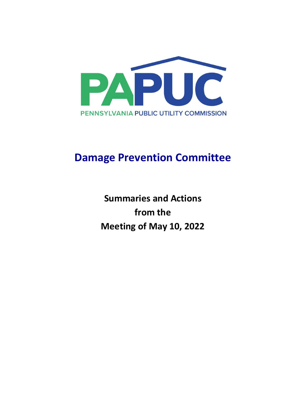

# **Damage Prevention Committee**

**Summaries and Actions from the Meeting of May 10, 2022**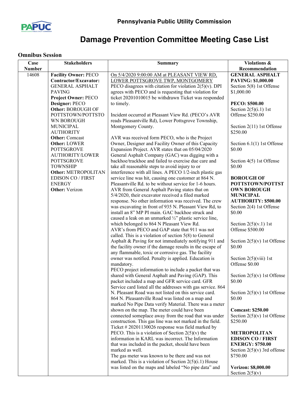

## **Damage Prevention Committee Meeting Case List**

#### **Omnibus Session**

| Case          | <b>Stakeholders</b>                    | <b>Summary</b>                                                                                                 | Violations &                          |
|---------------|----------------------------------------|----------------------------------------------------------------------------------------------------------------|---------------------------------------|
| <b>Number</b> |                                        |                                                                                                                | Recommendation                        |
| 14608         | <b>Facility Owner: PECO</b>            | On 5/4/2020 9:00:00 AM at PLEASANT VIEW RD,                                                                    | <b>GENERAL ASPHALT</b>                |
|               | <b>Contractor/Excavator:</b>           | LOWER POTTSGROVE TWP, MONTGOMERY                                                                               | <b>PAVING: \$1,000.00</b>             |
|               | <b>GENERAL ASPHALT</b>                 | PECO disagrees with citation for violation $2(5)(v)$ . DPI                                                     | Section 5(8) 1st Offense              |
|               | <b>PAVING</b>                          | agrees with PECO and is requesting that violation for                                                          | \$1,000.00                            |
|               | <b>Project Owner: PECO</b>             | ticket 20201010015 be withdrawn Ticket was responded                                                           |                                       |
|               | Designer: PECO                         | to timely.                                                                                                     | <b>PECO: \$500.00</b>                 |
|               | Other: BOROUGH OF                      |                                                                                                                | Section $2(5)(i.1)$ 1st               |
|               | POTTSTOWN/POTTSTO                      | Incident occurred at Pleasant View Rd. (PECO's AVR                                                             | Offense \$250.00                      |
|               | WN BOROUGH                             | reads Pleasantville Rd), Lower Pottsgrove Township,                                                            |                                       |
|               | <b>MUNICIPAL</b><br><b>AUTHORITY</b>   | Montgomery County.                                                                                             | Section 2(11) 1st Offense<br>\$250.00 |
|               | <b>Other:</b> Comcast                  | AVR was received form PECO, who is the Project                                                                 |                                       |
|               | <b>Other: LOWER</b>                    | Owner, Designer and Facility Owner of this Capacity                                                            | Section $6.1(1)$ 1st Offense          |
|               | <b>POTTSGROVE</b>                      | Expansion Project. AVR states that on 05/04/2020                                                               | \$0.00                                |
|               | AUTHORITY/LOWER                        | General Asphalt Company (GAC) was digging with a                                                               |                                       |
|               | <b>POTTSGROVE</b>                      | backhoe/trackhoe and failed to exercise due care and                                                           | Section 4(5) 1st Offense              |
|               | <b>TOWNSHIP</b><br>Other: METROPOLITAN | take all reasonable steps to avoid injury to or                                                                | \$0.00                                |
|               | <b>EDISON CO / FIRST</b>               | interference with all lines. A PECO 1/2-inch plastic gas                                                       | <b>BOROUGH OF</b>                     |
|               | <b>ENERGY</b>                          | service line was hit, causing one customer at 864 N.<br>Pleasantville Rd. to be without service for 1-6 hours. | POTTSTOWN/POTTST                      |
|               | <b>Other:</b> Verizon                  | AVR from General Asphalt Paving states that on                                                                 | <b>OWN BOROUGH</b>                    |
|               |                                        | 5/4/2020, their excavator received a filed marked                                                              | <b>MUNICIPAL</b>                      |
|               |                                        | response. No other information was received. The crew                                                          | <b>AUTHORITY: \$500.00</b>            |
|               |                                        | was excavating in front of 935 N. Pleasant View Rd, to                                                         | Section $2(4)$ 1st Offense            |
|               |                                        | install an 8" MP PI main. GAC backhoe struck and                                                               | \$0.00                                |
|               |                                        | caused a leak on an unmarked 1/2" plastic service line,                                                        |                                       |
|               |                                        | which belonged to 864 N Pleasant View Rd.                                                                      | Section $2(5)(v.1)$ 1st               |
|               |                                        | AVR's from PECO and GAP state that 911 was not                                                                 | Offense \$500.00                      |
|               |                                        | called. This is a violation of section $5(8)$ to General                                                       |                                       |
|               |                                        | Asphalt & Paving for not immediately notifying 911 and                                                         | Section $2(5)(v)$ 1st Offense         |
|               |                                        | the facility owner if the damage results in the escape of                                                      | \$0.00                                |
|               |                                        | any flammable, toxic or corrosive gas. The facility                                                            |                                       |
|               |                                        | owner was notified. Penalty is applied. Education is                                                           | Section $2(5)(viii)$ 1st              |
|               |                                        | mandatory.                                                                                                     | Offense \$0.00                        |
|               |                                        | PECO project information to include a packet that was                                                          |                                       |
|               |                                        | shared with General Asphalt and Paving (GAP). This                                                             | Section $2(5)(v)$ 1st Offense         |
|               |                                        | packet included a map and GFR service card. GFR                                                                | \$0.00                                |
|               |                                        | Service card listed all the addresses with gas service. 864                                                    |                                       |
|               |                                        | N. Pleasant Road was not listed on this service card.                                                          | Section $2(5)(v)$ 1st Offense         |
|               |                                        | 864 N. Pleasantville Road was listed on a map and                                                              | \$0.00                                |
|               |                                        | marked No Pipe Data verify Material. There was a meter                                                         |                                       |
|               |                                        | shown on the map. The meter could have been                                                                    | <b>Comcast: \$250.00</b>              |
|               |                                        | connected someplace away from the road that was under                                                          | Section $2(5)(v)$ 1st Offense         |
|               |                                        | construction. This gas line was not marked in the field.                                                       | \$250.00                              |
|               |                                        | Ticket #20201130026 response was field marked by                                                               |                                       |
|               |                                        | PECO. This is a violation of Section $2(5)(v)$ the                                                             | METROPOLITAN                          |
|               |                                        | information in KARL was incorrect. The Information                                                             | <b>EDISON CO / FIRST</b>              |
|               |                                        | that was included in the packet, should have been                                                              | <b>ENERGY: \$750.00</b>               |
|               |                                        | marked as well.                                                                                                | Section $2(5)(v)$ 3rd offense         |
|               |                                        | The gas meter was known to be there and was not                                                                | \$750.00                              |
|               |                                        | marked. This is a violation of Section $2(5)(i.1)$ House                                                       |                                       |
|               |                                        | was listed on the maps and labeled "No pipe data" and                                                          | <b>Verizon: \$8,000.00</b>            |
|               |                                        |                                                                                                                | Section $2(5)(v)$                     |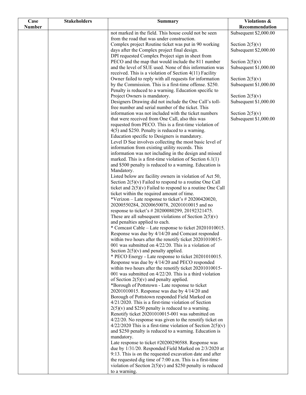| Case          | <b>Stakeholders</b> | <b>Summary</b>                                                                                               | Violations &          |
|---------------|---------------------|--------------------------------------------------------------------------------------------------------------|-----------------------|
| <b>Number</b> |                     |                                                                                                              | Recommendation        |
|               |                     | not marked in the field. This house could not be seen                                                        | Subsequent \$2,000.00 |
|               |                     | from the road that was under construction.                                                                   |                       |
|               |                     | Complex project Routine ticket was put in 90 working                                                         | Section $2(5)(v)$     |
|               |                     | days after the Complex project final design.                                                                 | Subsequent \$2,000.00 |
|               |                     | DPI requested Complex Project sign in sheet from                                                             |                       |
|               |                     | PECO and the map that would include the 811 number                                                           | Section $2(5)(v)$     |
|               |                     | and the level of SUE used. None of this information was                                                      | Subsequent \$1,000.00 |
|               |                     | received. This is a violation of Section 4(11) Facility                                                      |                       |
|               |                     | Owner failed to reply with all requests for information                                                      | Section $2(5)(v)$     |
|               |                     | by the Commission. This is a first-time offense. \$250.                                                      | Subsequent \$1,000.00 |
|               |                     | Penalty is reduced to a warning. Education specific to<br>Project Owners is mandatory.                       | Section $2(5)(v)$     |
|               |                     | Designers Drawing did not include the One Call's toll-                                                       | Subsequent \$1,000.00 |
|               |                     | free number and serial number of the ticket. This                                                            |                       |
|               |                     | information was not included with the ticket numbers                                                         | Section $2(5)(v)$     |
|               |                     | that were received from One Call, also this was                                                              | Subsequent \$1,000.00 |
|               |                     | requested from PECO. This is a first-time violation of                                                       |                       |
|               |                     | $4(5)$ and \$250. Penalty is reduced to a warning.                                                           |                       |
|               |                     | Education specific to Designers is mandatory.                                                                |                       |
|               |                     | Level D Sue involves collecting the most basic level of                                                      |                       |
|               |                     | information from existing utility records. This                                                              |                       |
|               |                     | information was not including in the design and missed                                                       |                       |
|               |                     | marked. This is a first-time violation of Section $6.1(1)$                                                   |                       |
|               |                     | and \$500 penalty is reduced to a warning. Education is                                                      |                       |
|               |                     | Mandatory.                                                                                                   |                       |
|               |                     | Listed below are facility owners in violation of Act 50,                                                     |                       |
|               |                     | Section $2(5)(v)$ Failed to respond to a routine One Call                                                    |                       |
|               |                     | ticket and $2(5)(v)$ Failed to respond to a routine One Call                                                 |                       |
|               |                     | ticket within the required amount of time.                                                                   |                       |
|               |                     | *Verizon – Late response to ticket's # 20200420020,                                                          |                       |
|               |                     | 20200550284, 20200650078, 20201010015 and no                                                                 |                       |
|               |                     | response to ticket's #20200080299, 20192321475.                                                              |                       |
|               |                     | These are all subsequent violations of Section $2(5)(v)$                                                     |                       |
|               |                     | and penalties applied to each.<br>* Comcast Cable – Late response to ticket 20201010015.                     |                       |
|               |                     | Response was due by 4/14/20 and Comcast responded                                                            |                       |
|               |                     | within two hours after the renotify ticket 20201010015-                                                      |                       |
|               |                     | 001 was submitted on $4/22/20$ . This is a violation of                                                      |                       |
|               |                     | Section $2(5)(v)$ and penalty applied.                                                                       |                       |
|               |                     | * PECO Energy - Late response to ticket 20201010015.                                                         |                       |
|               |                     | Response was due by 4/14/20 and PECO responded                                                               |                       |
|               |                     | within two hours after the renotify ticket 20201010015-                                                      |                       |
|               |                     | 001 was submitted on $4/22/20$ . This is a third violation                                                   |                       |
|               |                     | of Section $2(5)(v)$ and penalty applied.                                                                    |                       |
|               |                     | *Borough of Pottstown - Late response to ticket                                                              |                       |
|               |                     | 20201010015. Response was due by 4/14/20 and                                                                 |                       |
|               |                     | Borough of Pottstown responded Field Marked on                                                               |                       |
|               |                     | $4/21/2020$ . This is a first-time violation of Section                                                      |                       |
|               |                     | $2(5)(v)$ and \$250 penalty is reduced to a warning.                                                         |                       |
|               |                     | Renotify ticket 20201010015-001 was submitted on<br>4/22/20. No response was given to the renotify ticket on |                       |
|               |                     | $4/22/2020$ This is a first-time violation of Section 2(5)(v)                                                |                       |
|               |                     | and \$250 penalty is reduced to a warning. Education is                                                      |                       |
|               |                     | mandatory.                                                                                                   |                       |
|               |                     | Late response to ticket #20200290588. Response was                                                           |                       |
|               |                     | due by 1/31/20. Responded Field Marked on 2/3/2020 at                                                        |                       |
|               |                     | 9:13. This is on the requested excavation date and after                                                     |                       |
|               |                     | the requested dig time of 7:00 a.m. This is a first-time                                                     |                       |
|               |                     | violation of Section $2(5)(v)$ and \$250 penalty is reduced                                                  |                       |
|               |                     | to a warning.                                                                                                |                       |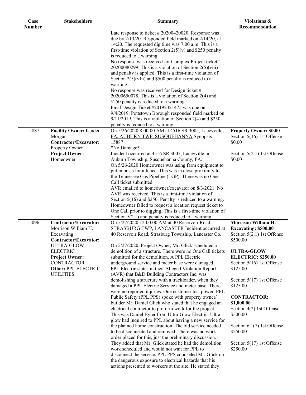| Case          | <b>Stakeholders</b>                 | <b>Summary</b>                                                                                                       | Violations &                             |
|---------------|-------------------------------------|----------------------------------------------------------------------------------------------------------------------|------------------------------------------|
| <b>Number</b> |                                     |                                                                                                                      | Recommendation                           |
|               |                                     | Late response to ticket $#20200420020$ . Response was                                                                |                                          |
|               |                                     | due by 2/13/20. Responded field marked on 2/14/20, at                                                                |                                          |
|               |                                     | 14:20. The requested dig time was 7:00 a.m. This is a                                                                |                                          |
|               |                                     | first-time violation of Section $2(5)(v)$ and \$250 penalty<br>is reduced to a warning.                              |                                          |
|               |                                     | No response was received for Complex Project ticket#                                                                 |                                          |
|               |                                     | $20200080299$ . This is a violation of Section $2(5)(viii)$                                                          |                                          |
|               |                                     | and penalty is applied. This is a first-time violation of                                                            |                                          |
|               |                                     | Section $2(5)(vIii)$ and \$500 penalty is reduced to a                                                               |                                          |
|               |                                     | warning.                                                                                                             |                                          |
|               |                                     | No response was received for Design ticket #                                                                         |                                          |
|               |                                     | $20200650078$ . This is a violation of Section 2(4) and                                                              |                                          |
|               |                                     | \$250 penalty is reduced to a warning.                                                                               |                                          |
|               |                                     | Final Design Ticket #20192321475 was due on                                                                          |                                          |
|               |                                     | 9/4/2019. Pottstown Borough responded field marked on<br>$9/11/2019$ . This is a violation of Section 2(4) and \$250 |                                          |
|               |                                     | penalty is reduced to a warning.                                                                                     |                                          |
| 15887         | Facility Owner: Kinder              | On 5/26/2020 8:00:00 AM at 4516 SR 3005, Laceyville,                                                                 | <b>Property Owner: \$0.00</b>            |
|               | Morgan                              | PA, AUBURN TWP, SUSQUEHANNA Synopsis                                                                                 | Section 5(16) 1st Offense                |
|               | Contractor/Excavator:               | 15887                                                                                                                | \$0.00                                   |
|               | Property Owner                      | *No Damage*                                                                                                          |                                          |
|               | <b>Project Owner:</b>               | Incident occurred at 4516 SR 3005, Laceyville, in                                                                    | Section $5(2.1)$ 1st Offense             |
|               | Homeowner                           | Auburn Township, Susquehanna County, PA.                                                                             | \$0.00                                   |
|               |                                     | On 5/26/2020 Homeowner was using farm equipment to                                                                   |                                          |
|               |                                     | put in posts for a fence. This was in close proximity to                                                             |                                          |
|               |                                     | the Tennessee Gas Pipeline (TGP). There was no One<br>Call ticket submitted.                                         |                                          |
|               |                                     | AVR emailed to homeowner/excavator on 8/3/2021. No                                                                   |                                          |
|               |                                     | AVR was received. This is a first-time violation of                                                                  |                                          |
|               |                                     | Section $5(16)$ and \$250. Penalty is reduced to a warning.                                                          |                                          |
|               |                                     | Homeowner failed to request a location request ticket to                                                             |                                          |
|               |                                     | One Call prior to digging. This is a first-time violation of                                                         |                                          |
|               |                                     | Section $5(2.1)$ and penalty is reduced to a warning.                                                                |                                          |
| 15096         | <b>Contractor/Excavator:</b>        | On 5/27/2020 12:00:00 AM at 40 Reservoir Road,                                                                       | Morrison William H.                      |
|               | Morrison William H.                 | STRASBURG TWP, LANCASTER Incident occurred at<br>40 Reservoir Road, Strasburg Township, Lancaster Co.                | <b>Excavating: \$500.00</b>              |
|               | Excavating<br>Contractor/Excavator: |                                                                                                                      | Section $5(2.1)$ 1st Offense<br>\$500.00 |
|               | <b>ULTRA-GLOW</b>                   | On 5/27/2020, Project Owner; Mr. Glick scheduled a                                                                   |                                          |
|               | <b>ELECTRIC</b>                     | demolition of a structure. There were no One Call tickets                                                            | <b>ULTRA-GLOW</b>                        |
|               | <b>Project Owner:</b>               | submitted for the demolition. A PPL Electric                                                                         | <b>ELECTRIC: \$250.00</b>                |
|               | <b>CONTRACTOR</b>                   | underground service and meter base were damaged.                                                                     | Section 5(16) 1st Offense                |
|               | <b>Other: PPL ELECTRIC</b>          | PPL Electric states in their Alleged Violation Report                                                                | \$125.00                                 |
|               | <b>UTILITIES</b>                    | (AVR) that B&D Building Contractors Inc, was                                                                         |                                          |
|               |                                     | demolishing a structure with a trackloader, when they                                                                | Section $5(17)$ 1st Offense              |
|               |                                     | damaged a PPL Electric Service and meter base. There<br>were no reported injuries. One customer lost power. PPL      | \$125.00                                 |
|               |                                     | Public Safety (PPL PPS) spoke with property owner/                                                                   | <b>CONTRACTOR:</b>                       |
|               |                                     | builder Mr. Daniel Glick who stated that he engaged an                                                               | \$1,000.00                               |
|               |                                     | electrical contractor to preform work for the project.                                                               | Section 4(2) 1st Offense                 |
|               |                                     | This was Daniel Byler from Ultra-Glow Electric. Ultra-                                                               | \$500.00                                 |
|               |                                     | glow had inquired to PPL about having a new service for                                                              |                                          |
|               |                                     | the planned home construction. The old service needed                                                                | Section $6.1(7)$ 1st Offense             |
|               |                                     | to be disconnected and removed. There was no work                                                                    | \$250.00                                 |
|               |                                     | order placed for this, just the preliminary discussion.                                                              |                                          |
|               |                                     | They added that Mr. Glick stated he had the demolition<br>work scheduled and would not wait for PPL to               | Section $5(17)$ 1st Offense<br>\$250.00  |
|               |                                     | disconnect the service. PPL PPS counseled Mr. Glick on                                                               |                                          |
|               |                                     | the dangerous exposure to electrical hazards that his                                                                |                                          |
|               |                                     | actions presented to workers at the site. He stated they                                                             |                                          |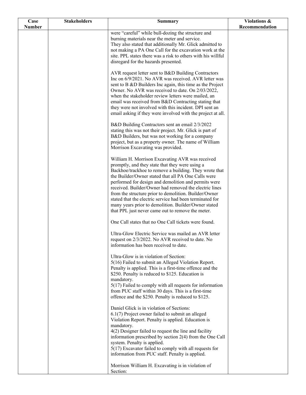| Case          | <b>Stakeholders</b> | <b>Summary</b>                                                                                                 | Violations &   |
|---------------|---------------------|----------------------------------------------------------------------------------------------------------------|----------------|
| <b>Number</b> |                     | were "careful" while bull-dozing the structure and                                                             | Recommendation |
|               |                     | burning materials near the meter and service.                                                                  |                |
|               |                     | They also stated that additionally Mr. Glick admitted to                                                       |                |
|               |                     | not making a PA One Call for the excavation work at the                                                        |                |
|               |                     | site. PPL states there was a risk to others with his willful                                                   |                |
|               |                     | disregard for the hazards presented.                                                                           |                |
|               |                     | AVR request letter sent to B&D Building Contractors                                                            |                |
|               |                     | Inc on 6/9/2021. No AVR was received. AVR letter was                                                           |                |
|               |                     | sent to B &D Builders Inc again, this time as the Project                                                      |                |
|               |                     | Owner. No AVR was received to date. On 2/03/2022,<br>when the stakeholder review letters were mailed, an       |                |
|               |                     | email was received from B&D Contracting stating that                                                           |                |
|               |                     | they were not involved with this incident. DPI sent an                                                         |                |
|               |                     | email asking if they were involved with the project at all.                                                    |                |
|               |                     |                                                                                                                |                |
|               |                     | B&D Building Contractors sent an email 2/3/2022<br>stating this was not their project. Mr. Glick is part of    |                |
|               |                     | B&D Builders, but was not working for a company                                                                |                |
|               |                     | project, but as a property owner. The name of William                                                          |                |
|               |                     | Morrison Excavating was provided.                                                                              |                |
|               |                     | William H. Morrison Excavating AVR was received                                                                |                |
|               |                     | promptly, and they state that they were using a                                                                |                |
|               |                     | Backhoe/trackhoe to remove a building. They wrote that                                                         |                |
|               |                     | the Builder/Owner stated that all PA One Calls were                                                            |                |
|               |                     | performed for design and demolition and permits were<br>received. Builder/Owner had removed the electric lines |                |
|               |                     | from the structure prior to demolition. Builder/Owner                                                          |                |
|               |                     | stated that the electric service had been terminated for                                                       |                |
|               |                     | many years prior to demolition. Builder/Owner stated                                                           |                |
|               |                     | that PPL just never came out to remove the meter.                                                              |                |
|               |                     | One Call states that no One Call tickets were found.                                                           |                |
|               |                     | Ultra-Glow Electric Service was mailed an AVR letter                                                           |                |
|               |                     | request on 2/3/2022. No AVR received to date. No                                                               |                |
|               |                     | information has been received to date.                                                                         |                |
|               |                     | Ultra-Glow is in violation of Section:                                                                         |                |
|               |                     | 5(16) Failed to submit an Alleged Violation Report.                                                            |                |
|               |                     | Penalty is applied. This is a first-time offence and the                                                       |                |
|               |                     | \$250. Penalty is reduced to \$125. Education is<br>mandatory.                                                 |                |
|               |                     | $5(17)$ Failed to comply with all requests for information                                                     |                |
|               |                     | from PUC staff within 30 days. This is a first-time                                                            |                |
|               |                     | offence and the \$250. Penalty is reduced to \$125.                                                            |                |
|               |                     | Daniel Glick is in violation of Sections:                                                                      |                |
|               |                     | $6.1(7)$ Project owner failed to submit an alleged                                                             |                |
|               |                     | Violation Report. Penalty is applied. Education is                                                             |                |
|               |                     | mandatory.<br>4(2) Designer failed to request the line and facility                                            |                |
|               |                     | information prescribed by section 2(4) from the One Call                                                       |                |
|               |                     | system. Penalty is applied.                                                                                    |                |
|               |                     | 5(17) Excavator failed to comply with all requests for                                                         |                |
|               |                     | information from PUC staff. Penalty is applied.                                                                |                |
|               |                     | Morrison William H. Excavating is in violation of                                                              |                |
|               |                     | Section:                                                                                                       |                |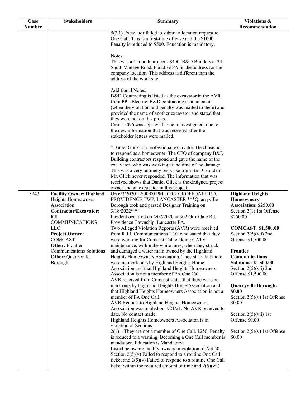| Case          | <b>Stakeholders</b>                                                                                                                                                                                                                                                                  | <b>Summary</b>                                                                                                                                                                                                                                                                                                                                                                                                                                                                                                                                                                                                                                                                                                                                                                                                                                                                                                                                                                                                                                                                                                                                                                                                                                                                                                                                                               | Violations &                                                                                                                                                                                                                                                                                                                                                                                                                                                                                                                 |
|---------------|--------------------------------------------------------------------------------------------------------------------------------------------------------------------------------------------------------------------------------------------------------------------------------------|------------------------------------------------------------------------------------------------------------------------------------------------------------------------------------------------------------------------------------------------------------------------------------------------------------------------------------------------------------------------------------------------------------------------------------------------------------------------------------------------------------------------------------------------------------------------------------------------------------------------------------------------------------------------------------------------------------------------------------------------------------------------------------------------------------------------------------------------------------------------------------------------------------------------------------------------------------------------------------------------------------------------------------------------------------------------------------------------------------------------------------------------------------------------------------------------------------------------------------------------------------------------------------------------------------------------------------------------------------------------------|------------------------------------------------------------------------------------------------------------------------------------------------------------------------------------------------------------------------------------------------------------------------------------------------------------------------------------------------------------------------------------------------------------------------------------------------------------------------------------------------------------------------------|
| <b>Number</b> |                                                                                                                                                                                                                                                                                      |                                                                                                                                                                                                                                                                                                                                                                                                                                                                                                                                                                                                                                                                                                                                                                                                                                                                                                                                                                                                                                                                                                                                                                                                                                                                                                                                                                              | Recommendation                                                                                                                                                                                                                                                                                                                                                                                                                                                                                                               |
|               |                                                                                                                                                                                                                                                                                      | $5(2.1)$ Excavator failed to submit a location request to<br>One Call. This is a first-time offense and the \$1000.<br>Penalty is reduced to \$500. Education is mandatory.                                                                                                                                                                                                                                                                                                                                                                                                                                                                                                                                                                                                                                                                                                                                                                                                                                                                                                                                                                                                                                                                                                                                                                                                  |                                                                                                                                                                                                                                                                                                                                                                                                                                                                                                                              |
|               |                                                                                                                                                                                                                                                                                      | Notes:<br>This was a 4-month project > \$400. B&D Builders at 34<br>South Vintage Road, Paradise PA. is the address for the<br>company location. This address is different than the<br>address of the work site.                                                                                                                                                                                                                                                                                                                                                                                                                                                                                                                                                                                                                                                                                                                                                                                                                                                                                                                                                                                                                                                                                                                                                             |                                                                                                                                                                                                                                                                                                                                                                                                                                                                                                                              |
|               |                                                                                                                                                                                                                                                                                      | <b>Additional Notes:</b><br>B&D Contracting is listed as the excavator in the AVR<br>from PPL Electric. B&D contracting sent an email<br>(when the violation and penalty was mailed to them) and<br>provided the name of another excavator and stated that<br>they were not on this project<br>Case 15096 was approved to be reinvestigated, due to<br>the new information that was received after the<br>stakeholder letters were mailed.                                                                                                                                                                                                                                                                                                                                                                                                                                                                                                                                                                                                                                                                                                                                                                                                                                                                                                                                   |                                                                                                                                                                                                                                                                                                                                                                                                                                                                                                                              |
|               |                                                                                                                                                                                                                                                                                      | *Daniel Glick is a professional excavator. He chose not<br>to respond as a homeowner. The CFO of company B&D<br>Building contractors respond and gave the name of the<br>excavator, who was working at the time of the damage.<br>This was a very untimely response from B&D Builders.<br>Mr. Glick never responded. The information that was<br>received shows that Daniel Glick is the designer, project<br>owner and an excavator in this project.                                                                                                                                                                                                                                                                                                                                                                                                                                                                                                                                                                                                                                                                                                                                                                                                                                                                                                                        |                                                                                                                                                                                                                                                                                                                                                                                                                                                                                                                              |
| 15243         | Facility Owner: Highland<br>Heights Homeowners<br>Association<br>Contractor/Excavator:<br><b>RJL</b><br><b>COMMUNICATIONS</b><br><b>LLC</b><br><b>Project Owner:</b><br>COMCAST<br><b>Other: Frontier</b><br><b>Communications Solutions</b><br><b>Other: Quarryville</b><br>Borough | On 6/2/2020 12:00:00 PM at 302 GROFFDALE RD,<br>PROVIDENCE TWP, LANCASTER *** Quarryville<br>Borough took and passed Designer Training on<br>$3/18/2022***$<br>Incident occurred on 6/02/2020 at 302 Groffdale Rd,<br>Providence Township, Lancaster PA.<br>Two Alleged Violation Reports (AVR) were received<br>from R J L Communications LLC who stated that they<br>were working for Comcast Cable, doing CATV<br>maintenance, within the white lines, when they struck<br>and damaged a water main owned by the Highland<br>Heights Homeowners Association. They state that there<br>were no mark outs by Highland Heights Home<br>Association and that Highland Heights Homeowners<br>Association is not a member of PA One Call.<br>AVR received from Comcast states that there were no<br>mark outs by Highland Heights Home Association and<br>that Highland Heights Homeowners Association is not a<br>member of PA One Call.<br>AVR Request to Highland Heights Homeowners<br>Association was mailed on 7/21/21. No AVR received to<br>date. No contact made.<br>Highland Heights Homeowners Association is in<br>violation of Sections:<br>$2(1)$ – They are not a member of One Call. \$250. Penalty<br>is reduced to a warning. Becoming a One Call member is<br>mandatory. Education is Mandatory.<br>Listed below are facility owners in violation of Act 50, | <b>Highland Heights</b><br><b>Homeowners</b><br><b>Association: \$250.00</b><br>Section $2(1)$ 1st Offense<br>\$250.00<br><b>COMCAST: \$1,500.00</b><br>Section $2(5)(vii)$ 2nd<br>Offense \$1,500.00<br>Frontier<br>Communications<br><b>Solutions: \$1,500.00</b><br>Section $2(5)(vii)$ 2nd<br>Offense \$1,500.00<br><b>Quarryville Borough:</b><br>\$0.00<br>Section $2(5)(v)$ 1st Offense<br>\$0.00<br>Section $2(5)(\n \n \tilde{\text{v}}\text{ii})$ 1st<br>Offense \$0.00<br>Section $2(5)(v)$ 1st Offense<br>\$0.00 |
|               |                                                                                                                                                                                                                                                                                      | Section $2(5)(v)$ Failed to respond to a routine One Call<br>ticket and $2(5)(v)$ Failed to respond to a routine One Call<br>ticket within the required amount of time and $2(5)(vii)$                                                                                                                                                                                                                                                                                                                                                                                                                                                                                                                                                                                                                                                                                                                                                                                                                                                                                                                                                                                                                                                                                                                                                                                       |                                                                                                                                                                                                                                                                                                                                                                                                                                                                                                                              |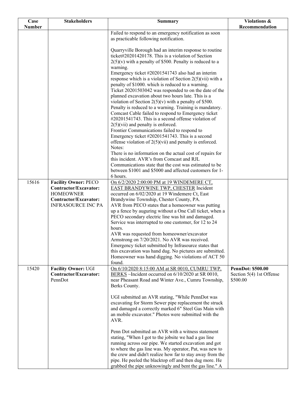| Case          | <b>Stakeholders</b>                                                                                                            | <b>Summary</b>                                                                                                                                                                                                                                                                                                                                                                                                                                                                                                                                                                                                                                                                                       | Violations &                                                     |
|---------------|--------------------------------------------------------------------------------------------------------------------------------|------------------------------------------------------------------------------------------------------------------------------------------------------------------------------------------------------------------------------------------------------------------------------------------------------------------------------------------------------------------------------------------------------------------------------------------------------------------------------------------------------------------------------------------------------------------------------------------------------------------------------------------------------------------------------------------------------|------------------------------------------------------------------|
| <b>Number</b> |                                                                                                                                |                                                                                                                                                                                                                                                                                                                                                                                                                                                                                                                                                                                                                                                                                                      | Recommendation                                                   |
|               |                                                                                                                                | Failed to respond to an emergency notification as soon<br>as practicable following notification.                                                                                                                                                                                                                                                                                                                                                                                                                                                                                                                                                                                                     |                                                                  |
|               |                                                                                                                                | Quarryville Borough had an interim response to routine<br>ticket#20201420178. This is a violation of Section<br>$2(5)(v)$ with a penalty of \$500. Penalty is reduced to a                                                                                                                                                                                                                                                                                                                                                                                                                                                                                                                           |                                                                  |
|               |                                                                                                                                | warning.<br>Emergency ticket #20201541743 also had an interim<br>response which is a violation of Section $2(5)(\n \n  with a$<br>penalty of \$1000. which is reduced to a warning.<br>Ticket 20201503042 was responded to on the date of the<br>planned excavation about two hours late. This is a                                                                                                                                                                                                                                                                                                                                                                                                  |                                                                  |
|               |                                                                                                                                | violation of Section $2(5)(v)$ with a penalty of \$500.<br>Penalty is reduced to a warning. Training is mandatory.<br>Comcast Cable failed to respond to Emergency ticket<br>#20201541743. This is a second offense violation of<br>$2(5)$ (vii) and penalty is enforced.                                                                                                                                                                                                                                                                                                                                                                                                                            |                                                                  |
|               |                                                                                                                                | Frontier Communications failed to respond to<br>Emergency ticket #20201541743. This is a second<br>offense violation of $2(5)(\n \n  vi)$ and penalty is enforced.<br>Notes:                                                                                                                                                                                                                                                                                                                                                                                                                                                                                                                         |                                                                  |
|               |                                                                                                                                | There is no information on the actual cost of repairs for<br>this incident. AVR's from Comcast and RJL<br>Communications state that the cost was estimated to be<br>between \$1001 and \$5000 and affected customers for 1-                                                                                                                                                                                                                                                                                                                                                                                                                                                                          |                                                                  |
|               |                                                                                                                                | 6 hours.                                                                                                                                                                                                                                                                                                                                                                                                                                                                                                                                                                                                                                                                                             |                                                                  |
| 15616         | <b>Facility Owner: PECO</b><br>Contractor/Excavator:<br><b>HOMEOWNER</b><br>Contractor/Excavator:<br><b>INFRASOURCE INC PA</b> | On 6/2/2020 2:00:00 PM at 19 WINDEMERE CT,<br>EAST BRANDYWINE TWP, CHESTER Incident<br>occurred on 6/02/2020 at 19 Windemere Ct, East<br>Brandywine Township, Chester County, PA.<br>AVR from PECO states that a homeowner was putting<br>up a fence by auguring without a One Call ticket, when a<br>PECO secondary electric line was hit and damaged.<br>Service was interrupted to one customer, for 12 to 24<br>hours.<br>AVR was requested from homeowner/excavator<br>Armstrong on 7/20/2021. No AVR was received.<br>Emergency ticket submitted by Infrasource states that<br>this excavation was hand dug. No pictures are submitted.<br>Homeowner was hand digging. No violations of ACT 50 |                                                                  |
| 15420         | Facility Owner: UGI<br>Contractor/Excavator:<br>PennDot                                                                        | found.<br>On 6/10/2020 8:15:00 AM at SR 0010, CUMRU TWP,<br>BERKS ~Incident occurred on 6/10/2020 at SR 0010,<br>near Pheasant Road and Winter Ave., Cumru Township,<br>Berks County.                                                                                                                                                                                                                                                                                                                                                                                                                                                                                                                | <b>PennDot: \$500.00</b><br>Section 5(4) 1st Offense<br>\$500.00 |
|               |                                                                                                                                | UGI submitted an AVR stating, "While PennDot was<br>excavating for Storm Sewer pipe replacement the struck<br>and damaged a correctly marked 6" Steel Gas Main with<br>an mobile excavator." Photos were submitted with the<br>AVR.                                                                                                                                                                                                                                                                                                                                                                                                                                                                  |                                                                  |
|               |                                                                                                                                | Penn Dot submitted an AVR with a witness statement<br>stating, "When I got to the jobsite we had a gas line<br>running across our pipe. We started excavation and got<br>to where the gas line was. My operator, Pat, was new to<br>the crew and didn't realize how far to stay away from the<br>pipe. He peeled the blacktop off and then dug more. He<br>grabbed the pipe unknowingly and bent the gas line." A                                                                                                                                                                                                                                                                                    |                                                                  |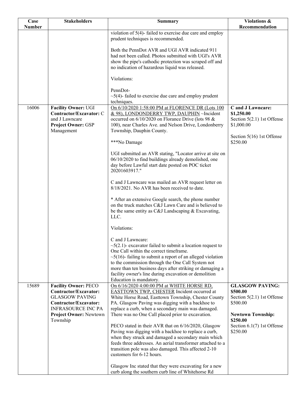| Case          | <b>Stakeholders</b>                                                                                         | <b>Summary</b>                                                                                                                                                                                                                            | <b>Violations &amp;</b>                                                       |
|---------------|-------------------------------------------------------------------------------------------------------------|-------------------------------------------------------------------------------------------------------------------------------------------------------------------------------------------------------------------------------------------|-------------------------------------------------------------------------------|
| <b>Number</b> |                                                                                                             |                                                                                                                                                                                                                                           | Recommendation                                                                |
|               |                                                                                                             | violation of 5(4)-failed to exercise due care and employ<br>prudent techniques is recommended.                                                                                                                                            |                                                                               |
|               |                                                                                                             | Both the PennDot AVR and UGI AVR indicated 911<br>had not been called. Photos submitted with UGI's AVR<br>show the pipe's cathodic protection was scraped off and                                                                         |                                                                               |
|               |                                                                                                             | no indication of hazardous liquid was released.                                                                                                                                                                                           |                                                                               |
|               |                                                                                                             | Violations:                                                                                                                                                                                                                               |                                                                               |
|               |                                                                                                             | PennDot-<br>$\sim$ 5(4)-failed to exercise due care and employ prudent<br>techniques.                                                                                                                                                     |                                                                               |
| 16006         | <b>Facility Owner: UGI</b><br>Contractor/Excavator: C<br>and J Lawncare<br>Project Owner: GSP<br>Management | On 6/10/2020 1:58:00 PM at FLORENCE DR (Lots 100<br>& 98), LONDONDERRY TWP, DAUPHIN ~Incident<br>occurred on 6/10/2020 on Florance Drive (lots 98 &<br>100), near Charles Ave. and Nelson Drive, Londonberry<br>Township, Dauphin County. | C and J Lawncare:<br>\$1,250.00<br>Section $5(2.1)$ 1st Offense<br>\$1,000.00 |
|               |                                                                                                             | ***No Damage                                                                                                                                                                                                                              | Section 5(16) 1st Offense<br>\$250.00                                         |
|               |                                                                                                             | UGI submitted an AVR stating, "Locator arrive at site on<br>06/10/2020 to find buildings already demolished, one<br>day before Lawful start date posted on POC ticket<br>20201603917."                                                    |                                                                               |
|               |                                                                                                             | C and J Lawncare was mailed an AVR request letter on<br>8/18/2021. No AVR has been received to date.                                                                                                                                      |                                                                               |
|               |                                                                                                             | * After an extensive Google search, the phone number<br>on the truck matches C&J Lawn Care and is believed to<br>be the same entity as C&J Landscaping & Excavating,<br>LLC.                                                              |                                                                               |
|               |                                                                                                             | Violations:                                                                                                                                                                                                                               |                                                                               |
|               |                                                                                                             | C and J Lawncare:<br>$\sim$ 5(2.1)- excavator failed to submit a location request to                                                                                                                                                      |                                                                               |
|               |                                                                                                             | One Call within the correct timeframe.<br>$\sim$ 5(16)- failing to submit a report of an alleged violation<br>to the commission through the One Call System not                                                                           |                                                                               |
|               |                                                                                                             | more than ten business days after striking or damaging a<br>facility owner's line during excavation or demolition<br>Education is mandatory.                                                                                              |                                                                               |
| 15689         | <b>Facility Owner: PECO</b><br>Contractor/Excavator:<br><b>GLASGOW PAVING</b><br>Contractor/Excavator:      | On 6/16/2020 4:00:00 PM at WHITE HORSE RD,<br><b>EASTTOWN TWP, CHESTER Incident occurred at</b><br>White Horse Road, Easttown Township, Chester County<br>PA. Glasgow Paving was digging with a backhoe to                                | <b>GLASGOW PAVING:</b><br>\$500.00<br>Section 5(2.1) 1st Offense<br>\$500.00  |
|               | <b>INFRASOURCE INC PA</b><br>Project Owner: Newtown<br>Township                                             | replace a curb, when a secondary main was damaged.<br>There was no One Call placed prior to excavation.                                                                                                                                   | <b>Newtown Township:</b><br>\$250.00                                          |
|               |                                                                                                             | PECO stated in their AVR that on 6/16/2020, Glasgow<br>Paving was digging with a backhoe to replace a curb,<br>when they struck and damaged a secondary main which<br>feeds three addresses. An aerial transformer attached to a          | Section $6.1(7)$ 1st Offense<br>\$250.00                                      |
|               |                                                                                                             | transition pole was also damaged. This affected 2-10<br>customers for 6-12 hours.                                                                                                                                                         |                                                                               |
|               |                                                                                                             | Glasgow Inc stated that they were excavating for a new<br>curb along the southern curb line of Whitehorse Rd                                                                                                                              |                                                                               |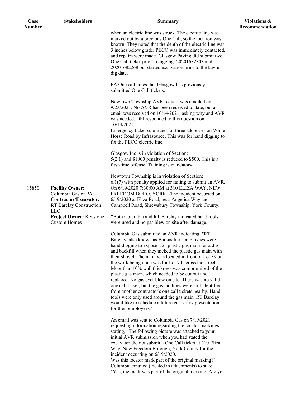| Case          | <b>Stakeholders</b>                                                                                                                       | <b>Summary</b>                                                                                                                                                                                                                                                                                                                                                                                                                                                               | Violations &   |
|---------------|-------------------------------------------------------------------------------------------------------------------------------------------|------------------------------------------------------------------------------------------------------------------------------------------------------------------------------------------------------------------------------------------------------------------------------------------------------------------------------------------------------------------------------------------------------------------------------------------------------------------------------|----------------|
| <b>Number</b> |                                                                                                                                           |                                                                                                                                                                                                                                                                                                                                                                                                                                                                              | Recommendation |
|               |                                                                                                                                           | when an electric line was struck. The electric line was<br>marked out by a previous One Call, so the location was<br>known. They noted that the depth of the electric line was<br>3 inches below grade. PECO was immediately contacted,<br>and repairs were made. Glasgow Paving did submit two<br>One Call ticket prior to digging: 20201682303 and<br>20201682268 but started excavation prior to the lawful<br>dig date.<br>PA One call notes that Glasgow has previously |                |
|               |                                                                                                                                           | submitted One Call tickets.<br>Newtown Township AVR request was emailed on                                                                                                                                                                                                                                                                                                                                                                                                   |                |
|               |                                                                                                                                           | 9/23/2021. No AVR has been received to date, but an<br>email was received on 10/14/2021, asking why and AVR<br>was needed. DPI responded to this question on<br>10/14/2021.<br>Emergency ticket submitted for three addresses on White<br>Horse Road by Infrasource. This was for hand digging to                                                                                                                                                                            |                |
|               |                                                                                                                                           | fix the PECO electric line.<br>Glasgow Inc is in violation of Section:                                                                                                                                                                                                                                                                                                                                                                                                       |                |
|               |                                                                                                                                           | $5(2.1)$ and \$1000 penalty is reduced to \$500. This is a<br>first-time offense. Training is mandatory.                                                                                                                                                                                                                                                                                                                                                                     |                |
|               |                                                                                                                                           | Newtown Township is in violation of Section:<br>$6.1(7)$ with penalty applied for failing to submit an AVR.                                                                                                                                                                                                                                                                                                                                                                  |                |
| 15850         | <b>Facility Owner:</b><br>Columbia Gas of PA<br>Contractor/Excavator:<br>RT Barclay Construction<br><b>LLC</b><br>Project Owner: Keystone | On 6/19/2020 7:30:00 AM at 310 ELIZA WAY, NEW<br>FREEDOM BORO, YORK ~The incident occurred on<br>6/19/2020 at Eliza Road, near Angelica Way and<br>Campbell Road, Shrewsbury Township, York County.<br>*Both Columbia and RT Barclay indicated hand tools                                                                                                                                                                                                                    |                |
|               | <b>Custom Homes</b>                                                                                                                       | were used and no gas blew on site after damage.                                                                                                                                                                                                                                                                                                                                                                                                                              |                |
|               |                                                                                                                                           | Columbia Gas submitted an AVR indicating, "RT<br>Barclay, also known as Barkas Inc., employees were<br>hand digging to expose a 2" plastic gas main for a dig<br>and backfill when they nicked the plastic gas main with<br>their shovel. The main was located in front of Lot 39 but<br>the work being done was for Lot 70 across the street.                                                                                                                               |                |
|               |                                                                                                                                           | More than 10% wall thickness was compromised of the<br>plastic gas main, which needed to be cut out and<br>replaced. No gas ever blew on site. There was no valid<br>one call ticket, but the gas facilities were still identified<br>from another contractor's one call tickets nearby. Hand<br>tools were only used around the gas main. RT Barclay<br>would like to schedule a future gas safety presentation                                                             |                |
|               |                                                                                                                                           | for their employees."<br>An email was sent to Columbia Gas on 7/19/2021                                                                                                                                                                                                                                                                                                                                                                                                      |                |
|               |                                                                                                                                           | requesting information regarding the locator markings<br>stating, "The following picture was attached to your<br>initial AVR submission when you had stated the<br>excavator did not submit a One Call ticket at 310 Eliza<br>Way, New Freedom Borough, York County for the<br>incident occurring on 6/19/2020.                                                                                                                                                              |                |
|               |                                                                                                                                           | Was this locator mark part of the original marking?"<br>Columbia emailed (located in attachments) to state,<br>"Yes, the mark was part of the original marking. Are you                                                                                                                                                                                                                                                                                                      |                |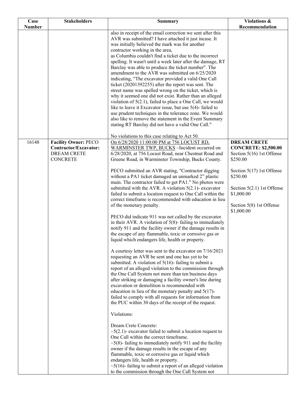| Case          | <b>Stakeholders</b>                                                                           | <b>Summary</b>                                                                                                                                                                                                                                                                                                                                                                                                                                                                                                                                                                                                                                                                                                                                                                                                                                                                                                                                                                                                                                                                                                                                                                                                                                                                                                                                                                                                                                                                                                                                                                                                                                                                                                                                                                                                                                                                                                                            | Violations &                                                                                                                                                                                                                  |
|---------------|-----------------------------------------------------------------------------------------------|-------------------------------------------------------------------------------------------------------------------------------------------------------------------------------------------------------------------------------------------------------------------------------------------------------------------------------------------------------------------------------------------------------------------------------------------------------------------------------------------------------------------------------------------------------------------------------------------------------------------------------------------------------------------------------------------------------------------------------------------------------------------------------------------------------------------------------------------------------------------------------------------------------------------------------------------------------------------------------------------------------------------------------------------------------------------------------------------------------------------------------------------------------------------------------------------------------------------------------------------------------------------------------------------------------------------------------------------------------------------------------------------------------------------------------------------------------------------------------------------------------------------------------------------------------------------------------------------------------------------------------------------------------------------------------------------------------------------------------------------------------------------------------------------------------------------------------------------------------------------------------------------------------------------------------------------|-------------------------------------------------------------------------------------------------------------------------------------------------------------------------------------------------------------------------------|
| <b>Number</b> |                                                                                               |                                                                                                                                                                                                                                                                                                                                                                                                                                                                                                                                                                                                                                                                                                                                                                                                                                                                                                                                                                                                                                                                                                                                                                                                                                                                                                                                                                                                                                                                                                                                                                                                                                                                                                                                                                                                                                                                                                                                           | Recommendation                                                                                                                                                                                                                |
|               |                                                                                               | also in receipt of the email correction we sent after this<br>AVR was submitted? I have attached it just incase. It<br>was initially believed the mark was for another<br>contractor working in the area,<br>as Columbia couldn't find a ticket due to the incorrect<br>spelling. It wasn't until a week later after the damage, RT<br>Barclay was able to produce the ticket number". The<br>amendment to the AVR was submitted on 6/25/2020<br>indicating, "The excavator provided a valid One Call<br>ticket (20201392255) after the report was sent. The<br>street name was spelled wrong on the ticket, which is<br>why it seemed one did not exist. Rather than an alleged<br>violation of $5(2.1)$ , failed to place a One Call, we would<br>like to leave it Excavator issue, but use 5(4)-failed to<br>use prudent techniques in the tolerance zone. We would<br>also like to remove the statement in the Event Summary<br>stating RT Barclay did not have a valid One Call."                                                                                                                                                                                                                                                                                                                                                                                                                                                                                                                                                                                                                                                                                                                                                                                                                                                                                                                                                    |                                                                                                                                                                                                                               |
|               |                                                                                               | No violations to this case relating to Act 50.                                                                                                                                                                                                                                                                                                                                                                                                                                                                                                                                                                                                                                                                                                                                                                                                                                                                                                                                                                                                                                                                                                                                                                                                                                                                                                                                                                                                                                                                                                                                                                                                                                                                                                                                                                                                                                                                                            |                                                                                                                                                                                                                               |
| 16148         | <b>Facility Owner: PECO</b><br>Contractor/Excavator:<br><b>DREAM CRETE</b><br><b>CONCRETE</b> | On 6/28/2020 11:00:00 PM at 756 LOCUST RD,<br>WARMINSTER TWP, BUCKS ~Incident occurred on<br>6/28/2020, at 756 Locust Road, near Chestnut Road and<br>Greene Road, in Warminster Township, Bucks County.<br>PECO submitted an AVR stating, "Contractor digging<br>without a PA1 ticket damaged an unmarked 2" plastic<br>main. The contractor failed to get PA1." No photos were<br>submitted with the AVR. A violation $5(2.1)$ - excavator<br>failed to submit a location request to One Call within the<br>correct timeframe is recommended with education in lieu<br>of the monetary penalty.<br>PECO did indicate 911 was not called by the excavator<br>in their AVR. A violation of $5(8)$ - failing to immediately<br>notify 911 and the facility owner if the damage results in<br>the escape of any flammable, toxic or corrosive gas or<br>liquid which endangers life, health or property.<br>A courtesy letter was sent to the excavator on 7/16/2021<br>requesting an AVR be sent and one has yet to be<br>submitted. A violation of $5(16)$ - failing to submit a<br>report of an alleged violation to the commission through<br>the One Call System not more than ten business days<br>after striking or damaging a facility owner's line during<br>excavation or demolition is recommended with<br>education in lieu of the monetary penalty and $5(17)$ -<br>failed to comply with all requests for information from<br>the PUC within 30 days of the receipt of the request.<br>Violations:<br>Dream Crete Concrete:<br>$\sim$ 5(2.1)- excavator failed to submit a location request to<br>One Call within the correct timeframe.<br>$\sim$ 5(8)-failing to immediately notify 911 and the facility<br>owner if the damage results in the escape of any<br>flammable, toxic or corrosive gas or liquid which<br>endangers life, health or property.<br>$\sim$ 5(16)-failing to submit a report of an alleged violation | <b>DREAM CRETE</b><br><b>CONCRETE: \$2,500.00</b><br>Section 5(16) 1st Offense<br>\$250.00<br>Section $5(17)$ 1st Offense<br>\$250.00<br>Section $5(2.1)$ 1st Offense<br>\$1,000.00<br>Section 5(8) 1st Offense<br>\$1,000.00 |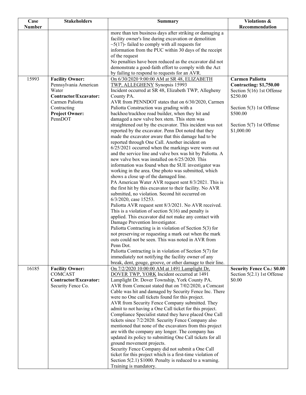| Case          | <b>Stakeholders</b>              | <b>Summary</b>                                                                                                    | Violations &                      |
|---------------|----------------------------------|-------------------------------------------------------------------------------------------------------------------|-----------------------------------|
| <b>Number</b> |                                  |                                                                                                                   | Recommendation                    |
|               |                                  | more than ten business days after striking or damaging a                                                          |                                   |
|               |                                  | facility owner's line during excavation or demolition                                                             |                                   |
|               |                                  | $\sim$ 5(17)- failed to comply with all requests for                                                              |                                   |
|               |                                  | information from the PUC within 30 days of the receipt<br>of the request                                          |                                   |
|               |                                  | No penalties have been reduced as the excavator did not                                                           |                                   |
|               |                                  | demonstrate a good-faith effort to comply with the Act                                                            |                                   |
|               |                                  | by failing to respond to requests for an AVR.                                                                     |                                   |
| 15993         | <b>Facility Owner:</b>           | On 6/30/2020 9:00:00 AM at SR 48, ELIZABETH                                                                       | <b>Carmen Paliotta</b>            |
|               | Pennsylvania American            | TWP, ALLEGHENY Synopsis 15993                                                                                     | <b>Contracting: \$1,750.00</b>    |
|               | Water                            | Incident occurred at SR 48, Elizabeth TWP, Allegheny                                                              | Section 5(16) 1st Offense         |
|               | Contractor/Excavator:            | County PA.                                                                                                        | \$250.00                          |
|               | Carmen Paliotta                  | AVR from PENNDOT states that on 6/30/2020, Carmen                                                                 |                                   |
|               | Contracting                      | Paliotta Construction was grading with a                                                                          | Section 5(3) 1st Offense          |
|               | <b>Project Owner:</b><br>PennDOT | backhoe/trackhoe road builder, when they hit and<br>damaged a new valve box stem. This stem was                   | \$500.00                          |
|               |                                  | straightened out by the excavator. This incident was not                                                          | Section 5(7) 1st Offense          |
|               |                                  | reported by the excavator. Penn Dot noted that they                                                               | \$1,000.00                        |
|               |                                  | made the excavator aware that this damage had to be                                                               |                                   |
|               |                                  | reported through One Call. Another incident on                                                                    |                                   |
|               |                                  | $6/25/2021$ occurred when the markings were worn out                                                              |                                   |
|               |                                  | and the service line and valve box was hit by Paliotta. A                                                         |                                   |
|               |                                  | new valve box was installed on 6/25/2020. This                                                                    |                                   |
|               |                                  | information was found when the SUE investigator was                                                               |                                   |
|               |                                  | working in the area. One photo was submitted, which                                                               |                                   |
|               |                                  | shows a close up of the damaged line.<br>PA American Water AVR request sent 8/3/2021. This is                     |                                   |
|               |                                  | the first hit by this excavator to their facility. No AVR                                                         |                                   |
|               |                                  | submitted, no violation. Second hit occurred on                                                                   |                                   |
|               |                                  | 6/3/2020, case 15253.                                                                                             |                                   |
|               |                                  | Paliotta AVR request sent 8/3/2021. No AVR received.                                                              |                                   |
|               |                                  | This is a violation of section $5(16)$ and penalty is                                                             |                                   |
|               |                                  | applied. This excavator did not make any contact with                                                             |                                   |
|               |                                  | Damage Prevention Investigator.                                                                                   |                                   |
|               |                                  | Paliotta Contracting is in violation of Section 5(3) for<br>not preserving or requesting a mark out when the mark |                                   |
|               |                                  | outs could not be seen. This was noted in AVR from                                                                |                                   |
|               |                                  | Penn Dot.                                                                                                         |                                   |
|               |                                  | Paliotta Contracting is in violation of Section $5(7)$ for                                                        |                                   |
|               |                                  | immediately not notifying the facility owner of any                                                               |                                   |
|               |                                  | break, dent, gouge, groove, or other damage to their line.                                                        |                                   |
| 16185         | <b>Facility Owner:</b>           | On 7/2/2020 10:00:00 AM at 1491 Lamplight Dr,                                                                     | <b>Security Fence Co.: \$0.00</b> |
|               | <b>COMCAST</b>                   | DOVER TWP, YORK Incident occurred at 1491                                                                         | Section $5(2.1)$ 1st Offense      |
|               | Contractor/Excavator:            | Lamplight Dr. Dover Township, York County PA.                                                                     | \$0.00                            |
|               | Security Fence Co.               | AVR from Comcast stated that on 7/02/2020, a Comcast<br>Cable was hit and damaged by Security Fence Inc. There    |                                   |
|               |                                  | were no One call tickets found for this project.                                                                  |                                   |
|               |                                  | AVR from Security Fence Company submitted. They                                                                   |                                   |
|               |                                  | admit to not having a One Call ticket for this project.                                                           |                                   |
|               |                                  | Compliance Specialist stated they have placed One Call                                                            |                                   |
|               |                                  | tickets since 7/2/2020. Security Fence Company also                                                               |                                   |
|               |                                  | mentioned that none of the excavators from this project                                                           |                                   |
|               |                                  | are with the company any longer. The company has                                                                  |                                   |
|               |                                  | updated its policy to submitting One Call tickets for all                                                         |                                   |
|               |                                  | ground movement projects.                                                                                         |                                   |
|               |                                  | Security Fence Company did not submit a One Call<br>ticket for this project which is a first-time violation of    |                                   |
|               |                                  | Section $5(2.1)$ \$1000. Penalty is reduced to a warning.                                                         |                                   |
|               |                                  | Training is mandatory.                                                                                            |                                   |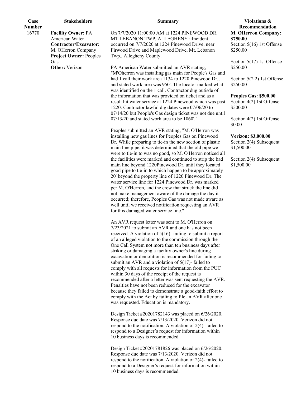| <b>Number</b><br>16770<br><b>Facility Owner: PA</b><br>On 7/7/2020 11:00:00 AM at 1224 PINEWOOD DR,<br>American Water<br>MT LEBANON TWP, ALLEGHENY ~Incident<br>\$750.00<br>Contractor/Excavator:<br>occurred on 7/7/2020 at 1224 Pinewood Drive, near<br>Firwood Drive and Maplewood Drive, Mt. Lebanon<br>M. OHerron Company<br>\$250.00<br><b>Project Owner: Peoples</b><br>Twp., Allegheny County.<br>Gas | Recommendation<br><b>M. OHerron Company:</b> |
|---------------------------------------------------------------------------------------------------------------------------------------------------------------------------------------------------------------------------------------------------------------------------------------------------------------------------------------------------------------------------------------------------------------|----------------------------------------------|
|                                                                                                                                                                                                                                                                                                                                                                                                               |                                              |
|                                                                                                                                                                                                                                                                                                                                                                                                               |                                              |
|                                                                                                                                                                                                                                                                                                                                                                                                               | Section 5(16) 1st Offense                    |
|                                                                                                                                                                                                                                                                                                                                                                                                               |                                              |
|                                                                                                                                                                                                                                                                                                                                                                                                               |                                              |
|                                                                                                                                                                                                                                                                                                                                                                                                               | Section $5(17)$ 1st Offense                  |
| <b>Other:</b> Verizon<br>\$250.00<br>PA American Water submitted an AVR stating,                                                                                                                                                                                                                                                                                                                              |                                              |
| "M'Oherron was installing gas main for People's Gas and                                                                                                                                                                                                                                                                                                                                                       |                                              |
| had 1 call their work area 1134 to 1220 Pinewood Dr.,<br>and stated work area was 950'. The locator marked what<br>\$250.00                                                                                                                                                                                                                                                                                   | Section 5(2.2) 1st Offense                   |
| was identified on the 1 call. Contractor dug outisde of                                                                                                                                                                                                                                                                                                                                                       |                                              |
| the information that was provided on ticket and as a                                                                                                                                                                                                                                                                                                                                                          | Peoples Gas: \$500.00                        |
| result hit water service at 1224 Pinewood which was past                                                                                                                                                                                                                                                                                                                                                      | Section 4(2) 1st Offense                     |
| 1220. Contractor lawful dig dates were 07/06/20 to<br>\$500.00                                                                                                                                                                                                                                                                                                                                                |                                              |
| 07/14/20 but People's Gas design ticket was not due until                                                                                                                                                                                                                                                                                                                                                     |                                              |
| $07/13/20$ and stated work area to be 1060'."                                                                                                                                                                                                                                                                                                                                                                 | Section 4(2) 1st Offense                     |
| \$0.00<br>Peoples submitted an AVR stating, "M. O'Herron was                                                                                                                                                                                                                                                                                                                                                  |                                              |
| installing new gas lines for Peoples Gas on Pinewood                                                                                                                                                                                                                                                                                                                                                          | Verizon: \$3,000.00                          |
| Dr. While preparing to tie-in the new section of plastic                                                                                                                                                                                                                                                                                                                                                      | Section 2(4) Subsequent                      |
| main line pipe, it was determined that the old pipe we<br>\$1,500.00                                                                                                                                                                                                                                                                                                                                          |                                              |
| were to tie-in to was no good, so M. O'Herron noticed all                                                                                                                                                                                                                                                                                                                                                     |                                              |
| the facilities were marked and continued to strip the bad<br>main line beyond 1220Pinewood Dr. until they located                                                                                                                                                                                                                                                                                             | Section 2(4) Subsequent                      |
| \$1,500.00<br>good pipe to tie-in to which happen to be approximately                                                                                                                                                                                                                                                                                                                                         |                                              |
| 20' beyond the property line of 1220 Pinewood Dr. The                                                                                                                                                                                                                                                                                                                                                         |                                              |
| water service line for 1224 Pinewood Dr. was marked                                                                                                                                                                                                                                                                                                                                                           |                                              |
| per M. O'Herron, and the crew that struck the line did                                                                                                                                                                                                                                                                                                                                                        |                                              |
| not make management aware of the damage the day it                                                                                                                                                                                                                                                                                                                                                            |                                              |
| occurred; therefore, Peoples Gas was not made aware as                                                                                                                                                                                                                                                                                                                                                        |                                              |
| well until we received notification requesting an AVR<br>for this damaged water service line."                                                                                                                                                                                                                                                                                                                |                                              |
|                                                                                                                                                                                                                                                                                                                                                                                                               |                                              |
| An AVR request letter was sent to M. O'Herron on                                                                                                                                                                                                                                                                                                                                                              |                                              |
| 7/23/2021 to submit an AVR and one has not been                                                                                                                                                                                                                                                                                                                                                               |                                              |
| received. A violation of $5(16)$ - failing to submit a report                                                                                                                                                                                                                                                                                                                                                 |                                              |
| of an alleged violation to the commission through the                                                                                                                                                                                                                                                                                                                                                         |                                              |
| One Call System not more than ten business days after<br>striking or damaging a facility owner's line during                                                                                                                                                                                                                                                                                                  |                                              |
| excavation or demolition is recommended for failing to                                                                                                                                                                                                                                                                                                                                                        |                                              |
| submit an AVR and a violation of $5(17)$ - failed to                                                                                                                                                                                                                                                                                                                                                          |                                              |
| comply with all requests for information from the PUC                                                                                                                                                                                                                                                                                                                                                         |                                              |
| within 30 days of the receipt of the request is                                                                                                                                                                                                                                                                                                                                                               |                                              |
| recommended after a letter was sent requesting the AVR.                                                                                                                                                                                                                                                                                                                                                       |                                              |
| Penalties have not been reduced for the excavator<br>because they failed to demonstrate a good-faith effort to                                                                                                                                                                                                                                                                                                |                                              |
| comply with the Act by failing to file an AVR after one                                                                                                                                                                                                                                                                                                                                                       |                                              |
| was requested. Education is mandatory.                                                                                                                                                                                                                                                                                                                                                                        |                                              |
|                                                                                                                                                                                                                                                                                                                                                                                                               |                                              |
| Design Ticket #20201782143 was placed on 6/26/2020.                                                                                                                                                                                                                                                                                                                                                           |                                              |
| Response due date was 7/13/2020. Verizon did not                                                                                                                                                                                                                                                                                                                                                              |                                              |
| respond to the notification. A violation of $2(4)$ -failed to<br>respond to a Designer's request for information within                                                                                                                                                                                                                                                                                       |                                              |
| 10 business days is recommended.                                                                                                                                                                                                                                                                                                                                                                              |                                              |
|                                                                                                                                                                                                                                                                                                                                                                                                               |                                              |
| Design Ticket #20201781826 was placed on 6/26/2020.                                                                                                                                                                                                                                                                                                                                                           |                                              |
| Response due date was 7/13/2020. Verizon did not                                                                                                                                                                                                                                                                                                                                                              |                                              |
| respond to the notification. A violation of $2(4)$ -failed to                                                                                                                                                                                                                                                                                                                                                 |                                              |
| respond to a Designer's request for information within<br>10 business days is recommended.                                                                                                                                                                                                                                                                                                                    |                                              |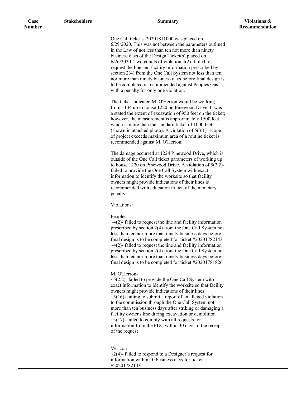| Case          | <b>Stakeholders</b> | <b>Summary</b>                                                                                                                                                                                                                                                                                                                                                                                                                                                                                                                                                                | Violations &   |
|---------------|---------------------|-------------------------------------------------------------------------------------------------------------------------------------------------------------------------------------------------------------------------------------------------------------------------------------------------------------------------------------------------------------------------------------------------------------------------------------------------------------------------------------------------------------------------------------------------------------------------------|----------------|
| <b>Number</b> |                     |                                                                                                                                                                                                                                                                                                                                                                                                                                                                                                                                                                               | Recommendation |
|               |                     | One Call ticket $\# 20201811000$ was placed on<br>6/29/2020. This was not between the parameters outlined<br>in the Law of not less than ten not more than ninety<br>business days of the Design Ticket(s) placed on<br>$6/26/2020$ . Two counts of violation 4(2)-failed to<br>request the line and facility information prescribed by<br>section 2(4) from the One Call System not less than ten<br>nor more than ninety business days before final design is<br>to be completed is recommended against Peoples Gas<br>with a penalty for only one violation.               |                |
|               |                     | The ticket indicated M. O'Herron would be working<br>from 1134 up to house 1220 on Pinewood Drive. It was<br>a stated the extent of excavation of 950 feet on the ticket;<br>however, the measurement is approximately 1500 feet,<br>which is more than the standard ticket of 1000 feet<br>(shown in attached photo). A violation of $5(3.1)$ - scope<br>of project exceeds maximum area of a routine ticket is<br>recommended against M. O'Herron.                                                                                                                          |                |
|               |                     | The damage occurred at 1224 Pinewood Drive, which is<br>outside of the One Call ticket parameters of working up<br>to house 1220 on Pinewood Drive. A violation of $5(2.2)$ -<br>failed to provide the One Call System with exact<br>information to identify the worksite so that facility<br>owners might provide indications of their lines is<br>recommended with education in lieu of the monetary<br>penalty.                                                                                                                                                            |                |
|               |                     | Violations:                                                                                                                                                                                                                                                                                                                                                                                                                                                                                                                                                                   |                |
|               |                     | Peoples:<br>$\sim$ 4(2)-failed to request the line and facility information<br>prescribed by section 2(4) from the One Call System not<br>less than ten nor more than ninety business days before<br>final design is to be completed for ticket $\#20201782143$<br>$\sim$ 4(2)-failed to request the line and facility information<br>prescribed by section 2(4) from the One Call System not<br>less than ten nor more than ninety business days before<br>final design is to be completed for ticket $\#20201781826$                                                        |                |
|               |                     | M. O'Herron-<br>$\sim$ 5(2.2)- failed to provide the One Call System with<br>exact information to identify the worksite so that facility<br>owners might provide indications of their lines.<br>$\sim$ 5(16)-failing to submit a report of an alleged violation<br>to the commission through the One Call System not<br>more than ten business days after striking or damaging a<br>facility owner's line during excavation or demolition<br>$\sim$ 5(17)- failed to comply with all requests for<br>information from the PUC within 30 days of the receipt<br>of the request |                |
|               |                     | Verizon-<br>$\sim$ 2(4)-failed to respond to a Designer's request for<br>information within 10 business days for ticket<br>#20201782143                                                                                                                                                                                                                                                                                                                                                                                                                                       |                |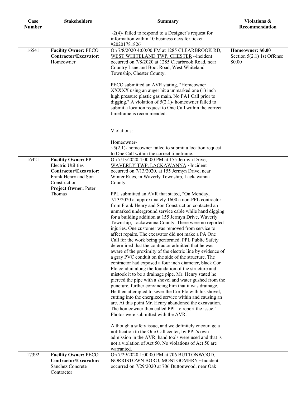| Case<br><b>Number</b> | <b>Stakeholders</b>                                                                                                                                    | <b>Summary</b>                                                                                                                                                                                                                                                                                                                                                                                                                                                                                                                                                                                                                                                                                                                                                                                                                                                                                                                                                                                                                                                                                                                                                                                                                                                                                                                                                                                                                                                                                                          | Violations &<br>Recommendation                              |
|-----------------------|--------------------------------------------------------------------------------------------------------------------------------------------------------|-------------------------------------------------------------------------------------------------------------------------------------------------------------------------------------------------------------------------------------------------------------------------------------------------------------------------------------------------------------------------------------------------------------------------------------------------------------------------------------------------------------------------------------------------------------------------------------------------------------------------------------------------------------------------------------------------------------------------------------------------------------------------------------------------------------------------------------------------------------------------------------------------------------------------------------------------------------------------------------------------------------------------------------------------------------------------------------------------------------------------------------------------------------------------------------------------------------------------------------------------------------------------------------------------------------------------------------------------------------------------------------------------------------------------------------------------------------------------------------------------------------------------|-------------------------------------------------------------|
|                       |                                                                                                                                                        | $\sim$ 2(4)-failed to respond to a Designer's request for<br>information within 10 business days for ticket<br>#20201781826                                                                                                                                                                                                                                                                                                                                                                                                                                                                                                                                                                                                                                                                                                                                                                                                                                                                                                                                                                                                                                                                                                                                                                                                                                                                                                                                                                                             |                                                             |
| 16541                 | <b>Facility Owner: PECO</b><br>Contractor/Excavator:<br>Homeowner                                                                                      | On 7/8/2020 4:00:00 PM at 1285 CLEARBROOK RD,<br>WEST WHITELAND TWP, CHESTER ~incident<br>occurred on 7/8/2020 at 1285 Clearbrook Road, near<br>Country Lane and Boot Road, West Whiteland<br>Township, Chester County.<br>PECO submitted an AVR stating, "Homeowner<br>XXXXX using an auger hit a unmarked one (1) inch<br>high pressure plastic gas main. No PA1 Call prior to<br>digging." A violation of $5(2.1)$ - homeowner failed to<br>submit a location request to One Call within the correct<br>timeframe is recommended.<br>Violations:<br>Homeowner-<br>$\sim$ 5(2.1)- homeowner failed to submit a location request                                                                                                                                                                                                                                                                                                                                                                                                                                                                                                                                                                                                                                                                                                                                                                                                                                                                                       | Homeowner: \$0.00<br>Section $5(2.1)$ 1st Offense<br>\$0.00 |
| 16421                 | <b>Facility Owner: PPL</b><br><b>Electric Utilities</b><br>Contractor/Excavator:<br>Frank Henry and Son<br>Construction<br><b>Project Owner: Peter</b> | to One Call within the correct timeframe.<br>On 7/13/2020 4:00:00 PM at 155 Jermyn Drive,<br>WAVERLY TWP, LACKAWANNA ~Incident<br>occurred on 7/13/2020, at 155 Jermyn Drive, near<br>Winter Rues, in Waverly Township, Lackawanna<br>County.                                                                                                                                                                                                                                                                                                                                                                                                                                                                                                                                                                                                                                                                                                                                                                                                                                                                                                                                                                                                                                                                                                                                                                                                                                                                           |                                                             |
|                       | Thomas                                                                                                                                                 | PPL submitted an AVR that stated, "On Monday,<br>7/13/2020 at approximately 1600 a non-PPL contractor<br>from Frank Henry and Son Construction contacted an<br>unmarked underground service cable while hand digging<br>for a building addition at 155 Jermyn Drive, Waverly<br>Township, Lackawanna County. There were no reported<br>injuries. One customer was removed from service to<br>affect repairs. The excavator did not make a PA One<br>Call for the work being performed. PPL Public Safety<br>determined that the contractor admitted that he was<br>aware of the proximity of the electric line by evidence of<br>a gray PVC conduit on the side of the structure. The<br>contractor had exposed a four inch diameter, black Cor<br>Flo conduit along the foundation of the structure and<br>mistook it to be a drainage pipe. Mr. Henry stated he<br>pierced the pipe with a shovel and water gushed from the<br>puncture, further convincing him that it was drainage.<br>He then attempted to sever the Cor Flo with his shovel,<br>cutting into the energized service within and causing an<br>arc. At this point Mr. Henry abandoned the excavation.<br>The homeowner then called PPL to report the issue."<br>Photos were submitted with the AVR.<br>Although a safety issue, and we definitely encourage a<br>notification to the One Call center, by PPL's own<br>admission in the AVR, hand tools were used and that is<br>not a violation of Act 50. No violations of Act 50 are<br>warranted. |                                                             |
| 17392                 | <b>Facility Owner: PECO</b><br>Contractor/Excavator:<br>Sanchez Concrete<br>Contractor                                                                 | On 7/29/2020 1:00:00 PM at 706 BUTTONWOOD,<br>NORRISTOWN BORO, MONTGOMERY ~Incident<br>occurred on 7/29/2020 at 706 Buttonwood, near Oak                                                                                                                                                                                                                                                                                                                                                                                                                                                                                                                                                                                                                                                                                                                                                                                                                                                                                                                                                                                                                                                                                                                                                                                                                                                                                                                                                                                |                                                             |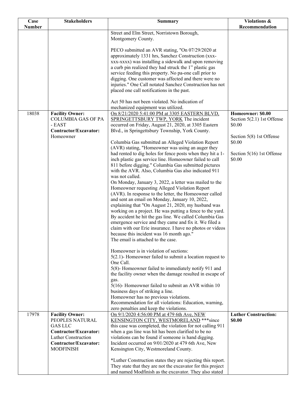| Case          | <b>Stakeholders</b>                                 | <b>Summary</b>                                                                                          | Violations &                       |
|---------------|-----------------------------------------------------|---------------------------------------------------------------------------------------------------------|------------------------------------|
| <b>Number</b> |                                                     |                                                                                                         | Recommendation                     |
|               |                                                     | Street and Elm Street, Norristown Borough,                                                              |                                    |
|               |                                                     | Montgomery County.                                                                                      |                                    |
|               |                                                     |                                                                                                         |                                    |
|               |                                                     | PECO submitted an AVR stating, "On 07/29/2020 at                                                        |                                    |
|               |                                                     | approximately 1331 hrs, Sanchez Construction (xxx-                                                      |                                    |
|               |                                                     | xxx-xxxx) was installing a sidewalk and upon removing                                                   |                                    |
|               |                                                     | a curb pin realized they had struck the 1" plastic gas                                                  |                                    |
|               |                                                     | service feeding this property. No pa-one call prior to                                                  |                                    |
|               |                                                     | digging. One customer was affected and there were no                                                    |                                    |
|               |                                                     | injuries." One Call notated Sanchez Construction has not                                                |                                    |
|               |                                                     | placed one call notifications in the past.                                                              |                                    |
|               |                                                     | Act 50 has not been violated. No indication of                                                          |                                    |
|               |                                                     |                                                                                                         |                                    |
|               |                                                     | mechanized equipment was utilized.                                                                      |                                    |
| 18038         | <b>Facility Owner:</b><br><b>COLUMBIA GAS OF PA</b> | On 8/21/2020 5:41:00 PM at 3305 EASTERN BLVD,                                                           | Homeowner: \$0.00                  |
|               |                                                     | SPRINGETTSBURY TWP, YORK The incident                                                                   | Section $5(2.1)$ 1st Offense       |
|               | - EAST                                              | occurred on Friday, August 21, 2020, at 3305 Eastern                                                    | \$0.00                             |
|               | Contractor/Excavator:<br>Homeowner                  | Blvd., in Springettsbury Township, York County.                                                         |                                    |
|               |                                                     |                                                                                                         | Section 5(8) 1st Offense<br>\$0.00 |
|               |                                                     | Columbia Gas submitted an Alleged Violation Report<br>(AVR) stating, "Homeowner was using an auger they |                                    |
|               |                                                     | had rented to dig holes for fence posts when they hit a 1-                                              | Section 5(16) 1st Offense          |
|               |                                                     | inch plastic gas service line. Homeowner failed to call                                                 | \$0.00                             |
|               |                                                     | 811 before digging." Columbia Gas submitted pictures                                                    |                                    |
|               |                                                     | with the AVR. Also, Columbia Gas also indicated 911                                                     |                                    |
|               |                                                     | was not called.                                                                                         |                                    |
|               |                                                     | On Monday, January 3, 2022, a letter was mailed to the                                                  |                                    |
|               |                                                     | Homeowner requesting Alleged Violation Report                                                           |                                    |
|               |                                                     | (AVR). In response to the letter, the Homeowner called                                                  |                                    |
|               |                                                     | and sent an email on Monday, January 10, 2022,                                                          |                                    |
|               |                                                     | explaining that "On August 21, 2020, my husband was                                                     |                                    |
|               |                                                     | working on a project. He was putting a fence to the yard.                                               |                                    |
|               |                                                     | By accident he hit the gas line. We called Columbia Gas                                                 |                                    |
|               |                                                     | emergence service and they came and fix it. We filed a                                                  |                                    |
|               |                                                     | claim with our Erie insurance. I have no photos or videos                                               |                                    |
|               |                                                     | because this incident was 16 month ago."                                                                |                                    |
|               |                                                     | The email is attached to the case.                                                                      |                                    |
|               |                                                     |                                                                                                         |                                    |
|               |                                                     | Homeowner is in violation of sections:                                                                  |                                    |
|               |                                                     | $5(2.1)$ - Homeowner failed to submit a location request to                                             |                                    |
|               |                                                     | One Call.                                                                                               |                                    |
|               |                                                     | 5(8)- Homeowner failed to immediately notify 911 and                                                    |                                    |
|               |                                                     | the facility owner when the damage resulted in escape of                                                |                                    |
|               |                                                     | gas.                                                                                                    |                                    |
|               |                                                     | $5(16)$ - Homeowner failed to submit an AVR within 10                                                   |                                    |
|               |                                                     | business days of striking a line.                                                                       |                                    |
|               |                                                     | Homeowner has no previous violations.                                                                   |                                    |
|               |                                                     | Recommendation for all violations: Education, warning,                                                  |                                    |
|               |                                                     | zero penalties and keep the violations.                                                                 |                                    |
| 17978         | <b>Facility Owner:</b>                              | On 9/1/2020 4:56:00 PM at 479 6th Ave, NEW                                                              | <b>Luther Construction:</b>        |
|               | PEOPLES NATURAL                                     | KENSINGTON CITY, WESTMORELAND *** since                                                                 | \$0.00                             |
|               | <b>GAS LLC</b>                                      | this case was completed, the violation for not calling 911                                              |                                    |
|               | Contractor/Excavator:                               | when a gas line was hit has been clarified to be no                                                     |                                    |
|               | Luther Construction                                 | violations can be found if someone is hand digging.                                                     |                                    |
|               | Contractor/Excavator:                               | Incident occurred on 9/01/2020 at 479 6th Ave, New                                                      |                                    |
|               | <b>MODFINISH</b>                                    | Kensington City, Westmoreland County.                                                                   |                                    |
|               |                                                     |                                                                                                         |                                    |
|               |                                                     | *Luther Construction states they are rejecting this report.                                             |                                    |
|               |                                                     | They state that they are not the excavator for this project                                             |                                    |
|               |                                                     | and named Modfinish as the excavator. They also stated                                                  |                                    |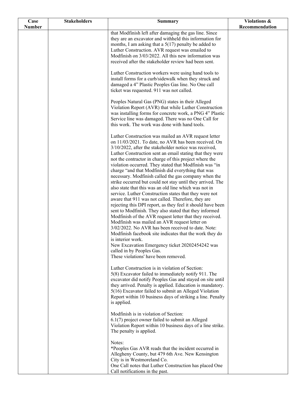| Case          | <b>Stakeholders</b> | <b>Summary</b>                                                                                                                                                                                                                                                                                                                                                                                                                                                                                                                                                                                                                                                                                                                                                                                                                                                                                                                                                                                                                                                                                                                                                                                                | Violations &   |
|---------------|---------------------|---------------------------------------------------------------------------------------------------------------------------------------------------------------------------------------------------------------------------------------------------------------------------------------------------------------------------------------------------------------------------------------------------------------------------------------------------------------------------------------------------------------------------------------------------------------------------------------------------------------------------------------------------------------------------------------------------------------------------------------------------------------------------------------------------------------------------------------------------------------------------------------------------------------------------------------------------------------------------------------------------------------------------------------------------------------------------------------------------------------------------------------------------------------------------------------------------------------|----------------|
| <b>Number</b> |                     |                                                                                                                                                                                                                                                                                                                                                                                                                                                                                                                                                                                                                                                                                                                                                                                                                                                                                                                                                                                                                                                                                                                                                                                                               | Recommendation |
|               |                     | that Modfinish left after damaging the gas line. Since<br>they are an excavator and withheld this information for<br>months, I am asking that a $5(17)$ penalty be added to<br>Luther Construction. AVR request was emailed to<br>Modfinish on 3/03/2022. All this new information was<br>received after the stakeholder review had been sent.                                                                                                                                                                                                                                                                                                                                                                                                                                                                                                                                                                                                                                                                                                                                                                                                                                                                |                |
|               |                     | Luther Construction workers were using hand tools to<br>install forms for a curb/sidewalk when they struck and<br>damaged a 4" Plastic Peoples Gas line. No One call<br>ticket was requested. 911 was not called.                                                                                                                                                                                                                                                                                                                                                                                                                                                                                                                                                                                                                                                                                                                                                                                                                                                                                                                                                                                             |                |
|               |                     | Peoples Natural Gas (PNG) states in their Alleged<br>Violation Report (AVR) that while Luther Construction<br>was installing forms for concrete work, a PNG 4" Plastic<br>Service line was damaged. There was no One Call for<br>this work. The work was done with hand tools.                                                                                                                                                                                                                                                                                                                                                                                                                                                                                                                                                                                                                                                                                                                                                                                                                                                                                                                                |                |
|               |                     | Luther Construction was mailed an AVR request letter<br>on 11/03/2021. To date, no AVR has been received. On<br>3/10/2022, after the stakeholder notice was received,<br>Luther Construction sent an email stating that they were<br>not the contractor in charge of this project where the<br>violation occurred. They stated that Modfinish was "in<br>charge "and that Modfinish did everything that was<br>necessary. Modfinish called the gas company when the<br>strike occurred but could not stay until they arrived. The<br>also state that this was an old line which was not in<br>service. Luther Construction states that they were not<br>aware that 911 was not called. Therefore, they are<br>rejecting this DPI report, as they feel it should have been<br>sent to Modfinish. They also stated that they informed<br>Modfinish of the AVR request letter that they received.<br>Modfinish was mailed an AVR request letter on<br>3/02/2022. No AVR has been received to date. Note:<br>Modfinish facebook site indicates that the work they do<br>is interior work.<br>New Excavation Emergency ticket 20202454242 was<br>called in by Peoples Gas.<br>These violations' have been removed. |                |
|               |                     | Luther Construction is in violation of Section:<br>5(8) Excavator failed to immediately notify 911. The<br>excavator did notify Peoples Gas and stayed on site until<br>they arrived. Penalty is applied. Education is mandatory.<br>5(16) Excavator failed to submit an Alleged Violation<br>Report within 10 business days of striking a line. Penalty<br>is applied.                                                                                                                                                                                                                                                                                                                                                                                                                                                                                                                                                                                                                                                                                                                                                                                                                                       |                |
|               |                     | Modfinish is in violation of Section:<br>6.1(7) project owner failed to submit an Alleged<br>Violation Report within 10 business days of a line strike.<br>The penalty is applied.                                                                                                                                                                                                                                                                                                                                                                                                                                                                                                                                                                                                                                                                                                                                                                                                                                                                                                                                                                                                                            |                |
|               |                     | Notes:<br>*Peoples Gas AVR reads that the incident occurred in<br>Allegheny County, but 479 6th Ave. New Kensington<br>City is in Westmoreland Co.<br>One Call notes that Luther Construction has placed One<br>Call notifications in the past.                                                                                                                                                                                                                                                                                                                                                                                                                                                                                                                                                                                                                                                                                                                                                                                                                                                                                                                                                               |                |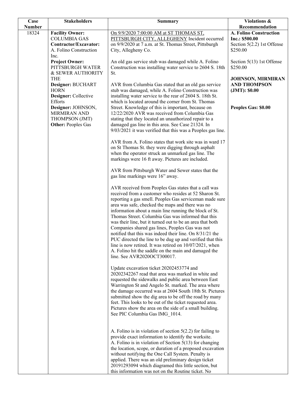| Case          | <b>Stakeholders</b>             | <b>Summary</b>                                                                                                   | Violations &                 |
|---------------|---------------------------------|------------------------------------------------------------------------------------------------------------------|------------------------------|
| <b>Number</b> |                                 |                                                                                                                  | Recommendation               |
| 18324         | <b>Facility Owner:</b>          | On 9/9/2020 7:00:00 AM at ST THOMAS ST,                                                                          | A. Folino Construction       |
|               | <b>COLUMBIA GAS</b>             | PITTSBURGH CITY, ALLEGHENY Incident occurred                                                                     | Inc.: \$500.00               |
|               | Contractor/Excavator:           | on 9/9/2020 at 7 a.m. at St. Thomas Street, Pittsburgh                                                           | Section $5(2.2)$ 1st Offense |
|               | A. Folino Construction          | City, Allegheny Co.                                                                                              | \$250.00                     |
|               | Inc.                            |                                                                                                                  |                              |
|               | <b>Project Owner:</b>           | An old gas service stub was damaged while A. Folino                                                              | Section $5(13)$ 1st Offense  |
|               | PITTSBURGH WATER                | Construction was installing water service to 2604 S. 18th                                                        | \$250.00                     |
|               | & SEWER AUTHORITY               | St.                                                                                                              |                              |
|               | <b>THE</b>                      |                                                                                                                  | JOHNSON, MIRMIRAN            |
|               | Designer: BUCHART               | AVR from Columbia Gas stated that an old gas service                                                             | <b>AND THOMPSON</b>          |
|               | <b>HORN</b>                     | stub was damaged, while A. Folino Construction was                                                               | (JMT): \$0.00                |
|               | Designer: Collective<br>Efforts | installing water service to the rear of 2604 S. 18th St.<br>which is located around the corner from St. Thomas   |                              |
|               | Designer: JOHNSON,              | Street. Knowledge of this is important, because on                                                               |                              |
|               | MIRMIRAN AND                    | 12/22/2020 AVR was received from Columbia Gas                                                                    | Peoples Gas: \$0.00          |
|               | THOMPSON (JMT)                  | stating that they located an unauthorized repair to a                                                            |                              |
|               | <b>Other: Peoples Gas</b>       | damaged gas line in this area. See Case 21324. In                                                                |                              |
|               |                                 | 9/03/2021 it was verified that this was a Peoples gas line.                                                      |                              |
|               |                                 |                                                                                                                  |                              |
|               |                                 | AVR from A. Folino states that work site was in ward 17                                                          |                              |
|               |                                 | on St Thomas St. they were digging through asphalt                                                               |                              |
|               |                                 | when the operator struck an unmarked gas line. The                                                               |                              |
|               |                                 | markings were 16 ft away. Pictures are included.                                                                 |                              |
|               |                                 |                                                                                                                  |                              |
|               |                                 | AVR from Pittsburgh Water and Sewer states that the                                                              |                              |
|               |                                 | gas line markings were 16" away.                                                                                 |                              |
|               |                                 |                                                                                                                  |                              |
|               |                                 | AVR received from Peoples Gas states that a call was                                                             |                              |
|               |                                 | received from a customer who resides at 52 Sharon St.                                                            |                              |
|               |                                 | reporting a gas smell. Peoples Gas serviceman made sure                                                          |                              |
|               |                                 | area was safe, checked the maps and there was no                                                                 |                              |
|               |                                 | information about a main line running the block of St.<br>Thomas Street. Columbia Gas was informed that this     |                              |
|               |                                 | was their line, but it turned out to be an area that both                                                        |                              |
|               |                                 | Companies shared gas lines, Peoples Gas was not                                                                  |                              |
|               |                                 | notified that this was indeed their line. On 8/31/21 the                                                         |                              |
|               |                                 | PUC directed the line to be dug up and verified that this                                                        |                              |
|               |                                 | line is now retired. It was retired on 10/07/2021, when                                                          |                              |
|               |                                 | A. Folino hit the saddle on the main and damaged the                                                             |                              |
|               |                                 | line. See AVR2020OCT300017.                                                                                      |                              |
|               |                                 |                                                                                                                  |                              |
|               |                                 | Update excavation ticket 20202453774 and                                                                         |                              |
|               |                                 | 20202342267 read that area was marked in white and                                                               |                              |
|               |                                 | requested the sidewalks and public area between East                                                             |                              |
|               |                                 | Warrington St and Angelo St. marked. The area where                                                              |                              |
|               |                                 | the damage occurred was at 2604 South 18th St. Pictures                                                          |                              |
|               |                                 | submitted show the dig area to be off the road by many                                                           |                              |
|               |                                 | feet. This looks to be out of the ticket requested area.                                                         |                              |
|               |                                 | Pictures show the area on the side of a small building.                                                          |                              |
|               |                                 | See PIC Columbia Gas IMG_1014.                                                                                   |                              |
|               |                                 |                                                                                                                  |                              |
|               |                                 |                                                                                                                  |                              |
|               |                                 | A. Folino is in violation of section $5(2.2)$ for failing to                                                     |                              |
|               |                                 | provide exact information to identify the worksite.<br>A. Folino is in violation of Section $5(13)$ for changing |                              |
|               |                                 | the location, scope, or duration of a proposed excavation                                                        |                              |
|               |                                 | without notifying the One Call System. Penalty is                                                                |                              |
|               |                                 | applied. There was an old preliminary design ticket                                                              |                              |
|               |                                 | 20191293094 which diagramed this little section, but                                                             |                              |
|               |                                 | this information was not on the Routine ticket. No                                                               |                              |
|               |                                 |                                                                                                                  |                              |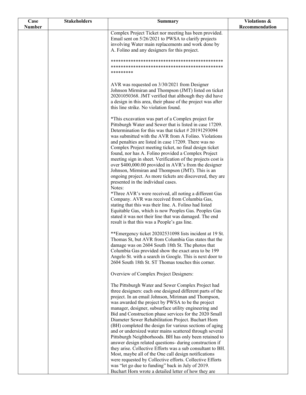| Case          | <b>Stakeholders</b> | Summary                                                                                                        | Violations &   |
|---------------|---------------------|----------------------------------------------------------------------------------------------------------------|----------------|
| <b>Number</b> |                     |                                                                                                                | Recommendation |
|               |                     | Complex Project Ticket nor meeting has been provided.                                                          |                |
|               |                     | Email sent on 5/26/2021 to PWSA to clarify projects<br>involving Water main replacements and work done by      |                |
|               |                     | A. Folino and any designers for this project.                                                                  |                |
|               |                     |                                                                                                                |                |
|               |                     |                                                                                                                |                |
|               |                     |                                                                                                                |                |
|               |                     | *********                                                                                                      |                |
|               |                     | AVR was requested on 3/30/2021 from Designer                                                                   |                |
|               |                     | Johnson Mirmiran and Thompson (JMT) listed on ticket                                                           |                |
|               |                     | 20201050368. JMT verified that although they did have                                                          |                |
|               |                     | a design in this area, their phase of the project was after                                                    |                |
|               |                     | this line strike. No violation found.                                                                          |                |
|               |                     |                                                                                                                |                |
|               |                     | *This excavation was part of a Complex project for<br>Pittsburgh Water and Sewer that is listed in case 17209. |                |
|               |                     | Determination for this was that ticket #20191293094                                                            |                |
|               |                     | was submitted with the AVR from A Folino. Violations                                                           |                |
|               |                     | and penalties are listed in case 17209. There was no                                                           |                |
|               |                     | Complex Project meeting ticket, no final design ticket                                                         |                |
|               |                     | found, nor has A. Folino provided a Complex Project                                                            |                |
|               |                     | meeting sign in sheet. Verification of the projects cost is                                                    |                |
|               |                     | over \$400,000.00 provided in AVR's from the designer<br>Johnson, Mirmiran and Thompson (JMT). This is an      |                |
|               |                     | ongoing project. As more tickets are discovered, they are                                                      |                |
|               |                     | presented in the individual cases.                                                                             |                |
|               |                     | Notes:                                                                                                         |                |
|               |                     | *Three AVR's were received, all noting a different Gas                                                         |                |
|               |                     | Company. AVR was received from Columbia Gas,                                                                   |                |
|               |                     | stating that this was their line. A. Folino had listed<br>Equitable Gas, which is now Peoples Gas. Peoples Gas |                |
|               |                     | stated it was not their line that was damaged. The end                                                         |                |
|               |                     | result is that this was a People's gas line.                                                                   |                |
|               |                     |                                                                                                                |                |
|               |                     | **Emergency ticket 20202531098 lists incident at 19 St.                                                        |                |
|               |                     | Thomas St, but AVR from Columbia Gas states that the                                                           |                |
|               |                     | damage was on 2604 South 18th St. The photos that<br>Columbia Gas provided show the exact area to be 199       |                |
|               |                     | Angelo St. with a search in Google. This is next door to                                                       |                |
|               |                     | 2604 South 18th St. ST Thomas touches this corner.                                                             |                |
|               |                     |                                                                                                                |                |
|               |                     | Overview of Complex Project Designers:                                                                         |                |
|               |                     | The Pittsburgh Water and Sewer Complex Project had                                                             |                |
|               |                     | three designers: each one designed different parts of the                                                      |                |
|               |                     | project. In an email Johnson, Miriman and Thompson,                                                            |                |
|               |                     | was awarded the project by PWSA to be the project                                                              |                |
|               |                     | manager, designer, subsurface utility engineering and                                                          |                |
|               |                     | Bid and Construction phase services for the 2020 Small<br>Diameter Sewer Rehabilitation Project. Buchart Horn  |                |
|               |                     | (BH) completed the design for various sections of aging                                                        |                |
|               |                     | and or undersized water mains scattered through several                                                        |                |
|               |                     | Pittsburgh Neighborhoods. BH has only been retained to                                                         |                |
|               |                     | answer design related questions- during construction if                                                        |                |
|               |                     | they arise. Collective Efforts was a sub consultant to BH.                                                     |                |
|               |                     | Most, maybe all of the One call design notifications                                                           |                |
|               |                     | were requested by Collective efforts. Collective Efforts<br>was "let go due to funding" back in July of 2019.  |                |
|               |                     | Buchart Horn wrote a detailed letter of how they are                                                           |                |
|               |                     |                                                                                                                |                |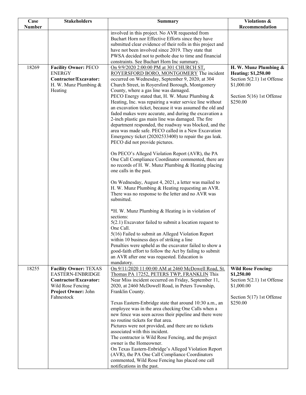| Case          | <b>Stakeholders</b>          | <b>Summary</b>                                                                                                | Violations &                |
|---------------|------------------------------|---------------------------------------------------------------------------------------------------------------|-----------------------------|
| <b>Number</b> |                              |                                                                                                               | Recommendation              |
|               |                              | involved in this project. No AVR requested from<br>Buchart Horn nor Effective Efforts since they have         |                             |
|               |                              | submitted clear evidence of their rolls in this project and                                                   |                             |
|               |                              | have not been involved since 2019. They state that                                                            |                             |
|               |                              | PWSA decided not to pothole due to time and financial                                                         |                             |
|               |                              | constraints. See Buchart Horn Inc summary.                                                                    |                             |
| 18269         | <b>Facility Owner: PECO</b>  | On 9/9/2020 2:00:00 PM at 301 CHURCH ST,                                                                      | H. W. Munz Plumbing &       |
|               | <b>ENERGY</b>                | ROYERSFORD BORO, MONTGOMERY The incident                                                                      | <b>Heating: \$1,250.00</b>  |
|               | Contractor/Excavator:        | occurred on Wednesday, September 9, 2020, at 304                                                              | Section 5(2.1) 1st Offense  |
|               | H. W. Munz Plumbing &        | Church Street, in Royersford Borough, Montgomery                                                              | \$1,000.00                  |
|               | Heating                      | County, where a gas line was damaged.<br>PECO Energy stated that, H. W. Munz Plumbing &                       | Section 5(16) 1st Offense   |
|               |                              | Heating, Inc. was repairing a water service line without                                                      | \$250.00                    |
|               |                              | an excavation ticket, because it was assumed the old and                                                      |                             |
|               |                              | faded makes were accurate, and during the excavation a                                                        |                             |
|               |                              | 2-inch plastic gas main line was damaged. The fire                                                            |                             |
|               |                              | department responded, the roadway was blocked, and the                                                        |                             |
|               |                              | area was made safe. PECO called in a New Excavation                                                           |                             |
|               |                              | Emergency ticket (20202533400) to repair the gas leak.                                                        |                             |
|               |                              | PECO did not provide pictures.                                                                                |                             |
|               |                              | On PECO's Alleged Violation Report (AVR), the PA                                                              |                             |
|               |                              | One Call Compliance Coordinator commented, there are                                                          |                             |
|               |                              | no records of H. W. Munz Plumbing & Heating placing                                                           |                             |
|               |                              | one calls in the past.                                                                                        |                             |
|               |                              |                                                                                                               |                             |
|               |                              | On Wednesday, August 4, 2021, a letter was mailed to                                                          |                             |
|               |                              | H. W. Munz Plumbing & Heating requesting an AVR.                                                              |                             |
|               |                              | There was no response to the letter and no AVR was                                                            |                             |
|               |                              | submitted.                                                                                                    |                             |
|               |                              | *H. W. Munz Plumbing & Heating is in violation of                                                             |                             |
|               |                              | sections:                                                                                                     |                             |
|               |                              | $5(2.1)$ Excavator failed to submit a location request to                                                     |                             |
|               |                              | One Call.                                                                                                     |                             |
|               |                              | 5(16) Failed to submit an Alleged Violation Report                                                            |                             |
|               |                              | within 10 business days of striking a line                                                                    |                             |
|               |                              | Penalties were upheld as the excavator failed to show a                                                       |                             |
|               |                              | good-faith effort to follow the Act by failing to submit                                                      |                             |
|               |                              | an AVR after one was requested. Education is<br>mandatory.                                                    |                             |
| 18255         | <b>Facility Owner: TEXAS</b> | On 9/11/2020 11:00:00 AM at 2460 McDowell Road, St.                                                           | <b>Wild Rose Fencing:</b>   |
|               | EASTERN-ENBRIDGE             | Thomas PA 17252, PETERS TWP, FRANKLIN This                                                                    | \$1,250.00                  |
|               | Contractor/Excavator:        | Near Miss incident occurred on Friday, September 11,                                                          | Section 5(2.1) 1st Offense  |
|               | Wild Rose Fencing            | 2020, at 2460 McDowell Road, in Peters Township,                                                              | \$1,000.00                  |
|               | Project Owner: John          | Franklin County.                                                                                              |                             |
|               | Fahnestock                   |                                                                                                               | Section $5(17)$ 1st Offense |
|               |                              | Texas Eastern-Enbridge state that around 10:30 a.m., an                                                       | \$250.00                    |
|               |                              | employee was in the area checking One Calls when a<br>new fence was seen across their pipeline and there were |                             |
|               |                              | no routine tickets for that area.                                                                             |                             |
|               |                              | Pictures were not provided, and there are no tickets                                                          |                             |
|               |                              | associated with this incident.                                                                                |                             |
|               |                              | The contractor is Wild Rose Fencing, and the project                                                          |                             |
|               |                              | owner is the Homeowner.                                                                                       |                             |
|               |                              | On Texas Eastern-Enbridge's Alleged Violation Report                                                          |                             |
|               |                              | (AVR), the PA One Call Compliance Coordinators                                                                |                             |
|               |                              | commented, Wild Rose Fencing has placed one call                                                              |                             |
|               |                              | notifications in the past.                                                                                    |                             |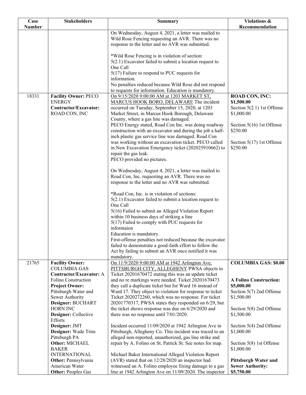| Case          | <b>Stakeholders</b>                     | <b>Summary</b>                                                                                                   | Violations &                           |
|---------------|-----------------------------------------|------------------------------------------------------------------------------------------------------------------|----------------------------------------|
| <b>Number</b> |                                         |                                                                                                                  | Recommendation                         |
|               |                                         | On Wednesday, August 4, 2021, a letter was mailed to                                                             |                                        |
|               |                                         | Wild Rose Fencing requesting an AVR. There was no                                                                |                                        |
|               |                                         | response to the letter and no AVR was submitted.                                                                 |                                        |
|               |                                         |                                                                                                                  |                                        |
|               |                                         | *Wild Rose Fencing is in violation of section:                                                                   |                                        |
|               |                                         | $5(2.1)$ Excavator failed to submit a location request to<br>One Call                                            |                                        |
|               |                                         |                                                                                                                  |                                        |
|               |                                         | $5(17)$ Failure to respond to PUC requests for<br>information.                                                   |                                        |
|               |                                         | No penalties reduced because Wild Rose did not respond                                                           |                                        |
|               |                                         | to requests for information. Education is mandatory.                                                             |                                        |
| 18331         | <b>Facility Owner: PECO</b>             | On 9/15/2020 9:00:00 AM at 1203 MARKET ST,                                                                       | <b>ROAD CON, INC:</b>                  |
|               | <b>ENERGY</b>                           | MARCUS HOOK BORO, DELAWARE The incident                                                                          | \$1,500.00                             |
|               | Contractor/Excavator:                   | occurred on Tuesday, September 15, 2020, at 1203                                                                 | Section $5(2.1)$ 1st Offense           |
|               | ROAD CON, INC                           | Market Street, in Marcus Hook Borough, Delaware                                                                  | \$1,000.00                             |
|               |                                         | County, where a gas line was damaged.                                                                            |                                        |
|               |                                         | PECO Energy stated, Road Con Inc. was doing roadway                                                              | Section $5(16)$ 1st Offense            |
|               |                                         | construction with an excavator and during the job a half-                                                        | \$250.00                               |
|               |                                         | inch plastic gas service line was damaged. Road Con                                                              |                                        |
|               |                                         | was working without an excavation ticket. PECO called                                                            | Section $5(17)$ 1st Offense            |
|               |                                         | in New Excavation Emergency ticket (202025910662) to                                                             | \$250.00                               |
|               |                                         | repair the gas leak.                                                                                             |                                        |
|               |                                         | PECO provided no pictures.                                                                                       |                                        |
|               |                                         |                                                                                                                  |                                        |
|               |                                         | On Wednesday, August 4, 2021, a letter was mailed to                                                             |                                        |
|               |                                         | Road Con, Inc. requesting an AVR. There was no                                                                   |                                        |
|               |                                         | response to the letter and no AVR was submitted.                                                                 |                                        |
|               |                                         |                                                                                                                  |                                        |
|               |                                         | *Road Con, Inc. is in violation of sections:                                                                     |                                        |
|               |                                         | $5(2.1)$ Excavator failed to submit a location request to<br>One Call                                            |                                        |
|               |                                         | 5(16) Failed to submit an Alleged Violation Report                                                               |                                        |
|               |                                         | within 10 business days of striking a line                                                                       |                                        |
|               |                                         | 5(17) Failed to comply with PUC requests for                                                                     |                                        |
|               |                                         | informaion                                                                                                       |                                        |
|               |                                         | Education is mandatory.                                                                                          |                                        |
|               |                                         | First-offense penalties not reduced because the excavator                                                        |                                        |
|               |                                         | failed to demonstrate a good-faith effort to follow the                                                          |                                        |
|               |                                         | Act by failing to submit an AVR once notified it was                                                             |                                        |
|               |                                         | mandatory.                                                                                                       |                                        |
| 21765         | <b>Facility Owner:</b>                  | On 11/9/2020 9:00:00 AM at 1942 Arlington Ave,                                                                   | <b>COLUMBIA GAS: \$0.00</b>            |
|               | <b>COLUMBIA GAS</b>                     | PITTSBURGH CITY, ALLEGHENY PWSA objects to                                                                       |                                        |
|               | <b>Contractor/Excavator: A</b>          | Ticket 20201670472 stating this was an update ticket                                                             |                                        |
|               | Folino Construction                     | and no re markings were needed. Ticket 20201670473                                                               | <b>A Folino Construction:</b>          |
|               | <b>Project Owner:</b>                   | they call a duplicate ticket but for Ward 16 instead of                                                          | \$5,000.00                             |
|               | Pittsburgh Water and<br>Sewer Authority | Ward 17. They object to violation for response to ticket<br>Ticket 2020272260, which was no response. For ticket | Section 5(7) 2nd Offense<br>\$1,500.00 |
|               | Designer: BUCHART                       | 20201770317, PWSA states they responded on 6/29, but                                                             |                                        |
|               | <b>HORN INC</b>                         | the ticket shows response was due on 6/29/2020 and                                                               | Section 5(8) 2nd Offense               |
|               | Designer: Collective                    | there was no response until 7/01/2020.                                                                           | \$1,500.00                             |
|               | Efforts                                 |                                                                                                                  |                                        |
|               | Designer: JMT                           | Incident occurred 11/09/2020 at 1942 Arlington Ave in                                                            | Section 5(4) 2nd Offense               |
|               | Designer: Wade Trim                     | Pittsburgh, Allegheny Co. This incident was traced to an                                                         | \$1,000.00                             |
|               | Pittsburgh PA                           | alleged non-reported, unauthorized, gas line strike and                                                          |                                        |
|               | Other: MICHAEL                          | repair by A. Folino on St. Patrick St. See notes for map.                                                        | Section 5(8) 1st Offense               |
|               | <b>BAKER</b>                            |                                                                                                                  | \$1,000.00                             |
|               | <b>INTERNATIONAL</b>                    | Michael Baker International Alleged Violation Report                                                             |                                        |
|               | Other: Pennsylvania                     | (AVR) stated that on 12/28/2020 an inspector had                                                                 | <b>Pittsburgh Water and</b>            |
|               | American Water                          | witnessed an A. Folino employee fixing damage to a gas                                                           | <b>Sewer Authority:</b>                |
|               | <b>Other: Peoples Gas</b>               | line at 1942 Arlington Ave on 11/09/2020. The inspector                                                          | \$5,750.00                             |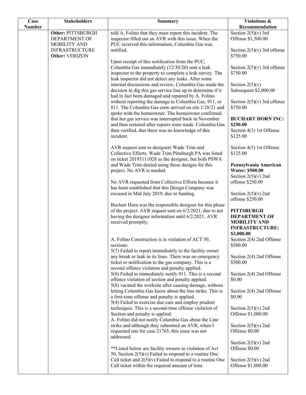| Case          | <b>Stakeholders</b>      | <b>Summary</b>                                               | Violations &                  |
|---------------|--------------------------|--------------------------------------------------------------|-------------------------------|
| <b>Number</b> |                          |                                                              | Recommendation                |
|               | <b>Other: PITTSBURGH</b> | told A. Folino that they must report this incident. The      | Section $2(5)(v)$ 3rd         |
|               | DEPARTMENT OF            | inspector filled out an AVR with this issue. When the        | Offense \$1,500.00            |
|               | MOBILITY AND             | PUC received this information, Columbia Gas was              |                               |
|               | <b>INFRASTRUCTURE</b>    | notified.                                                    | Section $2(5)(v)$ 3rd offense |
|               | Other: VERIZON           |                                                              | \$750.00                      |
|               |                          | Upon receipt of this notification from the PUC,              |                               |
|               |                          | Columbia Gas immediately (12/30/20) sent a leak              | Section $2(5)(v)$ 3rd offense |
|               |                          | inspector to the property to complete a leak survey. The     | \$750.00                      |
|               |                          | leak inspector did not detect any leaks. After some          |                               |
|               |                          | internal discussions and review, Columbia Gas made the       | Section $2(5)(v)$             |
|               |                          | decision to dig this gas service line up to determine if it  | Subsequent \$2,000.00         |
|               |                          | had in fact been damaged and repaired by A. Folino           |                               |
|               |                          | without reporting the damage to Columbia Gas, 911, or        | Section $2(5)(v)$ 3rd offense |
|               |                          | 811. The Columbia Gas crew arrived on site 1/28/21 and       | \$750.00                      |
|               |                          | spoke with the homeowner. The homeowner confirmed            |                               |
|               |                          | that her gas service was interrupted back in November        | <b>BUCHART HORN INC:</b>      |
|               |                          | and then restored after repairs were made. Columbia Gas      | \$250.00                      |
|               |                          | then verified, that there was no knowledge of this           | Section 4(3) 1st Offense      |
|               |                          | incident.                                                    | \$125.00                      |
|               |                          |                                                              |                               |
|               |                          | AVR request sent to designers Wade Trim and                  | Section 4(5) 1st Offense      |
|               |                          | Collective Efforts. Wade Trim Pittsburgh PA was listed       | \$125.00                      |
|               |                          | on ticket 20193111028 as the designer, but both PSWA         |                               |
|               |                          | and Wade Trim denied using those designs for this            | Pennsylvania American         |
|               |                          | project. No AVR is needed.                                   | <b>Water: \$500.00</b>        |
|               |                          |                                                              | Section $2(5)(v)$ 2nd         |
|               |                          | No AVR requested from Collective Efforts because it          | offense \$250.00              |
|               |                          | has been established that this Design Company was            |                               |
|               |                          | excused in Mid July 2019, due to funding.                    | Section $2(5)(v)$ 2nd         |
|               |                          |                                                              | offense \$250.00              |
|               |                          | Buchart Horn was the responsible designer for this phase     |                               |
|               |                          | of the project. AVR request sent on 6/2/2021, due to not     | <b>PITTSBURGH</b>             |
|               |                          | having the designer information until 6/2/2021. AVR          | <b>DEPARTMENT OF</b>          |
|               |                          | received promptly.                                           | <b>MOBILITY AND</b>           |
|               |                          |                                                              | <b>INFRASTRUCTURE:</b>        |
|               |                          |                                                              | \$3,000.00                    |
|               |                          | A. Folino Construction is in violation of ACT 50,            | Section 2(4) 2nd Offense      |
|               |                          | sections:                                                    | \$500.00                      |
|               |                          | $5(7)$ Failed to report immediately to the facility owner    |                               |
|               |                          | any break or leak in its lines. There was no emergency       | Section 2(4) 2nd Offense      |
|               |                          | ticket or notification to the gas company. This is a         | \$500.00                      |
|               |                          | second offence violation and penalty applied.                |                               |
|               |                          | 5(8) Failed to immediately notify 911. This is a second      | Section 2(4) 2nd Offense      |
|               |                          | offence violation of section and penalty applied.            | \$0.00                        |
|               |                          | 5(8) vacated the worksite after causing damage, without      |                               |
|               |                          | letting Columbia Gas know about the line strike. This is     | Section 2(4) 2nd Offense      |
|               |                          | a first-time offense and penalty is applied.                 | \$0.00                        |
|               |                          | 5(4) Failed to exercise due care and employ prudent          |                               |
|               |                          | techniques. This is a second-time offense violation of       | Section $2(5)(v)$ 2nd         |
|               |                          | Section and penalty is applied.                              | Offense \$1,000.00            |
|               |                          | A. Folino did not notify Columbia Gas about the Line         |                               |
|               |                          | strike and although they submitted an AVR, when I            | Section $2(5)(v)$ 2nd         |
|               |                          | requested one for case 21765, this issue was not             | Offense \$0.00                |
|               |                          | addressed.                                                   |                               |
|               |                          |                                                              | Section $2(5)(v)$ 2nd         |
|               |                          | **Listed below are facility owners in violation of Act       | Offense \$0.00                |
|               |                          | 50, Section $2(5)(v)$ Failed to respond to a routine One     |                               |
|               |                          | Call ticket and $2(5)(v)$ Failed to respond to a routine One | Section $2(5)(v)$ 2nd         |
|               |                          | Call ticket within the required amount of time.              | Offense \$1,000.00            |
|               |                          |                                                              |                               |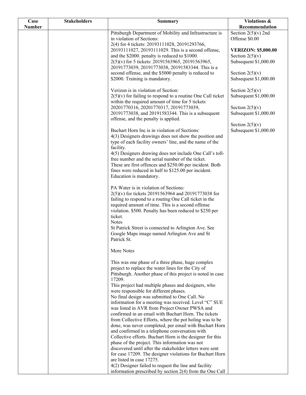| Case          | <b>Stakeholders</b> | <b>Summary</b>                                                                                                                                                                                                                                                                                    | Violations &                                                             |
|---------------|---------------------|---------------------------------------------------------------------------------------------------------------------------------------------------------------------------------------------------------------------------------------------------------------------------------------------------|--------------------------------------------------------------------------|
| <b>Number</b> |                     |                                                                                                                                                                                                                                                                                                   | Recommendation                                                           |
|               |                     | Pittsburgh Department of Mobility and Infrastructure is<br>in violation of Sections:<br>2(4) for 4 tickets: 20193111028, 20191293766,                                                                                                                                                             | Section $2(5)(v)$ 2nd<br>Offense \$0.00                                  |
|               |                     | 20193111027, 20193111029. This is a second offense,<br>and the \$2000. penalty is reduced to \$1000.<br>2(5)(v) for 5 tickets: 20191563965, 20191563965,<br>20191773039, 20191773038, 20191583344. This is a                                                                                      | <b>VERIZON: \$5,000.00</b><br>Section $2(5)(v)$<br>Subsequent \$1,000.00 |
|               |                     | second offense, and the \$5000 penalty is reduced to<br>\$2000. Training is mandatory.                                                                                                                                                                                                            | Section $2(5)(v)$<br>Subsequent \$1,000.00                               |
|               |                     | Verizon is in violation of Section:<br>$2(5)(v)$ for failing to respond to a routine One Call ticket<br>within the required amount of time for 5 tickets                                                                                                                                          | Section $2(5)(v)$<br>Subsequent \$1,000.00                               |
|               |                     | 20201770316, 20201770317, 20191773039,<br>20191773038, and 20191583344. This is a subsequent                                                                                                                                                                                                      | Section $2(5)(v)$<br>Subsequent \$1,000.00                               |
|               |                     | offense, and the penalty is applied.                                                                                                                                                                                                                                                              |                                                                          |
|               |                     | Buchart Horn Inc is in violation of Sections:<br>4(3) Designers drawings does not show the position and<br>type of each facility owners' line, and the name of the                                                                                                                                | Section $2(5)(v)$<br>Subsequent \$1,000.00                               |
|               |                     | facility.<br>4(5) Designers drawing does not include One Call's toll-                                                                                                                                                                                                                             |                                                                          |
|               |                     | free number and the serial number of the ticket.<br>These are first offences and \$250.00 per incident. Both<br>fines were reduced in half to \$125.00 per incident.<br>Education is mandatory.                                                                                                   |                                                                          |
|               |                     | PA Water is in violation of Sections:<br>2(5)(v) for tickets 20191563964 and 20191773038 for<br>failing to respond to a routing One Call ticket in the<br>required amount of time. This is a second offense<br>violation. \$500. Penalty has been reduced to \$250 per<br>ticket.<br><b>Notes</b> |                                                                          |
|               |                     | St Patrick Street is connected to Arlington Ave. See<br>Google Maps image named Arlington Ave and St<br>Patrick St.                                                                                                                                                                               |                                                                          |
|               |                     | More Notes                                                                                                                                                                                                                                                                                        |                                                                          |
|               |                     | This was one phase of a three phase, huge complex<br>project to replace the water lines for the City of<br>Pittsburgh. Another phase of this project is noted in case<br>17209.                                                                                                                   |                                                                          |
|               |                     | This project had multiple phases and designers, who<br>were responsible for different phases.                                                                                                                                                                                                     |                                                                          |
|               |                     | No final design was submitted to One Call. No<br>information for a meeting was received. Level "C" SUE<br>was listed in AVR from Project Owner PWSA and                                                                                                                                           |                                                                          |
|               |                     | confirmed in an email with Buchart Horn. The tickets<br>from Collective Efforts, where the pot holing was to be<br>done, was never completed, per email with Buchart Horn                                                                                                                         |                                                                          |
|               |                     | and confirmed in a telephone conversation with<br>Collective efforts. Buchart Horn is the designer for this                                                                                                                                                                                       |                                                                          |
|               |                     | phase of the project. This information was not<br>discovered until after the stakeholder letters were sent<br>for case 17209. The designer violations for Buchart Horn                                                                                                                            |                                                                          |
|               |                     | are listed in case 17275.<br>4(2) Designer failed to request the line and facility<br>information prescribed by section 2(4) from the One Call                                                                                                                                                    |                                                                          |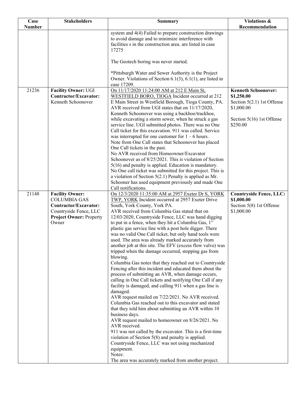| Case          | <b>Stakeholders</b>                                                                                                                         | <b>Summary</b>                                                                                                                                                                                                                                                                                                                                                                                                                                                                                                                                                                                                                                                                                                                                                                                                                                                                                                                                                                                                                                                                                                                                                                                                                                                                                                                                                                                                                                     | Violations &                                                                                                                    |
|---------------|---------------------------------------------------------------------------------------------------------------------------------------------|----------------------------------------------------------------------------------------------------------------------------------------------------------------------------------------------------------------------------------------------------------------------------------------------------------------------------------------------------------------------------------------------------------------------------------------------------------------------------------------------------------------------------------------------------------------------------------------------------------------------------------------------------------------------------------------------------------------------------------------------------------------------------------------------------------------------------------------------------------------------------------------------------------------------------------------------------------------------------------------------------------------------------------------------------------------------------------------------------------------------------------------------------------------------------------------------------------------------------------------------------------------------------------------------------------------------------------------------------------------------------------------------------------------------------------------------------|---------------------------------------------------------------------------------------------------------------------------------|
| <b>Number</b> |                                                                                                                                             |                                                                                                                                                                                                                                                                                                                                                                                                                                                                                                                                                                                                                                                                                                                                                                                                                                                                                                                                                                                                                                                                                                                                                                                                                                                                                                                                                                                                                                                    | Recommendation                                                                                                                  |
|               |                                                                                                                                             | system and 4(4) Failed to prepare construction drawings<br>to avoid damage and to minimize interference with<br>facilities s in the construction area. are listed in case<br>17275                                                                                                                                                                                                                                                                                                                                                                                                                                                                                                                                                                                                                                                                                                                                                                                                                                                                                                                                                                                                                                                                                                                                                                                                                                                                 |                                                                                                                                 |
|               |                                                                                                                                             | The Geotech boring was never started.                                                                                                                                                                                                                                                                                                                                                                                                                                                                                                                                                                                                                                                                                                                                                                                                                                                                                                                                                                                                                                                                                                                                                                                                                                                                                                                                                                                                              |                                                                                                                                 |
|               |                                                                                                                                             | *Pittsburgh Water and Sewer Authority is the Project<br>Owner. Violations of Section 6.1(3), 6.1(1), are listed in<br>case 17209.                                                                                                                                                                                                                                                                                                                                                                                                                                                                                                                                                                                                                                                                                                                                                                                                                                                                                                                                                                                                                                                                                                                                                                                                                                                                                                                  |                                                                                                                                 |
| 21236         | <b>Facility Owner: UGI</b><br>Contractor/Excavator:<br>Kenneth Schoonover                                                                   | On 11/17/2020 11:24:00 AM at 212 E Main St,<br>WESTFIELD BORO, TIOGA Incident occurred at 212<br>E Main Street in Westfield Borough, Tioga County, PA.<br>AVR received from UGI states that on 11/17/2020,<br>Kenneth Schoonover was using a backhoe/trackhoe,<br>while excavating a storm sewer, when he struck a gas<br>service line. UGI submitted photos. There was no One<br>Call ticket for this excavation. 911 was called. Service<br>was interrupted for one customer for $1 - 6$ hours.<br>Note from One Call states that Schoonover has placed<br>One Call tickets in the past.<br>No AVR received from Homeowner/Excavator                                                                                                                                                                                                                                                                                                                                                                                                                                                                                                                                                                                                                                                                                                                                                                                                             | <b>Kenneth Schoonover:</b><br>\$1,250.00<br>Section $5(2.1)$ 1st Offense<br>\$1,000.00<br>Section 5(16) 1st Offense<br>\$250.00 |
| 21148         |                                                                                                                                             | Schoonover as of 8/25/2021. This is violation of Section<br>5(16) and penalty is applied. Education is mandatory.<br>No One call ticket was submitted for this project. This is<br>a violation of Section $5(2.1)$ Penalty is applied as Mr.<br>Schooner has used equipment previously and made One<br>Call notifications.                                                                                                                                                                                                                                                                                                                                                                                                                                                                                                                                                                                                                                                                                                                                                                                                                                                                                                                                                                                                                                                                                                                         |                                                                                                                                 |
|               | <b>Facility Owner:</b><br><b>COLUMBIA GAS</b><br>Contractor/Excavator:<br>Countryside Fence, LLC<br><b>Project Owner: Property</b><br>Owner | On 12/3/2020 11:35:00 AM at 2957 Exeter Dr S, YORK<br>TWP, YORK Incident occurred at 2957 Exeter Drive<br>South, York County, York PA.<br>AVR received from Columbia Gas stated that on<br>12/03/2020, Countryside Fence, LLC was hand digging<br>to put in a fence, when they hit a Columbia Gas, 1"<br>plastic gas service line with a post hole digger. There<br>was no valid One Call ticket, but only hand tools were<br>used. The area was already marked accurately from<br>another job at this site. The EFV (excess flow valve) was<br>tripped when the damage occurred, stopping gas from<br>blowing.<br>Columbia Gas notes that they reached out to Countryside<br>Fencing after this incident and educated them about the<br>process of submitting an AVR, when damage occurs,<br>calling in One Call tickets and notifying One Call if any<br>facility is damaged, and calling 911 when a gas line is<br>damaged.<br>AVR request mailed on 7/22/2021. No AVR received.<br>Columbia Gas reached out to this excavator and stated<br>that they told him about submitting an AVR within 10<br>business days.<br>AVR request mailed to homeowner on 8/26/2021. No<br>AVR received.<br>911 was not called by the excavator. This is a first-time<br>violation of Section $5(8)$ and penalty is applied.<br>Countryside Fence, LLC was not using mechanized<br>equipment.<br>Notes:<br>The area was accurately marked from another project. | <b>Countryside Fence, LLC:</b><br>\$1,000.00<br>Section 5(8) 1st Offense<br>\$1,000.00                                          |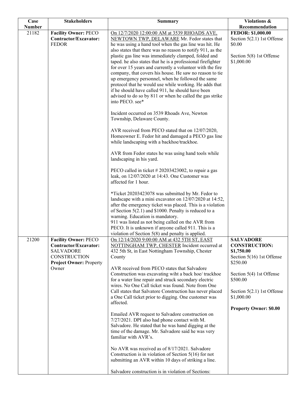| Case          | <b>Stakeholders</b>                                                                      | <b>Summary</b>                                                                                                                                                                                                                                                                                                                                                                                                                                                                                                                                               | Violations &                                                                                                                    |
|---------------|------------------------------------------------------------------------------------------|--------------------------------------------------------------------------------------------------------------------------------------------------------------------------------------------------------------------------------------------------------------------------------------------------------------------------------------------------------------------------------------------------------------------------------------------------------------------------------------------------------------------------------------------------------------|---------------------------------------------------------------------------------------------------------------------------------|
| <b>Number</b> |                                                                                          |                                                                                                                                                                                                                                                                                                                                                                                                                                                                                                                                                              | Recommendation                                                                                                                  |
| 21182         | <b>Facility Owner: PECO</b><br>Contractor/Excavator:<br><b>FEDOR</b>                     | On 12/7/2020 12:00:00 AM at 3539 RHOADS AVE.<br>NEWTOWN TWP, DELAWARE Mr. Fedor states that<br>he was using a hand tool when the gas line was hit. He                                                                                                                                                                                                                                                                                                                                                                                                        | <b>FEDOR: \$1,000.00</b><br>Section $5(2.1)$ 1st Offense<br>\$0.00                                                              |
|               |                                                                                          | also states that there was no reason to notify 911, as the<br>plastic gas line was immediately clamped, folded and<br>taped. he also states that he is a professional firefighter<br>for over 15 years and currently a volunteer with the fire<br>company, that covers his house. He saw no reason to tie<br>up emergency personnel, when he followed the same<br>protocol that he would use while working. He adds that<br>if he should have called 911, he should have been<br>advised to do so by 811 or when he called the gas strike<br>into PECO. see* | Section 5(8) 1st Offense<br>\$1,000.00                                                                                          |
|               |                                                                                          | Incident occurred on 3539 Rhoads Ave, Newton<br>Township, Delaware County.                                                                                                                                                                                                                                                                                                                                                                                                                                                                                   |                                                                                                                                 |
|               |                                                                                          | AVR received from PECO stated that on 12/07/2020,<br>Homeowner E. Fedor hit and damaged a PECO gas line<br>while landscaping with a backhoe/trackhoe.                                                                                                                                                                                                                                                                                                                                                                                                        |                                                                                                                                 |
|               |                                                                                          | AVR from Fedor states he was using hand tools while<br>landscaping in his yard.                                                                                                                                                                                                                                                                                                                                                                                                                                                                              |                                                                                                                                 |
|               |                                                                                          | PECO called in ticket # 20203423002, to repair a gas<br>leak, on 12/07/2020 at 14:43. One Customer was<br>affected for 1 hour.                                                                                                                                                                                                                                                                                                                                                                                                                               |                                                                                                                                 |
|               |                                                                                          | *Ticket 20203423078 was submitted by Mr. Fedor to<br>landscape with a mini excavator on 12/07/2020 at 14:52,<br>after the emergency ticket was placed. This is a violation<br>of Section $5(2.1)$ and \$1000. Penalty is reduced to a<br>warning. Education is mandatory.<br>911 was listed as not being called on the AVR from<br>PECO. It is unknown if anyone called 911. This is a<br>violation of Section $5(8)$ and penalty is applied.                                                                                                                |                                                                                                                                 |
| 21200         | <b>Facility Owner: PECO</b><br>Contractor/Excavator:<br><b>SALVADORE</b><br>CONSTRUCTION | On 12/14/2020 9:00:00 AM at 432 5TH ST, EAST<br>NOTTINGHAM TWP, CHESTER Incident occurred at<br>432 5th St, in East Nottingham Township, Chester<br>County                                                                                                                                                                                                                                                                                                                                                                                                   | <b>SALVADORE</b><br><b>CONSTRUCTION:</b><br>\$1,750.00<br>Section 5(16) 1st Offense                                             |
|               | <b>Project Owner: Property</b><br>Owner                                                  | AVR received from PECO states that Salvadore<br>Construction was excavating wiht a back hoe/trackhoe<br>for a water line repair and struck secondary electric<br>wires. No One Call ticket was found. Note from One<br>Call states that Salvatore Construction has never placed<br>a One Call ticket prior to digging. One customer was<br>affected.                                                                                                                                                                                                         | \$250.00<br>Section 5(4) 1st Offense<br>\$500.00<br>Section $5(2.1)$ 1st Offense<br>\$1,000.00<br><b>Property Owner: \$0.00</b> |
|               |                                                                                          | Emailed AVR request to Salvadore construction on<br>7/27/2021. DPI also had phone contact with M.<br>Salvadore. He stated that he was hand digging at the<br>time of the damage. Mr. Salvadore said he was very<br>familiar with AVR's.                                                                                                                                                                                                                                                                                                                      |                                                                                                                                 |
|               |                                                                                          | No AVR was received as of 8/17/2021. Salvadore<br>Construction is in violation of Section $5(16)$ for not<br>submitting an AVR within 10 days of striking a line.                                                                                                                                                                                                                                                                                                                                                                                            |                                                                                                                                 |
|               |                                                                                          | Salvadore construction is in violation of Sections:                                                                                                                                                                                                                                                                                                                                                                                                                                                                                                          |                                                                                                                                 |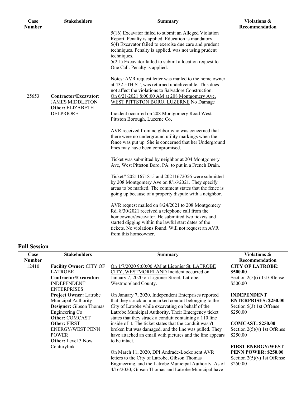| Case          | <b>Stakeholders</b>                                                                     | <b>Summary</b>                                                                                                                                                                                                                                                                                                                                                                                                                                                                                                                                                                                                                                                                                                                                                                                                                                                                                                                                                                                                                               | Violations &   |
|---------------|-----------------------------------------------------------------------------------------|----------------------------------------------------------------------------------------------------------------------------------------------------------------------------------------------------------------------------------------------------------------------------------------------------------------------------------------------------------------------------------------------------------------------------------------------------------------------------------------------------------------------------------------------------------------------------------------------------------------------------------------------------------------------------------------------------------------------------------------------------------------------------------------------------------------------------------------------------------------------------------------------------------------------------------------------------------------------------------------------------------------------------------------------|----------------|
| <b>Number</b> |                                                                                         | 5(16) Excavator failed to submit an Alleged Violation<br>Report. Penalty is applied. Education is mandatory.<br>5(4) Excavator failed to exercise due care and prudent<br>techniques. Penalty is applied. was not using prudent<br>techniques.<br>5(2.1) Excavator failed to submit a location request to<br>One Call. Penalty is applied.                                                                                                                                                                                                                                                                                                                                                                                                                                                                                                                                                                                                                                                                                                   | Recommendation |
|               |                                                                                         | Notes: AVR request letter was mailed to the home owner<br>at 432 5TH ST, was returned undeliverable. This does<br>not affect the violations to Salvadore Construction.                                                                                                                                                                                                                                                                                                                                                                                                                                                                                                                                                                                                                                                                                                                                                                                                                                                                       |                |
| 25653         | Contractor/Excavator:<br><b>JAMES MIDDLETON</b><br>Other: ELIZABETH<br><b>DELPRIORE</b> | On 6/21/2021 8:00:00 AM at 208 Montgomery Ave,<br>WEST PITTSTON BORO, LUZERNE No Damage<br>Incident occurred on 208 Montgomery Road West<br>Pittston Borough, Luzerne Co,<br>AVR received from neighbor who was concerned that<br>there were no underground utility markings when the<br>fence was put up. She is concerned that her Underground<br>lines may have been compromised.<br>Ticket was submitted by neighbor at 204 Montgomery<br>Ave, West Pittston Boro, PA. to put in a French Drain.<br>Ticket# 20211671815 and 20211672056 were submitted<br>by 208 Montgomery Ave on 8/16/2021. They specify<br>areas to be marked. The comment states that the fence is<br>going up because of a property dispute with a neighbor.<br>AVR request mailed on 8/24/2021 to 208 Montgomery<br>Rd. 8/30/2021 received a telephone call from the<br>homeowner/excavator. He submitted two tickets and<br>started digging within the lawful start dates of the<br>tickets. No violations found. Will not request an AVR<br>from this homeowner. |                |

#### **Full Session**

| Case          | <b>Stakeholders</b>            | Summary                                                   | <b>Violations &amp;</b>       |
|---------------|--------------------------------|-----------------------------------------------------------|-------------------------------|
| <b>Number</b> |                                |                                                           | Recommendation                |
| 12410         | <b>Facility Owner: CITY OF</b> | On 1/7/2020 9:00:00 AM at Ligonier St, LATROBE            | <b>CITY OF LATROBE:</b>       |
|               | <b>LATROBE</b>                 | CITY, WESTMORELAND Incident occurred on                   | \$500.00                      |
|               | Contractor/Excavator:          | January 7, 2020 on Ligioner Street, Latrobe,              | Section $2(5)(i)$ 1st Offense |
|               | <b>INDEPENDENT</b>             | Westmoreland County.                                      | \$500.00                      |
|               | <b>ENTERPRISES</b>             |                                                           |                               |
|               | <b>Project Owner: Latrobe</b>  | On January 7, 2020, Independent Enterprises reported      | <b>INDEPENDENT</b>            |
|               | Municipal Authority            | that they struck an unmarked conduit belonging to the     | <b>ENTERPRISES: \$250.00</b>  |
|               | Designer: Gibson Thomas        | City of Latrobe while excavating on behalf of the         | Section 5(3) 1st Offense      |
|               | Engineering Co                 | Latrobe Municipal Authority. Their Emergency ticket       | \$250.00                      |
|               | <b>Other: COMCAST</b>          | states that they struck a conduit containing a 110 line   |                               |
|               | <b>Other: FIRST</b>            | inside of it. The ticket states that the conduit wasn't   | <b>COMCAST: \$250.00</b>      |
|               | <b>ENERGY/WEST PENN</b>        | broken but was damaged, and the line was pulled. They     | Section $2(5)(v)$ 1st Offense |
|               | <b>POWER</b>                   | have attached an email with pictures and the line appears | \$250.00                      |
|               | <b>Other:</b> Level 3 Now      | to be intact.                                             |                               |
|               | Centurylink                    |                                                           | <b>FIRST ENERGY/WEST</b>      |
|               |                                | On March 11, 2020, DPI Andrade-Locke sent AVR             | <b>PENN POWER: \$250.00</b>   |
|               |                                | letters to the City of Latrobe, Gibson Thomas             | Section $2(5)(v)$ 1st Offense |
|               |                                | Engineering, and the Latrobe Municipal Authority. As of   | \$250.00                      |
|               |                                | 4/16/2020, Gibson Thomas and Latrobe Municipal have       |                               |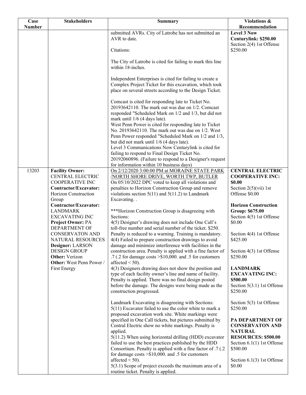| Case          | <b>Stakeholders</b>                                                                                                                                     | <b>Summary</b>                                                                                                                                                                                                                                                                                                 | Violations $\overline{\mathbf{\&}}$                                                                                                                                  |
|---------------|---------------------------------------------------------------------------------------------------------------------------------------------------------|----------------------------------------------------------------------------------------------------------------------------------------------------------------------------------------------------------------------------------------------------------------------------------------------------------------|----------------------------------------------------------------------------------------------------------------------------------------------------------------------|
| <b>Number</b> |                                                                                                                                                         |                                                                                                                                                                                                                                                                                                                | Recommendation                                                                                                                                                       |
|               |                                                                                                                                                         | submitted AVRs. City of Latrobe has not submitted an<br>AVR to date.<br>Citations:                                                                                                                                                                                                                             | <b>Level 3 Now</b><br>Centurylink: \$250.00<br>Section 2(4) 1st Offense<br>\$250.00                                                                                  |
|               |                                                                                                                                                         | The City of Latrobe is cited for failing to mark this line                                                                                                                                                                                                                                                     |                                                                                                                                                                      |
|               |                                                                                                                                                         | within 18-inches.                                                                                                                                                                                                                                                                                              |                                                                                                                                                                      |
|               |                                                                                                                                                         | Independent Enterprises is cited for failing to create a<br>Complex Project Ticket for this excavation, which took<br>place on several streets according to the Design Ticket.                                                                                                                                 |                                                                                                                                                                      |
|               |                                                                                                                                                         | Comcast is cited for responding late to Ticket No.<br>20193642110. The mark out was due on 1/2. Comcast<br>responded "Scheduled Mark on 1/2 and 1/3, but did not<br>mark until 1/6 (4 days late).<br>West Penn Power is cited for responding late to Ticket                                                    |                                                                                                                                                                      |
|               |                                                                                                                                                         | No. 20193642110. The mark out was due on 1/2. West<br>Penn Power responded "Scheduled Mark on 1/2 and 1/3,<br>but did not mark until 1/6 (4 days late).                                                                                                                                                        |                                                                                                                                                                      |
|               |                                                                                                                                                         | Level 3 Communications Now Centurylink is cited for<br>failing to respond to Final Design Ticket No.<br>20192060896. (Failure to respond to a Designer's request                                                                                                                                               |                                                                                                                                                                      |
|               |                                                                                                                                                         | for information within 10 business days)                                                                                                                                                                                                                                                                       |                                                                                                                                                                      |
| 13203         | <b>Facility Owner:</b><br>CENTRAL ELECTRIC<br><b>COOPERATIVE INC</b><br>Contractor/Excavator:<br>Horizon Construction<br>Group<br>Contractor/Excavator: | On 2/12/2020 3:00:00 PM at MORAINE STATE PARK<br><b>NORTH SHORE DRIVE, WORTH TWP, BUTLER</b><br>On 05/10/2022 DPC voted to keep all violations and<br>penalties to Horizon Construction Group and remove<br>violations section $5(11)$ and $5(11.2)$ to Landmark<br>Excavating                                 | <b>CENTRAL ELECTRIC</b><br><b>COOPERATIVE INC:</b><br>\$0.00<br>Section $2(5)(\n \n \tilde{\text{v}}\text{ii})$ 1st<br>Offense \$0.00<br><b>Horizon Construction</b> |
|               | <b>LANDMARK</b><br><b>EXCAVATING INC</b><br>Project Owner: PA                                                                                           | ***Horizon Construction Group is disagreeing with<br>Sections:<br>4(5) Designer's drawing does not include One Call's                                                                                                                                                                                          | <b>Group: \$675.00</b><br>Section 4(5) 1st Offense<br>\$0.00                                                                                                         |
|               | DEPARTMENT OF<br><b>CONSERVATON AND</b><br>NATURAL RESOURCES<br>Designer: LARSON                                                                        | toll-free number and serial number of the ticket. \$250.<br>Penalty is reduced to a warning. Training is mandatory.<br>4(4) Failed to prepare construction drawings to avoid<br>damage and minimize interference with facilities in the                                                                        | Section 4(4) 1st Offense<br>\$425.00                                                                                                                                 |
|               | <b>DESIGN GROUP</b><br><b>Other:</b> Verizon<br>Other: West Penn Power /                                                                                | construction area. Penalty is applied with a fine factor of<br>.7 (.2 for damage costs $\geq$ \$10,000. and .5 for customers<br>affected $\leq 50$ ).                                                                                                                                                          | Section 4(3) 1st Offense<br>\$250.00                                                                                                                                 |
|               | First Energy                                                                                                                                            | 4(3) Designers drawing does not show the position and<br>type of each facility owner's line and name of facility.<br>Penalty is applied. There was no final design posted<br>before the damage. The designs were being made as the<br>construction progressed.                                                 | <b>LANDMARK</b><br><b>EXCAVATING INC:</b><br>\$500.00<br>Section 5(3.1) 1st Offense<br>\$250.00                                                                      |
|               |                                                                                                                                                         | Landmark Excavating is disagreeing with Sections:<br>$5(11)$ Excavator failed to use the color white to mark a<br>proposed excavation work site. White markings were                                                                                                                                           | Section 5(3) 1st Offense<br>\$250.00                                                                                                                                 |
|               |                                                                                                                                                         | specified in One Call tickets, but pictures submitted by<br>Central Electric show no white markings. Penalty is<br>applied.<br>5(11.2) When using horizontal drilling (HDD) excavator<br>failed to use the best practices published by the HDD<br>Consortium. Penalty is applied with a fine factor of .7 (.2) | PA DEPARTMENT OF<br><b>CONSERVATON AND</b><br><b>NATURAL</b><br><b>RESOURCES: \$500.00</b><br>Section $6.1(1)$ 1st Offense<br>\$500.00                               |
|               |                                                                                                                                                         | for damage costs $>\$10,000$ . and .5 for customers<br>affected $<$ 50).<br>5(3.1) Scope of project exceeds the maximum area of a<br>routine ticket. Penalty is applied.                                                                                                                                       | Section $6.1(3)$ 1st Offense<br>\$0.00                                                                                                                               |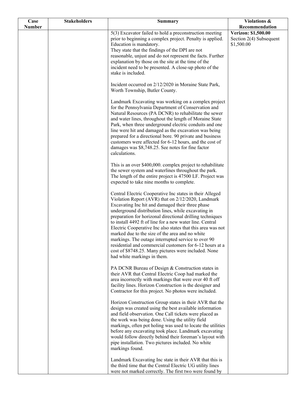| Case          | <b>Stakeholders</b> | <b>Summary</b>                                                                                                                                                                                                                                                                                                                                                                                                                                                                                                                                                                                                                                                                                                                                                                                                                                                                                                                                                                                                                                        | Violations &                                                 |
|---------------|---------------------|-------------------------------------------------------------------------------------------------------------------------------------------------------------------------------------------------------------------------------------------------------------------------------------------------------------------------------------------------------------------------------------------------------------------------------------------------------------------------------------------------------------------------------------------------------------------------------------------------------------------------------------------------------------------------------------------------------------------------------------------------------------------------------------------------------------------------------------------------------------------------------------------------------------------------------------------------------------------------------------------------------------------------------------------------------|--------------------------------------------------------------|
| <b>Number</b> |                     |                                                                                                                                                                                                                                                                                                                                                                                                                                                                                                                                                                                                                                                                                                                                                                                                                                                                                                                                                                                                                                                       | Recommendation                                               |
|               |                     | 5(3) Excavator failed to hold a preconstruction meeting<br>prior to beginning a complex project. Penalty is applied.<br>Education is mandatory.<br>They state that the findings of the DPI are not<br>reasonable, unjust and do not represent the facts. Further<br>explanation by those on the site at the time of the<br>incident need to be presented. A close-up photo of the<br>stake is included.<br>Incident occurred on 2/12/2020 in Moraine State Park,<br>Worth Township, Butler County.<br>Landmark Excavating was working on a complex project<br>for the Pennsylvania Department of Conservation and<br>Natural Resources (PA DCNR) to rehabilitate the sewer<br>and water lines, throughout the length of Moraine State<br>Park, when three underground electric conduits and one<br>line were hit and damaged as the excavation was being<br>prepared for a directional bore. 90 private and business<br>customers were affected for 6-12 hours, and the cost of<br>damages was \$8,748.25. See notes for fine factor<br>calculations. | Verizon: \$1,500.00<br>Section 2(4) Subsequent<br>\$1,500.00 |
|               |                     | This is an over \$400,000. complex project to rehabilitate<br>the sewer system and waterlines throughout the park.<br>The length of the entire project is 47500 LF. Project was<br>expected to take nine months to complete.<br>Central Electric Cooperative Inc states in their Alleged<br>Violation Report (AVR) that on 2/12/2020, Landmark<br>Excavating Inc hit and damaged their three phase<br>underground distribution lines, while excavating in                                                                                                                                                                                                                                                                                                                                                                                                                                                                                                                                                                                             |                                                              |
|               |                     | preparation for horizonal directional drilling techniques<br>to install 4492 ft of line for a new water line. Central<br>Electric Cooperative Inc also states that this area was not<br>marked due to the size of the area and no white<br>markings. The outage interrupted service to over 90<br>residential and commercial customers for 6-12 hours at a<br>cost of \$8748.25. Many pictures were included. None<br>had white markings in them.                                                                                                                                                                                                                                                                                                                                                                                                                                                                                                                                                                                                     |                                                              |
|               |                     | PA DCNR Bureau of Design & Construction states in<br>their AVR that Central Electric Coop had marked the<br>area incorrectly with markings that were over 40 ft off<br>facility lines. Horizon Construction is the designer and<br>Contractor for this project. No photos were included.                                                                                                                                                                                                                                                                                                                                                                                                                                                                                                                                                                                                                                                                                                                                                              |                                                              |
|               |                     | Horizon Construction Group states in their AVR that the<br>design was created using the best available information<br>and field observation. One Call tickets were placed as<br>the work was being done. Using the utility field<br>markings, often pot holing was used to locate the utilities<br>before any excavating took place. Landmark excavating<br>would follow directly behind their foreman's layout with<br>pipe installation. Two pictures included. No white<br>markings found.                                                                                                                                                                                                                                                                                                                                                                                                                                                                                                                                                         |                                                              |
|               |                     | Landmark Excavating Inc state in their AVR that this is<br>the third time that the Central Electric UG utility lines<br>were not marked correctly. The first two were found by                                                                                                                                                                                                                                                                                                                                                                                                                                                                                                                                                                                                                                                                                                                                                                                                                                                                        |                                                              |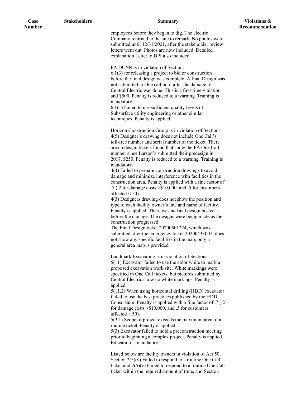| Case          | <b>Stakeholders</b> | <b>Summary</b>                                                                                                                                                                                                                                                                                                                                                                                                                                                                                                                                                                                                                                                                                                                                                                                                                                                                                                                                                                                                                                                                                                | Violations &   |
|---------------|---------------------|---------------------------------------------------------------------------------------------------------------------------------------------------------------------------------------------------------------------------------------------------------------------------------------------------------------------------------------------------------------------------------------------------------------------------------------------------------------------------------------------------------------------------------------------------------------------------------------------------------------------------------------------------------------------------------------------------------------------------------------------------------------------------------------------------------------------------------------------------------------------------------------------------------------------------------------------------------------------------------------------------------------------------------------------------------------------------------------------------------------|----------------|
| <b>Number</b> |                     |                                                                                                                                                                                                                                                                                                                                                                                                                                                                                                                                                                                                                                                                                                                                                                                                                                                                                                                                                                                                                                                                                                               | Recommendation |
|               |                     | employees before they began to dig. The electric<br>Company returned to the site to remark. No photos were<br>submitted until 12/31/2021, after the stakeholder review<br>letters went out. Photos are now included. Detailed<br>explanation Letter to DPI also included.                                                                                                                                                                                                                                                                                                                                                                                                                                                                                                                                                                                                                                                                                                                                                                                                                                     |                |
|               |                     | PA DCNR is in violation of Section:<br>$6.1(3)$ for releasing a project to bid or construction<br>before the final design was complete. A final Design was<br>not submitted to One call until after the damage to<br>Central Electric was done. This is a first-time violation<br>and \$500. Penalty is reduced to a warning. Training is<br>mandatory.<br>$6.1(1)$ Failed to use sufficient quality levels of<br>Subsurface utility engineering or other similar<br>techniques. Penalty is applied.                                                                                                                                                                                                                                                                                                                                                                                                                                                                                                                                                                                                          |                |
|               |                     | Horizon Construction Group is in violation of Sections:<br>4(5) Designer's drawing does not include One Call's<br>toll-free number and serial number of the ticket. There<br>are no design tickets found that show the PA One Call<br>number since Larson's submitted their predesign in<br>2017. \$250. Penalty is reduced to a warning. Training is<br>mandatory.<br>4(4) Failed to prepare construction drawings to avoid<br>damage and minimize interference with facilities in the<br>construction area. Penalty is applied with a fine factor of<br>.7 (.2 for damage costs > \$10,000. and .5 for customers<br>affected $<$ 50).<br>4(3) Designers drawing does not show the position and<br>type of each facility owner's line and name of facility.<br>Penalty is applied. There was no final design posted<br>before the damage. The designs were being made as the<br>construction progressed.<br>The Final Design ticket 20200501224, which was<br>submitted after the emergency ticket 20200433001. does<br>not show any specific facilities in the map, only a<br>general area map is provided. |                |
|               |                     | Landmark Excavating is in violation of Sections:<br>$5(11)$ Excavator failed to use the color white to mark a<br>proposed excavation work site. White markings were<br>specified in One Call tickets, but pictures submitted by<br>Central Electric show no white markings. Penalty is<br>applied.<br>5(11.2) When using horizontal drilling (HDD) excavator<br>failed to use the best practices published by the HDD<br>Consortium. Penalty is applied with a fine factor of .7 (.2)<br>for damage costs $> $10,000$ . and .5 for customers<br>affected $<$ 50).<br>5(3.1) Scope of project exceeds the maximum area of a<br>routine ticket. Penalty is applied.<br>5(3) Excavator failed to hold a preconstruction meeting<br>prior to beginning a complex project. Penalty is applied.<br>Education is mandatory.<br>Listed below are facility owners in violation of Act 50,                                                                                                                                                                                                                              |                |
|               |                     | Section $2(5)(v)$ Failed to respond to a routine One Call<br>ticket and $2(5)(v)$ Failed to respond to a routine One Call<br>ticket within the required amount of time, and Section                                                                                                                                                                                                                                                                                                                                                                                                                                                                                                                                                                                                                                                                                                                                                                                                                                                                                                                           |                |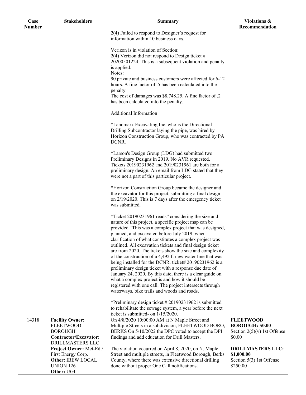| Case<br><b>Number</b> | <b>Stakeholders</b>                        | <b>Summary</b>                                                                                                       | Violations &<br>Recommendation             |
|-----------------------|--------------------------------------------|----------------------------------------------------------------------------------------------------------------------|--------------------------------------------|
|                       |                                            | 2(4) Failed to respond to Designer's request for                                                                     |                                            |
|                       |                                            | information within 10 business days.                                                                                 |                                            |
|                       |                                            |                                                                                                                      |                                            |
|                       |                                            | Verizon is in violation of Section:<br>$2(4)$ Verizon did not respond to Design ticket #                             |                                            |
|                       |                                            | 20200501224. This is a subsequent violation and penalty                                                              |                                            |
|                       |                                            | is applied.                                                                                                          |                                            |
|                       |                                            | Notes:                                                                                                               |                                            |
|                       |                                            | 90 private and business customers were affected for 6-12                                                             |                                            |
|                       |                                            | hours. A fine factor of .5 has been calculated into the                                                              |                                            |
|                       |                                            | penalty.<br>The cost of damages was \$8,748.25. A fine factor of .2                                                  |                                            |
|                       |                                            | has been calculated into the penalty.                                                                                |                                            |
|                       |                                            | Additional Information                                                                                               |                                            |
|                       |                                            | *Landmark Excavating Inc. who is the Directional                                                                     |                                            |
|                       |                                            | Drilling Subcontractor laying the pipe, was hired by                                                                 |                                            |
|                       |                                            | Horizon Construction Group, who was contracted by PA                                                                 |                                            |
|                       |                                            | DCNR.                                                                                                                |                                            |
|                       |                                            | *Larson's Design Group (LDG) had submitted two                                                                       |                                            |
|                       |                                            | Preliminary Designs in 2019. No AVR requested.                                                                       |                                            |
|                       |                                            | Tickets 20190231962 and 20190231961 are both for a                                                                   |                                            |
|                       |                                            | preliminary design. An email from LDG stated that they                                                               |                                            |
|                       |                                            | were not a part of this particular project.                                                                          |                                            |
|                       |                                            | *Horizon Construction Group became the designer and                                                                  |                                            |
|                       |                                            | the excavator for this project, submitting a final design                                                            |                                            |
|                       |                                            | on 2/19/2020. This is 7 days after the emergency ticket                                                              |                                            |
|                       |                                            | was submitted.                                                                                                       |                                            |
|                       |                                            | *Ticket 20190231961 reads" considering the size and                                                                  |                                            |
|                       |                                            | nature of this project, a specific project map can be                                                                |                                            |
|                       |                                            | provided "This was a complex project that was designed,                                                              |                                            |
|                       |                                            | planned, and excavated before July 2019, when                                                                        |                                            |
|                       |                                            | clarification of what constitutes a complex project was                                                              |                                            |
|                       |                                            | outlined. All excavation tickets and final design ticket                                                             |                                            |
|                       |                                            | are from 2020. The tickets show the size and complexity<br>of the construction of a 4,492 ft new water line that was |                                            |
|                       |                                            | being installed for the DCNR. ticket# 20190231962 is a                                                               |                                            |
|                       |                                            | preliminary design ticket with a response due date of                                                                |                                            |
|                       |                                            | January 24, 2020. By this date, there is a clear guide on                                                            |                                            |
|                       |                                            | what a complex project is and how it should be                                                                       |                                            |
|                       |                                            | registered with one call. The project intersects through                                                             |                                            |
|                       |                                            | waterways, bike trails and woods and roads.                                                                          |                                            |
|                       |                                            | *Preliminary design ticket #20190231962 is submitted                                                                 |                                            |
|                       |                                            | to rehabilitate the sewage system, a year before the next                                                            |                                            |
|                       |                                            | ticket is submitted- on 1/15/2020.                                                                                   |                                            |
| 14318                 | <b>Facility Owner:</b><br><b>FLEETWOOD</b> | On 4/8/2020 10:00:00 AM at N Maple Street and                                                                        | <b>FLEETWOOD</b><br><b>BOROUGH: \$0.00</b> |
|                       | <b>BOROUGH</b>                             | Multiple Streets in a subdivision, FLEETWOOD BORO,<br>BERKS On 5/10/2022 the DPC voted to accept the DPI             | Section $2(5)(v)$ 1st Offense              |
|                       | Contractor/Excavator:                      | findings and add education for Drill Masters.                                                                        | \$0.00                                     |
|                       | DRILLMASTERS LLC                           |                                                                                                                      |                                            |
|                       | Project Owner: Met-Ed /                    | The violation occurred on April 8, 2020, on N. Maple                                                                 | <b>DRILLMASTERS LLC:</b>                   |
|                       | First Energy Corp.                         | Street and multiple streets, in Fleetwood Borough, Berks                                                             | \$1,000.00                                 |
|                       | Other: IBEW LOCAL                          | County, where there was extensive directional drilling                                                               | Section 5(3) 1st Offense                   |
|                       | <b>UNION 126</b><br>Other: UGI             | done without proper One Call notifications.                                                                          | \$250.00                                   |
|                       |                                            |                                                                                                                      |                                            |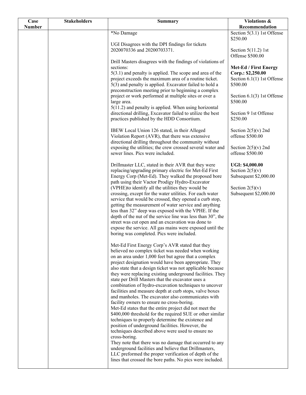| Case<br><b>Number</b> | <b>Stakeholders</b> | <b>Summary</b>                                                                                                                                                                                                                                                                                                                                                                                                                                                                                                          | Violations &<br>Recommendation                                             |
|-----------------------|---------------------|-------------------------------------------------------------------------------------------------------------------------------------------------------------------------------------------------------------------------------------------------------------------------------------------------------------------------------------------------------------------------------------------------------------------------------------------------------------------------------------------------------------------------|----------------------------------------------------------------------------|
|                       |                     | *No Damage                                                                                                                                                                                                                                                                                                                                                                                                                                                                                                              | Section $5(3.1)$ 1st Offense<br>\$250.00                                   |
|                       |                     | UGI Disagrees with the DPI findings for tickets                                                                                                                                                                                                                                                                                                                                                                                                                                                                         |                                                                            |
|                       |                     | 2020070336 and 20200703371.                                                                                                                                                                                                                                                                                                                                                                                                                                                                                             | Section $5(11.2)$ 1st<br>Offense \$500.00                                  |
|                       |                     | Drill Masters disagrees with the findings of violations of<br>sections:<br>$5(3.1)$ and penalty is applied. The scope and area of the<br>project exceeds the maximum area of a routine ticket.                                                                                                                                                                                                                                                                                                                          | Met-Ed / First Energy<br>Corp.: \$2,250.00<br>Section $6.1(1)$ 1st Offense |
|                       |                     | 5(3) and penalty is applied. Excavator failed to hold a<br>preconstruction meeting prior to beginning a complex                                                                                                                                                                                                                                                                                                                                                                                                         | \$500.00                                                                   |
|                       |                     | project or work performed at multiple sites or over a<br>large area.                                                                                                                                                                                                                                                                                                                                                                                                                                                    | Section $6.1(3)$ 1st Offense<br>\$500.00                                   |
|                       |                     | $5(11.2)$ and penalty is applied. When using horizontal<br>directional drilling, Excavator failed to utilize the best<br>practices published by the HDD Consortium.                                                                                                                                                                                                                                                                                                                                                     | Section 9 1st Offense<br>\$250.00                                          |
|                       |                     | IBEW Local Union 126 stated, in their Alleged<br>Violation Report (AVR), that there was extensive                                                                                                                                                                                                                                                                                                                                                                                                                       | Section $2(5)(v)$ 2nd<br>offense \$500.00                                  |
|                       |                     | directional drilling throughout the community without<br>exposing the utilities; the crew crossed several water and<br>sewer lines. Pics were included.                                                                                                                                                                                                                                                                                                                                                                 | Section $2(5)(v)$ 2nd<br>offense \$500.00                                  |
|                       |                     | Drillmaster LLC, stated in their AVR that they were<br>replacing/upgrading primary electric for Met-Ed First<br>Energy Corp (Met-Ed). They walked the proposed bore<br>path using their Vactor Prodigy Hydro-Excavator                                                                                                                                                                                                                                                                                                  | UGI: \$4,000.00<br>Section $2(5)(v)$<br>Subsequent \$2,000.00              |
|                       |                     | (VPHE) to identify all the utilities they would be<br>crossing, except for the water utilities. For each water<br>service that would be crossed, they opened a curb stop,<br>getting the measurement of water service and anything<br>less than 32" deep was exposed with the VPHE. If the<br>depth of the nut of the service line was less than 30", the<br>street was cut open and an excavation was done to<br>expose the service. All gas mains were exposed until the<br>boring was completed. Pics were included. | Section $2(5)(v)$<br>Subsequent \$2,000.00                                 |
|                       |                     | Met-Ed First Energy Corp's AVR stated that they<br>believed no complex ticket was needed when working<br>on an area under 1,000 feet but agree that a complex<br>project designation would have been appropriate. They<br>also state that a design ticket was not applicable because<br>they were replacing existing underground facilities. They<br>state per Drill Masters that the excavator uses a<br>combination of hydro-excavation techniques to uncover                                                         |                                                                            |
|                       |                     | facilities and measure depth at curb stops, valve boxes<br>and manholes. The excavator also communicates with<br>facility owners to ensure no cross-boring.<br>Met-Ed states that the entire project did not meet the<br>\$400,000 threshold for the required SUE or other similar<br>techniques to properly determine the existence and<br>position of underground facilities. However, the                                                                                                                            |                                                                            |
|                       |                     | techniques described above were used to ensure no<br>cross-boring.<br>They note that there was no damage that occurred to any<br>underground facilities and believe that Drillmasters,<br>LLC preformed the proper verification of depth of the<br>lines that crossed the bore paths. No pics were included.                                                                                                                                                                                                            |                                                                            |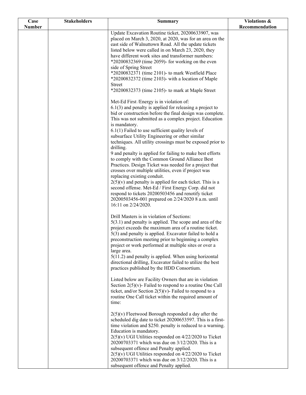| Case          | <b>Stakeholders</b> | <b>Summary</b>                                                                                                           | Violations &   |
|---------------|---------------------|--------------------------------------------------------------------------------------------------------------------------|----------------|
| <b>Number</b> |                     |                                                                                                                          | Recommendation |
|               |                     | Update Excavation Routine ticket, 20200633907, was                                                                       |                |
|               |                     | placed on March 3, 2020, at 2020, was for an area on the<br>east side of Walnuttown Road. All the update tickets         |                |
|               |                     | listed below were called in on March 23, 2020, they                                                                      |                |
|               |                     | have different work sites and transformer numbers:                                                                       |                |
|               |                     | $*20200832369$ (time 2059)- for working on the even                                                                      |                |
|               |                     | side of Spring Street                                                                                                    |                |
|               |                     | *20200832371 (time 2101)- to mark Westfield Place                                                                        |                |
|               |                     | $*20200832372$ (time 2103)- with a location of Maple                                                                     |                |
|               |                     | <b>Street</b>                                                                                                            |                |
|               |                     | $*20200832373$ (time 2105)- to mark at Maple Street                                                                      |                |
|               |                     | Met-Ed First /Energy is in violation of:                                                                                 |                |
|               |                     | $6.1(3)$ and penalty is applied for releasing a project to                                                               |                |
|               |                     | bid or construction before the final design was complete.                                                                |                |
|               |                     | This was not submitted as a complex project. Education                                                                   |                |
|               |                     | is mandatory.                                                                                                            |                |
|               |                     | $6.1(1)$ Failed to use sufficient quality levels of                                                                      |                |
|               |                     | subsurface Utility Engineering or other similar<br>techniques. All utility crossings must be exposed prior to            |                |
|               |                     | drilling.                                                                                                                |                |
|               |                     | 9 and penalty is applied for failing to make best efforts                                                                |                |
|               |                     | to comply with the Common Ground Alliance Best                                                                           |                |
|               |                     | Practices. Design Ticket was needed for a project that                                                                   |                |
|               |                     | crosses over multiple utilities, even if project was<br>replacing existing conduit.                                      |                |
|               |                     | $2(5)(v)$ and penalty is applied for each ticket. This is a                                                              |                |
|               |                     | second offense. Met-Ed / First Energy Corp. did not                                                                      |                |
|               |                     | respond to tickets 20200503456 and renotify ticket                                                                       |                |
|               |                     | 20200503456-001 prepared on 2/24/2020 8 a.m. until                                                                       |                |
|               |                     | 16:11 on 2/24/2020.                                                                                                      |                |
|               |                     | Drill Masters is in violation of Sections:                                                                               |                |
|               |                     | $5(3.1)$ and penalty is applied. The scope and area of the                                                               |                |
|               |                     | project exceeds the maximum area of a routine ticket.                                                                    |                |
|               |                     | 5(3) and penalty is applied. Excavator failed to hold a                                                                  |                |
|               |                     | preconstruction meeting prior to beginning a complex                                                                     |                |
|               |                     | project or work performed at multiple sites or over a                                                                    |                |
|               |                     | large area.<br>$5(11.2)$ and penalty is applied. When using horizontal                                                   |                |
|               |                     | directional drilling, Excavator failed to utilize the best                                                               |                |
|               |                     | practices published by the HDD Consortium.                                                                               |                |
|               |                     |                                                                                                                          |                |
|               |                     | Listed below are Facility Owners that are in violation                                                                   |                |
|               |                     | Section $2(5)(v)$ - Failed to respond to a routine One Call                                                              |                |
|               |                     | ticket, and/or Section $2(5)(v)$ - Failed to respond to a                                                                |                |
|               |                     | routine One Call ticket within the required amount of                                                                    |                |
|               |                     | time:                                                                                                                    |                |
|               |                     | $2(5)(v)$ Fleetwood Borough responded a day after the                                                                    |                |
|               |                     | scheduled dig date to ticket 20200653597. This is a first-<br>time violation and \$250. penalty is reduced to a warning. |                |
|               |                     | Education is mandatory.                                                                                                  |                |
|               |                     | $2(5)(v)$ UGI Utilities responded on $4/22/2020$ to Ticket                                                               |                |
|               |                     | 20200703371 which was due on 3/12/2020. This is a                                                                        |                |
|               |                     | subsequent offence and Penalty applied.                                                                                  |                |
|               |                     | $2(5)(v)$ UGI Utilities responded on $4/22/2020$ to Ticket                                                               |                |
|               |                     | 20200703371 which was due on 3/12/2020. This is a                                                                        |                |
|               |                     | subsequent offence and Penalty applied.                                                                                  |                |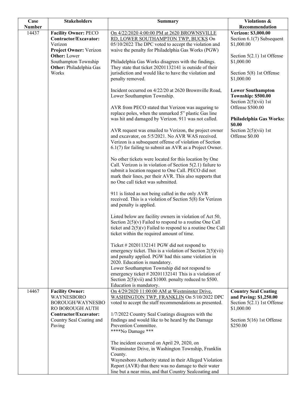| Case          | <b>Stakeholders</b>                               | <b>Summary</b>                                                                                                              | Violations &                                                  |
|---------------|---------------------------------------------------|-----------------------------------------------------------------------------------------------------------------------------|---------------------------------------------------------------|
| <b>Number</b> |                                                   |                                                                                                                             | Recommendation                                                |
| 14437         | <b>Facility Owner: PECO</b>                       | On 4/22/2020 4:00:00 PM at 2620 BROWNSVILLE                                                                                 | <b>Verizon: \$3,000.00</b>                                    |
|               | Contractor/Excavator:<br>Verizon                  | RD, LOWER SOUTHAMPTON TWP, BUCKS On                                                                                         | Section 6.1(7) Subsequent                                     |
|               | Project Owner: Verizon                            | 05/10/2022 The DPC voted to accept the violation and<br>waive the penalty for Philadelphia Gas Works (PGW)                  | \$1,000.00                                                    |
|               | <b>Other:</b> Lower                               |                                                                                                                             | Section $5(2.1)$ 1st Offense                                  |
|               | Southampton Township                              | Philadelphia Gas Works disagrees with the findings.                                                                         | \$1,000.00                                                    |
|               | Other: Philadelphia Gas                           | They state that ticket 20201132141 is outside of their                                                                      |                                                               |
|               | Works                                             | jurisdiction and would like to have the violation and                                                                       | Section 5(8) 1st Offense                                      |
|               |                                                   | penalty removed.                                                                                                            | \$1,000.00                                                    |
|               |                                                   |                                                                                                                             |                                                               |
|               |                                                   | Incident occurred on 4/22/20 at 2620 Brownville Road,                                                                       | <b>Lower Southampton</b>                                      |
|               |                                                   | Lower Southampton Township.                                                                                                 | <b>Township: \$500.00</b>                                     |
|               |                                                   |                                                                                                                             | Section $2(5)(\n \n \tilde{\text{v}}\n \tilde{\text{u}})$ 1st |
|               |                                                   | AVR from PECO stated that Verizon was auguring to                                                                           | Offense \$500.00                                              |
|               |                                                   | replace poles, when the unmarked 5" plastic Gas line                                                                        |                                                               |
|               |                                                   | was hit and damaged by Verizon. 911 was not called.                                                                         | Philadelphia Gas Works:<br>\$0.00                             |
|               |                                                   | AVR request was emailed to Verizon, the project owner                                                                       | Section $2(5)(\n \n  1st)$                                    |
|               |                                                   | and excavator, on 5/5/2021. No AVR WAS received.                                                                            | Offense \$0.00                                                |
|               |                                                   | Verizon is a subsequent offense of violation of Section                                                                     |                                                               |
|               |                                                   | 6.1(7) for failing to submit an AVR as a Project Owner.                                                                     |                                                               |
|               |                                                   |                                                                                                                             |                                                               |
|               |                                                   | No other tickets were located for this location by One                                                                      |                                                               |
|               |                                                   | Call. Verizon is in violation of Section $5(2.1)$ failure to                                                                |                                                               |
|               |                                                   | submit a location request to One Call. PECO did not                                                                         |                                                               |
|               |                                                   | mark their lines, per their AVR. This also supports that                                                                    |                                                               |
|               |                                                   | no One call ticket was submitted.                                                                                           |                                                               |
|               |                                                   | 911 is listed as not being called in the only AVR                                                                           |                                                               |
|               |                                                   | received. This is a violation of Section 5(8) for Verizon                                                                   |                                                               |
|               |                                                   | and penalty is applied.                                                                                                     |                                                               |
|               |                                                   |                                                                                                                             |                                                               |
|               |                                                   | Listed below are facility owners in violation of Act 50,                                                                    |                                                               |
|               |                                                   | Section $2(5)(v)$ Failed to respond to a routine One Call                                                                   |                                                               |
|               |                                                   | ticket and $2(5)(v)$ Failed to respond to a routine One Call                                                                |                                                               |
|               |                                                   | ticket within the required amount of time.                                                                                  |                                                               |
|               |                                                   |                                                                                                                             |                                                               |
|               |                                                   | Ticket $\# 20201132141$ PGW did not respond to                                                                              |                                                               |
|               |                                                   | emergency ticket. This is a violation of Section $2(5)(\n{\rm vii})$<br>and penalty applied. PGW had this same violation in |                                                               |
|               |                                                   | 2020. Education is mandatory.                                                                                               |                                                               |
|               |                                                   | Lower Southampton Township did not respond to                                                                               |                                                               |
|               |                                                   | emergency ticket $#20201132141$ This is a violation of                                                                      |                                                               |
|               |                                                   | Section $2(5)(\n \text{vii})$ and \$1000. penalty reduced to \$500.                                                         |                                                               |
|               |                                                   | Education is mandatory.                                                                                                     |                                                               |
| 14467         | <b>Facility Owner:</b>                            | On 4/29/2020 11:00:00 AM at Westminster Drive,                                                                              | <b>Country Seal Coating</b>                                   |
|               | WAYNESBORO                                        | WASHINGTON TWP, FRANKLIN On 5/10/2022 DPC                                                                                   | and Paving: \$1,250.00                                        |
|               | BOROUGH/WAYNESBO                                  | voted to accept the staff recommendations as presented.                                                                     | Section $5(2.1)$ 1st Offense                                  |
|               | RO BOROUGH AUTH                                   |                                                                                                                             | \$1,000.00                                                    |
|               | Contractor/Excavator:<br>Country Seal Coating and | 1/7/2022 Country Seal Coatings disagrees with the<br>findings and would like to be heard by the Damage                      | Section $5(16)$ 1st Offense                                   |
|               | Paving                                            | Prevention Committee.                                                                                                       | \$250.00                                                      |
|               |                                                   | ****No Damage ***                                                                                                           |                                                               |
|               |                                                   |                                                                                                                             |                                                               |
|               |                                                   | The incident occurred on April 29, 2020, on                                                                                 |                                                               |
|               |                                                   | Westminster Drive, in Washington Township, Franklin                                                                         |                                                               |
|               |                                                   | County.                                                                                                                     |                                                               |
|               |                                                   | Waynesboro Authority stated in their Alleged Violation                                                                      |                                                               |
|               |                                                   | Report (AVR) that there was no damage to their water                                                                        |                                                               |
|               |                                                   | line but a near miss, and that Country Sealcoating and                                                                      |                                                               |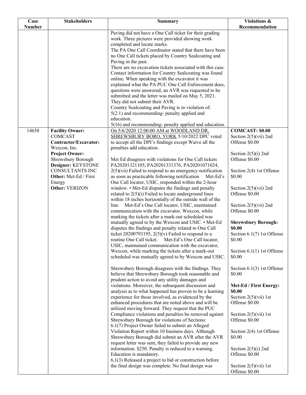| Case          | <b>Stakeholders</b>                                                               | <b>Summary</b>                                                                                                                                                                                                                                                                    | Violations &                                                                    |
|---------------|-----------------------------------------------------------------------------------|-----------------------------------------------------------------------------------------------------------------------------------------------------------------------------------------------------------------------------------------------------------------------------------|---------------------------------------------------------------------------------|
| <b>Number</b> |                                                                                   |                                                                                                                                                                                                                                                                                   | Recommendation                                                                  |
|               |                                                                                   | Paving did not have a One Call ticket for their grading<br>work. Three pictures were provided showing work<br>completed and locate marks.<br>The PA One Call Coordinator stated that there have been<br>no One Call tickets placed by Country Sealcoating and                     |                                                                                 |
|               |                                                                                   | Paving in the past.<br>There are no excavation tickets associated with this case.                                                                                                                                                                                                 |                                                                                 |
|               |                                                                                   | Contact information for Country Sealcoating was found<br>online. When speaking with the excavator it was<br>explained what the PA PUC One Call Enforcement does,<br>questions were answered, an AVR was requested to be<br>submitted and the letter was mailed on May 5, 2021.    |                                                                                 |
|               |                                                                                   | They did not submit their AVR.<br>Country Sealcoating and Paving is in violation of:                                                                                                                                                                                              |                                                                                 |
|               |                                                                                   | $5(2.1)$ and recommending- penalty applied and<br>education.<br>$5(16)$ and recommending- penalty applied and education.                                                                                                                                                          |                                                                                 |
| 14658         | <b>Facility Owner:</b><br><b>COMCAST</b>                                          | On 5/6/2020 12:00:00 AM at WOODLAND DR,<br>SHREWSBURY BORO, YORK 5/10/2022 DPC voted                                                                                                                                                                                              | <b>COMCAST: \$0.00</b><br>Section $2(5)(vii)$ 2nd                               |
|               | <b>Contractor/Excavator:</b>                                                      | to accept all the DPI's findings except Waive all the                                                                                                                                                                                                                             | Offense \$0.00                                                                  |
|               | Wexcon, Inc.<br><b>Project Owner:</b><br>Shrewsbury Borough<br>Designer: KEYSTONE | penalties add education.<br>Met Ed disagrees with violations for One Call tickets<br>PA20201321105, PA20201331376, PA20201071024,                                                                                                                                                 | Section $2(5)(i)$ 2nd<br>Offense \$0.00                                         |
|               | CONSULTANTS INC<br>Other: Met-Ed / First                                          | $2(5)$ (vii) Failed to respond to an emergency notification<br>as soon as practicable following notification<br>Met-Ed's<br>One Call locator, USIC, responded within the 2-hour                                                                                                   | Section 2(4) 1st Offense<br>\$0.00                                              |
|               | Energy<br>Other: VERIZON                                                          | window. • Met-Ed disputes the findings and penalty<br>related to $2(5)(i)$ Failed to locate underground lines<br>within 18 inches horizontally of the outside wall of the                                                                                                         | Section $2(5)(vii)$ 2nd<br>Offense \$0.00                                       |
|               |                                                                                   | Met-Ed's One Call locator, USIC, maintained<br>line<br>communication with the excavator, Wexcon, while<br>marking the tickets after a mark-out scheduled was                                                                                                                      | Section $2(5)(vii)$ 2nd<br>Offense \$0.00                                       |
|               |                                                                                   | mutually agreed to by the Wexcon and USIC. • Met-Ed<br>disputes the findings and penalty related to One Call<br>ticket 20200793195, $2(5)(v)$ Failed to respond to a<br>routine One Call ticket. Met-Ed's One Call locator,<br>USIC, maintained communication with the excavator, | <b>Shrewsbury Borough:</b><br>\$0.00<br>Section 6.1(7) 1st Offense<br>\$0.00    |
|               |                                                                                   | Wexcon, while marking the tickets after a mark-out<br>scheduled was mutually agreed to by Wexcon and USIC.                                                                                                                                                                        | Section $6.1(1)$ 1st Offense<br>\$0.00                                          |
|               |                                                                                   | Shrewsbury Borough disagrees with the findings. They<br>believe that Shrewsbury Borough took reasonable and<br>prudent action to avoid any utility damages and                                                                                                                    | Section $6.1(3)$ 1st Offense<br>\$0.00                                          |
|               |                                                                                   | violations. Moreover, the subsequent discussion and<br>analysis as to what happened has proven to be a learning                                                                                                                                                                   | Met-Ed / First Energy:<br>\$0.00                                                |
|               |                                                                                   | experience for those involved, as evidenced by the<br>enhanced procedures that are noted above and will be<br>utilized moving forward. They request that the PUC                                                                                                                  | Section $2(5)(\n \n \tilde{\text{v}}\n \tilde{\text{u}})$ 1st<br>Offense \$0.00 |
|               |                                                                                   | Compliance violations and penalties be removed against<br>Shrewsbury Borough for violations of Sections:<br>6.1(7) Project Owner failed to submit an Alleged                                                                                                                      | Section $2(5)(\n \n \tilde{\text{v}}\text{ii})$ 1st<br>Offense \$0.00           |
|               |                                                                                   | Violation Report within 10 business days. Although<br>Shrewsbury Borough did submit an AVR after the AVR<br>request letter was sent, they failed to provide any new                                                                                                               | Section 2(4) 1st Offense<br>\$0.00                                              |
|               |                                                                                   | information. \$250. Penalty is reduced to a warning.<br>Education is mandatory.<br>$6.1(3)$ Released a project to bid or construction before                                                                                                                                      | Section $2(5)(i)$ 2nd<br>Offense \$0.00                                         |
|               |                                                                                   | the final design was complete. No final design was                                                                                                                                                                                                                                | Section $2(5)(\n \n \tilde{\text{v}}\text{ii})$ 1st<br>Offense \$0.00           |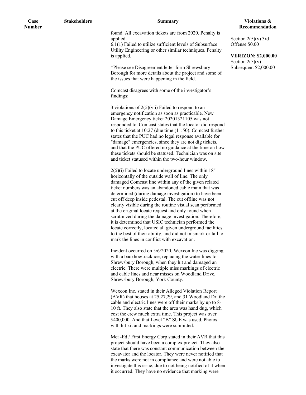| Case          | <b>Stakeholders</b> | Summary                                                                                                                                                                                                                                                                                                                                                                                                                                                                                                                                                                                                                                                                                                                                                         | Violations &<br>Recommendation                  |
|---------------|---------------------|-----------------------------------------------------------------------------------------------------------------------------------------------------------------------------------------------------------------------------------------------------------------------------------------------------------------------------------------------------------------------------------------------------------------------------------------------------------------------------------------------------------------------------------------------------------------------------------------------------------------------------------------------------------------------------------------------------------------------------------------------------------------|-------------------------------------------------|
| <b>Number</b> |                     | found. All excavation tickets are from 2020. Penalty is                                                                                                                                                                                                                                                                                                                                                                                                                                                                                                                                                                                                                                                                                                         |                                                 |
|               |                     | applied.<br>$6.1(1)$ Failed to utilize sufficient levels of Subsurface<br>Utility Engineering or other similar techniques. Penalty                                                                                                                                                                                                                                                                                                                                                                                                                                                                                                                                                                                                                              | Section $2(5)(v)$ 3rd<br>Offense \$0.00         |
|               |                     | is applied.                                                                                                                                                                                                                                                                                                                                                                                                                                                                                                                                                                                                                                                                                                                                                     | <b>VERIZON: \$2,000.00</b><br>Section $2(5)(v)$ |
|               |                     | *Please see Disagreement letter form Shrewsbury<br>Borough for more details about the project and some of<br>the issues that were happening in the field.                                                                                                                                                                                                                                                                                                                                                                                                                                                                                                                                                                                                       | Subsequent \$2,000.00                           |
|               |                     | Comcast disagrees with some of the investigator's<br>findings:                                                                                                                                                                                                                                                                                                                                                                                                                                                                                                                                                                                                                                                                                                  |                                                 |
|               |                     | 3 violations of $2(5)(\n\tiii)$ Failed to respond to an<br>emergency notification as soon as practicable. New<br>Damage Emergency ticket 20201321105 was not<br>responded to. Comcast states that the locator did respond<br>to this ticket at $10:27$ (due time $(11:50)$ ). Comcast further<br>states that the PUC had no legal response available for<br>"damage" emergencies, since they are not dig tickets,<br>and that the PUC offered no guidance at the time on how<br>these tickets should be statused. Technician was on site<br>and ticket statused within the two-hour window.                                                                                                                                                                     |                                                 |
|               |                     | $2(5)(i)$ Failed to locate underground lines within 18"<br>horizontally of the outside wall of line. The only<br>damaged Comcast line within any of the given related<br>ticket numbers was an abandoned cable main that was<br>determined (during damage investigation) to have been<br>cut off deep inside pedestal. The cut offline was not<br>clearly visible during the routine visual scan performed<br>at the original locate request and only found when<br>scrutinized during the damage investigation. Therefore,<br>it is determined that USIC technician performed the<br>locate correctly, located all given underground facilities<br>to the best of their ability, and did not mismark or fail to<br>mark the lines in conflict with excavation. |                                                 |
|               |                     | Incident occurred on 5/6/2020. Wexcon Inc was digging<br>with a backhoe/trackhoe, replacing the water lines for<br>Shrewsbury Borough, when they hit and damaged an<br>electric. There were multiple miss markings of electric<br>and cable lines and near misses on Woodland Drive,<br>Shrewsbury Borough, York County.                                                                                                                                                                                                                                                                                                                                                                                                                                        |                                                 |
|               |                     | Wexcon Inc. stated in their Alleged Violation Report<br>(AVR) that houses at 25,27,29, and 31 Woodland Dr. the<br>cable and electric lines were off their marks by up to 8-<br>10 ft. They also state that the area was hand dug, which<br>cost the crew much extra time. This project was over<br>\$400,000. And that Level "B" SUE was used. Photos<br>with hit kit and markings were submitted.                                                                                                                                                                                                                                                                                                                                                              |                                                 |
|               |                     | Met -Ed / First Energy Corp stated in their AVR that this<br>project should have been a complex project. They also<br>state that there was constant communication between the<br>excavator and the locator. They were never notified that<br>the marks were not in compliance and were not able to<br>investigate this issue, due to not being notified of it when<br>it occurred. They have no evidence that marking were                                                                                                                                                                                                                                                                                                                                      |                                                 |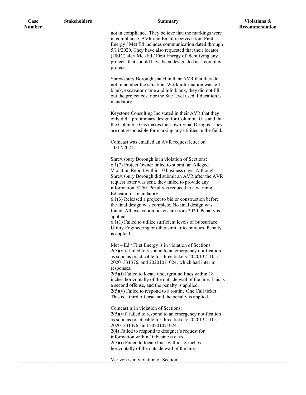| Case          | <b>Stakeholders</b> | <b>Summary</b>                                                                                                                                                                                                                                                                                                                                                                                                                                                                                                                                                                                                                                                                             | Violations &   |
|---------------|---------------------|--------------------------------------------------------------------------------------------------------------------------------------------------------------------------------------------------------------------------------------------------------------------------------------------------------------------------------------------------------------------------------------------------------------------------------------------------------------------------------------------------------------------------------------------------------------------------------------------------------------------------------------------------------------------------------------------|----------------|
| <b>Number</b> |                     |                                                                                                                                                                                                                                                                                                                                                                                                                                                                                                                                                                                                                                                                                            | Recommendation |
|               |                     | not in compliance. They believe that the markings were<br>in compliance. AVR and Email received from First<br>Energy / Met Ed includes communication dated through<br>5/11/2020. They have also requested that their locator<br>(USIC) alert Met-Ed / First Energy of identifying any<br>projects that should have been designated as a complex<br>project.                                                                                                                                                                                                                                                                                                                                |                |
|               |                     | Shrewsbury Borough stated in their AVR that they do<br>not remember the situation. Work information was left<br>blank, excavator name and info blank, they did not fill<br>out the project cost nor the Sue level used. Education is<br>mandatory.                                                                                                                                                                                                                                                                                                                                                                                                                                         |                |
|               |                     | Keystone Consulting Inc stated in their AVR that they<br>only did a preliminary design for Columbia Gas and that<br>the Columbia Gas makes their own Final Designs. They<br>are not responsible for marking any utilities in the field.                                                                                                                                                                                                                                                                                                                                                                                                                                                    |                |
|               |                     | Comcast was emailed an AVR request letter on<br>11/17/2021.                                                                                                                                                                                                                                                                                                                                                                                                                                                                                                                                                                                                                                |                |
|               |                     | Shrewsbury Borough is in violation of Sections:<br>6.1(7) Project Owner failed to submit an Alleged<br>Violation Report within 10 business days. Although<br>Shrewsbury Borough did submit an AVR after the AVR<br>request letter was sent, they failed to provide any<br>information. \$250. Penalty is reduced to a warning.<br>Education is mandatory.<br>$6.1(3)$ Released a project to bid or construction before<br>the final design was complete. No final design was<br>found. All excavation tickets are from 2020. Penalty is<br>applied.<br>6.1(1) Failed to utilize sufficient levels of Subsurface<br>Utility Engineering or other similar techniques. Penalty<br>is applied. |                |
|               |                     | Met – Ed / First Energy is in violation of Sections:<br>$2(5)(\n \n Vii)$ failed to respond to an emergency notification<br>as soon as practicable for three tickets: 20201321105,<br>20201331376, and 20201071024, which had interim<br>responses.<br>$2(5)(i)$ Failed to locate underground lines within 18<br>inches horizontally of the outside wall of the line. This is                                                                                                                                                                                                                                                                                                              |                |
|               |                     | a second offense, and the penalty is applied.<br>$2(5)(v)$ Failed to respond to a routine One Call ticket.<br>This is a third offense, and the penalty is applied.                                                                                                                                                                                                                                                                                                                                                                                                                                                                                                                         |                |
|               |                     | Comcast is in violation of Sections:<br>$2(5)(vii)$ failed to respond to an emergency notification<br>as soon as practicable for three tickets: 20201321105,<br>20201331376, and 20201071024.<br>$2(4)$ Failed to respond to designer's request for<br>information within 10 business days<br>$2(5)(i)$ Failed to locate lines within 18 inches<br>horizontally of the outside wall of the line.                                                                                                                                                                                                                                                                                           |                |
|               |                     | Verizon is in violation of Section:                                                                                                                                                                                                                                                                                                                                                                                                                                                                                                                                                                                                                                                        |                |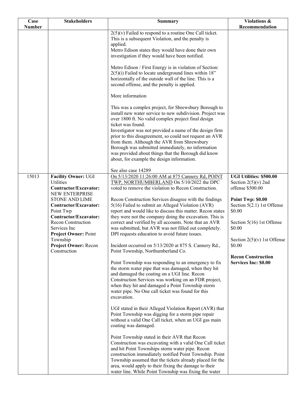| Case<br><b>Number</b> | <b>Stakeholders</b>                                                                                                                                                                                                                                                                                               | <b>Summary</b>                                                                                                                                                                                                                                                                                                                                                                                                                                                                                                                                                                                                                                                                                                                                                                                                                                                                                                   | <b>Violations &amp;</b><br>Recommendation                                                                                                                                                                                                                                                |
|-----------------------|-------------------------------------------------------------------------------------------------------------------------------------------------------------------------------------------------------------------------------------------------------------------------------------------------------------------|------------------------------------------------------------------------------------------------------------------------------------------------------------------------------------------------------------------------------------------------------------------------------------------------------------------------------------------------------------------------------------------------------------------------------------------------------------------------------------------------------------------------------------------------------------------------------------------------------------------------------------------------------------------------------------------------------------------------------------------------------------------------------------------------------------------------------------------------------------------------------------------------------------------|------------------------------------------------------------------------------------------------------------------------------------------------------------------------------------------------------------------------------------------------------------------------------------------|
|                       |                                                                                                                                                                                                                                                                                                                   | $2(5)(v)$ Failed to respond to a routine One Call ticket.<br>This is a subsequent Violation, and the penalty is<br>applied.<br>Metro Edison states they would have done their own<br>investigation if they would have been notified.                                                                                                                                                                                                                                                                                                                                                                                                                                                                                                                                                                                                                                                                             |                                                                                                                                                                                                                                                                                          |
|                       |                                                                                                                                                                                                                                                                                                                   | Metro Edison / First Energy is in violation of Section:<br>$2(5)(i)$ Failed to locate underground lines within 18"<br>horizontally of the outside wall of the line. This is a<br>second offense, and the penalty is applied.                                                                                                                                                                                                                                                                                                                                                                                                                                                                                                                                                                                                                                                                                     |                                                                                                                                                                                                                                                                                          |
|                       |                                                                                                                                                                                                                                                                                                                   | More information                                                                                                                                                                                                                                                                                                                                                                                                                                                                                                                                                                                                                                                                                                                                                                                                                                                                                                 |                                                                                                                                                                                                                                                                                          |
|                       |                                                                                                                                                                                                                                                                                                                   | This was a complex project, for Shrewsbury Borough to<br>install new water service to new subdivision. Project was<br>over 1800 ft. No valid complex project final design<br>ticket was found.<br>Investigator was not provided a name of the design firm<br>prior to this disagreement, so could not request an AVR<br>from them. Although the AVR from Shrewsbury<br>Borough was submitted immediately, no information<br>was provided about things that the Borough did know<br>about, for example the design information.                                                                                                                                                                                                                                                                                                                                                                                    |                                                                                                                                                                                                                                                                                          |
|                       |                                                                                                                                                                                                                                                                                                                   |                                                                                                                                                                                                                                                                                                                                                                                                                                                                                                                                                                                                                                                                                                                                                                                                                                                                                                                  |                                                                                                                                                                                                                                                                                          |
| 15013                 | <b>Facility Owner: UGI</b><br><b>Utilities</b><br>Contractor/Excavator:<br>NEW ENTERPRISE<br><b>STONE AND LIME</b><br>Contractor/Excavator:<br>Point Twp<br>Contractor/Excavator:<br>Recon Construction<br>Services Inc<br><b>Project Owner: Point</b><br>Township<br><b>Project Owner: Recon</b><br>Construction | See also case 14289<br>On 5/13/2020 11:26:00 AM at 875 Cannery Rd, POINT<br>TWP, NORTHUMBERLAND On 5/10/2022 the DPC<br>voted to remove the violation to Recon Construction.<br>Recon Construction Services disagree with the findings<br>5(16) Failed to submit an Alleged Violation (AVR)<br>report and would like to discuss this matter. Recon states<br>they were not the company doing the excavation. This is<br>correct and verified by all accounts. Note that an AVR<br>was submitted, but AVR was not filled out completely.<br>DPI requests education to avoid future issues.<br>Incident occurred on 5/13/2020 at 875 S. Cannery Rd.,<br>Point Township, Northumberland Co.<br>Point Township was responding to an emergency to fix<br>the storm water pipe that was damaged, when they hit<br>and damaged the coating on a UGI line. Recon<br>Construction Services was working on an FDR project, | <b>UGI Utilities: \$500.00</b><br>Section $2(5)(v)$ 2nd<br>offense \$500.00<br>Point Twp: \$0.00<br>Section $5(2.1)$ 1st Offense<br>\$0.00<br>Section 5(16) 1st Offense<br>\$0.00<br>Section $2(5)(v)$ 1st Offense<br>\$0.00<br><b>Recon Construction</b><br><b>Services Inc: \$0.00</b> |
|                       |                                                                                                                                                                                                                                                                                                                   | when they hit and damaged a Point Township storm<br>water pipe. No One call ticket was found for this<br>excavation.<br>UGI stated in their Alleged Violation Report (AVR) that<br>Point Township was digging for a storm pipe repair<br>without a valid One Call ticket, when an UGI gas main<br>coating was damaged.<br>Point Township stated in their AVR that Recon<br>Construction was excavating with a valid One Call ticket<br>and hit Point Townships storm water pipe. Recon<br>construction immediately notified Point Township. Point<br>Township assumed that the tickets already placed for the<br>area, would apply to their fixing the damage to their<br>water line. While Point Township was fixing the water                                                                                                                                                                                  |                                                                                                                                                                                                                                                                                          |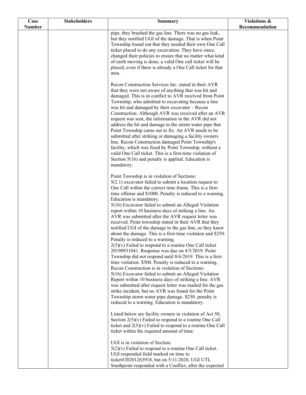| pipe, they brushed the gas line. There was no gas leak,<br>but they notified UGI of the damage. That is when Point<br>Township found out that they needed their own One Call<br>ticket placed to do any excavation. They have since,<br>changed their policies to ensure that no matter what kind<br>of earth moving is done, a valid One call ticket will be<br>placed, even if there is already a One Call ticket for that<br>area.<br>Recon Construction Services Inc. stated in their AVR<br>that they were not aware of anything that was hit and<br>damaged. This is in conflict to AVR received from Point<br>Township, who admitted to excavating because a line<br>was hit and damaged by their excavator - Recon<br>Construction. Although AVR was received after an AVR<br>request was sent, the information in the AVR did not<br>address the hit and damage to the storm water pipe that<br>Point Township came out to fix. An AVR needs to be<br>submitted after striking or damaging a facility owners<br>line. Recon Construction damaged Point Township's<br>facility, which was fixed by Point Township, without a<br>valid One Call ticket. This is a first-time violation of<br>Section $5(16)$ and penalty is applied. Education is<br>mandatory.<br>Point Township is in violation of Sections:<br>$5(2.1)$ excavator failed to submit a location request to<br>One Call within the correct time frame. This is a first-<br>time offense and \$1000. Penalty is reduced to a warning.<br>Education is mandatory.<br>5(16) Excavator failed to submit an Alleged Violation<br>report within 10 business days of striking a line. An<br>AVR was submitted after the AVR request letter was<br>received. Point township stated in their AVR that they<br>notified UGI of the damage to the gas line, so they knew<br>about the damage. This is a first-time violation and \$250.<br>Penalty is reduced to a warning.<br>$2(5)(v)$ Failed to respond to a routine One Call ticket<br>20190931041. Response was due on 4/5/2019. Point<br>Township did not respond until 8/6/2019. This is a first-<br>time violation. \$500. Penalty is reduced to a warning.<br>Recon Construction is in violation of Sections:<br>5(16) Excavator failed to submit an Alleged Violation<br>Report within 10 business days of striking a line. AVR<br>was submitted after request letter was mailed for the gas<br>strike incident, but no AVR was found for the Point<br>Township storm water pipe damage. \$250. penalty is<br>reduced to a warning. Education is mandatory.<br>Listed below are facility owners in violation of Act 50,<br>Section $2(5)(v)$ Failed to respond to a routine One Call<br>ticket and $2(5)(v)$ Failed to respond to a routine One Call<br>ticket within the required amount of time.<br>UGI is in violation of Section:<br>$5(2)(v)$ Failed to respond to a routine One Call ticket.<br>UGI responded field marked on time to | Case          | <b>Stakeholders</b> | <b>Summary</b> | <b>Violations &amp;</b> |
|-------------------------------------------------------------------------------------------------------------------------------------------------------------------------------------------------------------------------------------------------------------------------------------------------------------------------------------------------------------------------------------------------------------------------------------------------------------------------------------------------------------------------------------------------------------------------------------------------------------------------------------------------------------------------------------------------------------------------------------------------------------------------------------------------------------------------------------------------------------------------------------------------------------------------------------------------------------------------------------------------------------------------------------------------------------------------------------------------------------------------------------------------------------------------------------------------------------------------------------------------------------------------------------------------------------------------------------------------------------------------------------------------------------------------------------------------------------------------------------------------------------------------------------------------------------------------------------------------------------------------------------------------------------------------------------------------------------------------------------------------------------------------------------------------------------------------------------------------------------------------------------------------------------------------------------------------------------------------------------------------------------------------------------------------------------------------------------------------------------------------------------------------------------------------------------------------------------------------------------------------------------------------------------------------------------------------------------------------------------------------------------------------------------------------------------------------------------------------------------------------------------------------------------------------------------------------------------------------------------------------------------------------------------------------------------------------------------------------------------------------------------------------------------------------------------------------------------------------------------------------------------------------------------------------------------------------------------------|---------------|---------------------|----------------|-------------------------|
|                                                                                                                                                                                                                                                                                                                                                                                                                                                                                                                                                                                                                                                                                                                                                                                                                                                                                                                                                                                                                                                                                                                                                                                                                                                                                                                                                                                                                                                                                                                                                                                                                                                                                                                                                                                                                                                                                                                                                                                                                                                                                                                                                                                                                                                                                                                                                                                                                                                                                                                                                                                                                                                                                                                                                                                                                                                                                                                                                                   | <b>Number</b> |                     |                | Recommendation          |
|                                                                                                                                                                                                                                                                                                                                                                                                                                                                                                                                                                                                                                                                                                                                                                                                                                                                                                                                                                                                                                                                                                                                                                                                                                                                                                                                                                                                                                                                                                                                                                                                                                                                                                                                                                                                                                                                                                                                                                                                                                                                                                                                                                                                                                                                                                                                                                                                                                                                                                                                                                                                                                                                                                                                                                                                                                                                                                                                                                   |               |                     |                |                         |
|                                                                                                                                                                                                                                                                                                                                                                                                                                                                                                                                                                                                                                                                                                                                                                                                                                                                                                                                                                                                                                                                                                                                                                                                                                                                                                                                                                                                                                                                                                                                                                                                                                                                                                                                                                                                                                                                                                                                                                                                                                                                                                                                                                                                                                                                                                                                                                                                                                                                                                                                                                                                                                                                                                                                                                                                                                                                                                                                                                   |               |                     |                |                         |
|                                                                                                                                                                                                                                                                                                                                                                                                                                                                                                                                                                                                                                                                                                                                                                                                                                                                                                                                                                                                                                                                                                                                                                                                                                                                                                                                                                                                                                                                                                                                                                                                                                                                                                                                                                                                                                                                                                                                                                                                                                                                                                                                                                                                                                                                                                                                                                                                                                                                                                                                                                                                                                                                                                                                                                                                                                                                                                                                                                   |               |                     |                |                         |
|                                                                                                                                                                                                                                                                                                                                                                                                                                                                                                                                                                                                                                                                                                                                                                                                                                                                                                                                                                                                                                                                                                                                                                                                                                                                                                                                                                                                                                                                                                                                                                                                                                                                                                                                                                                                                                                                                                                                                                                                                                                                                                                                                                                                                                                                                                                                                                                                                                                                                                                                                                                                                                                                                                                                                                                                                                                                                                                                                                   |               |                     |                |                         |
|                                                                                                                                                                                                                                                                                                                                                                                                                                                                                                                                                                                                                                                                                                                                                                                                                                                                                                                                                                                                                                                                                                                                                                                                                                                                                                                                                                                                                                                                                                                                                                                                                                                                                                                                                                                                                                                                                                                                                                                                                                                                                                                                                                                                                                                                                                                                                                                                                                                                                                                                                                                                                                                                                                                                                                                                                                                                                                                                                                   |               |                     |                |                         |
|                                                                                                                                                                                                                                                                                                                                                                                                                                                                                                                                                                                                                                                                                                                                                                                                                                                                                                                                                                                                                                                                                                                                                                                                                                                                                                                                                                                                                                                                                                                                                                                                                                                                                                                                                                                                                                                                                                                                                                                                                                                                                                                                                                                                                                                                                                                                                                                                                                                                                                                                                                                                                                                                                                                                                                                                                                                                                                                                                                   |               |                     |                |                         |
|                                                                                                                                                                                                                                                                                                                                                                                                                                                                                                                                                                                                                                                                                                                                                                                                                                                                                                                                                                                                                                                                                                                                                                                                                                                                                                                                                                                                                                                                                                                                                                                                                                                                                                                                                                                                                                                                                                                                                                                                                                                                                                                                                                                                                                                                                                                                                                                                                                                                                                                                                                                                                                                                                                                                                                                                                                                                                                                                                                   |               |                     |                |                         |
|                                                                                                                                                                                                                                                                                                                                                                                                                                                                                                                                                                                                                                                                                                                                                                                                                                                                                                                                                                                                                                                                                                                                                                                                                                                                                                                                                                                                                                                                                                                                                                                                                                                                                                                                                                                                                                                                                                                                                                                                                                                                                                                                                                                                                                                                                                                                                                                                                                                                                                                                                                                                                                                                                                                                                                                                                                                                                                                                                                   |               |                     |                |                         |
|                                                                                                                                                                                                                                                                                                                                                                                                                                                                                                                                                                                                                                                                                                                                                                                                                                                                                                                                                                                                                                                                                                                                                                                                                                                                                                                                                                                                                                                                                                                                                                                                                                                                                                                                                                                                                                                                                                                                                                                                                                                                                                                                                                                                                                                                                                                                                                                                                                                                                                                                                                                                                                                                                                                                                                                                                                                                                                                                                                   |               |                     |                |                         |
|                                                                                                                                                                                                                                                                                                                                                                                                                                                                                                                                                                                                                                                                                                                                                                                                                                                                                                                                                                                                                                                                                                                                                                                                                                                                                                                                                                                                                                                                                                                                                                                                                                                                                                                                                                                                                                                                                                                                                                                                                                                                                                                                                                                                                                                                                                                                                                                                                                                                                                                                                                                                                                                                                                                                                                                                                                                                                                                                                                   |               |                     |                |                         |
|                                                                                                                                                                                                                                                                                                                                                                                                                                                                                                                                                                                                                                                                                                                                                                                                                                                                                                                                                                                                                                                                                                                                                                                                                                                                                                                                                                                                                                                                                                                                                                                                                                                                                                                                                                                                                                                                                                                                                                                                                                                                                                                                                                                                                                                                                                                                                                                                                                                                                                                                                                                                                                                                                                                                                                                                                                                                                                                                                                   |               |                     |                |                         |
|                                                                                                                                                                                                                                                                                                                                                                                                                                                                                                                                                                                                                                                                                                                                                                                                                                                                                                                                                                                                                                                                                                                                                                                                                                                                                                                                                                                                                                                                                                                                                                                                                                                                                                                                                                                                                                                                                                                                                                                                                                                                                                                                                                                                                                                                                                                                                                                                                                                                                                                                                                                                                                                                                                                                                                                                                                                                                                                                                                   |               |                     |                |                         |
|                                                                                                                                                                                                                                                                                                                                                                                                                                                                                                                                                                                                                                                                                                                                                                                                                                                                                                                                                                                                                                                                                                                                                                                                                                                                                                                                                                                                                                                                                                                                                                                                                                                                                                                                                                                                                                                                                                                                                                                                                                                                                                                                                                                                                                                                                                                                                                                                                                                                                                                                                                                                                                                                                                                                                                                                                                                                                                                                                                   |               |                     |                |                         |
|                                                                                                                                                                                                                                                                                                                                                                                                                                                                                                                                                                                                                                                                                                                                                                                                                                                                                                                                                                                                                                                                                                                                                                                                                                                                                                                                                                                                                                                                                                                                                                                                                                                                                                                                                                                                                                                                                                                                                                                                                                                                                                                                                                                                                                                                                                                                                                                                                                                                                                                                                                                                                                                                                                                                                                                                                                                                                                                                                                   |               |                     |                |                         |
|                                                                                                                                                                                                                                                                                                                                                                                                                                                                                                                                                                                                                                                                                                                                                                                                                                                                                                                                                                                                                                                                                                                                                                                                                                                                                                                                                                                                                                                                                                                                                                                                                                                                                                                                                                                                                                                                                                                                                                                                                                                                                                                                                                                                                                                                                                                                                                                                                                                                                                                                                                                                                                                                                                                                                                                                                                                                                                                                                                   |               |                     |                |                         |
|                                                                                                                                                                                                                                                                                                                                                                                                                                                                                                                                                                                                                                                                                                                                                                                                                                                                                                                                                                                                                                                                                                                                                                                                                                                                                                                                                                                                                                                                                                                                                                                                                                                                                                                                                                                                                                                                                                                                                                                                                                                                                                                                                                                                                                                                                                                                                                                                                                                                                                                                                                                                                                                                                                                                                                                                                                                                                                                                                                   |               |                     |                |                         |
|                                                                                                                                                                                                                                                                                                                                                                                                                                                                                                                                                                                                                                                                                                                                                                                                                                                                                                                                                                                                                                                                                                                                                                                                                                                                                                                                                                                                                                                                                                                                                                                                                                                                                                                                                                                                                                                                                                                                                                                                                                                                                                                                                                                                                                                                                                                                                                                                                                                                                                                                                                                                                                                                                                                                                                                                                                                                                                                                                                   |               |                     |                |                         |
|                                                                                                                                                                                                                                                                                                                                                                                                                                                                                                                                                                                                                                                                                                                                                                                                                                                                                                                                                                                                                                                                                                                                                                                                                                                                                                                                                                                                                                                                                                                                                                                                                                                                                                                                                                                                                                                                                                                                                                                                                                                                                                                                                                                                                                                                                                                                                                                                                                                                                                                                                                                                                                                                                                                                                                                                                                                                                                                                                                   |               |                     |                |                         |
|                                                                                                                                                                                                                                                                                                                                                                                                                                                                                                                                                                                                                                                                                                                                                                                                                                                                                                                                                                                                                                                                                                                                                                                                                                                                                                                                                                                                                                                                                                                                                                                                                                                                                                                                                                                                                                                                                                                                                                                                                                                                                                                                                                                                                                                                                                                                                                                                                                                                                                                                                                                                                                                                                                                                                                                                                                                                                                                                                                   |               |                     |                |                         |
|                                                                                                                                                                                                                                                                                                                                                                                                                                                                                                                                                                                                                                                                                                                                                                                                                                                                                                                                                                                                                                                                                                                                                                                                                                                                                                                                                                                                                                                                                                                                                                                                                                                                                                                                                                                                                                                                                                                                                                                                                                                                                                                                                                                                                                                                                                                                                                                                                                                                                                                                                                                                                                                                                                                                                                                                                                                                                                                                                                   |               |                     |                |                         |
|                                                                                                                                                                                                                                                                                                                                                                                                                                                                                                                                                                                                                                                                                                                                                                                                                                                                                                                                                                                                                                                                                                                                                                                                                                                                                                                                                                                                                                                                                                                                                                                                                                                                                                                                                                                                                                                                                                                                                                                                                                                                                                                                                                                                                                                                                                                                                                                                                                                                                                                                                                                                                                                                                                                                                                                                                                                                                                                                                                   |               |                     |                |                         |
|                                                                                                                                                                                                                                                                                                                                                                                                                                                                                                                                                                                                                                                                                                                                                                                                                                                                                                                                                                                                                                                                                                                                                                                                                                                                                                                                                                                                                                                                                                                                                                                                                                                                                                                                                                                                                                                                                                                                                                                                                                                                                                                                                                                                                                                                                                                                                                                                                                                                                                                                                                                                                                                                                                                                                                                                                                                                                                                                                                   |               |                     |                |                         |
|                                                                                                                                                                                                                                                                                                                                                                                                                                                                                                                                                                                                                                                                                                                                                                                                                                                                                                                                                                                                                                                                                                                                                                                                                                                                                                                                                                                                                                                                                                                                                                                                                                                                                                                                                                                                                                                                                                                                                                                                                                                                                                                                                                                                                                                                                                                                                                                                                                                                                                                                                                                                                                                                                                                                                                                                                                                                                                                                                                   |               |                     |                |                         |
|                                                                                                                                                                                                                                                                                                                                                                                                                                                                                                                                                                                                                                                                                                                                                                                                                                                                                                                                                                                                                                                                                                                                                                                                                                                                                                                                                                                                                                                                                                                                                                                                                                                                                                                                                                                                                                                                                                                                                                                                                                                                                                                                                                                                                                                                                                                                                                                                                                                                                                                                                                                                                                                                                                                                                                                                                                                                                                                                                                   |               |                     |                |                         |
|                                                                                                                                                                                                                                                                                                                                                                                                                                                                                                                                                                                                                                                                                                                                                                                                                                                                                                                                                                                                                                                                                                                                                                                                                                                                                                                                                                                                                                                                                                                                                                                                                                                                                                                                                                                                                                                                                                                                                                                                                                                                                                                                                                                                                                                                                                                                                                                                                                                                                                                                                                                                                                                                                                                                                                                                                                                                                                                                                                   |               |                     |                |                         |
|                                                                                                                                                                                                                                                                                                                                                                                                                                                                                                                                                                                                                                                                                                                                                                                                                                                                                                                                                                                                                                                                                                                                                                                                                                                                                                                                                                                                                                                                                                                                                                                                                                                                                                                                                                                                                                                                                                                                                                                                                                                                                                                                                                                                                                                                                                                                                                                                                                                                                                                                                                                                                                                                                                                                                                                                                                                                                                                                                                   |               |                     |                |                         |
|                                                                                                                                                                                                                                                                                                                                                                                                                                                                                                                                                                                                                                                                                                                                                                                                                                                                                                                                                                                                                                                                                                                                                                                                                                                                                                                                                                                                                                                                                                                                                                                                                                                                                                                                                                                                                                                                                                                                                                                                                                                                                                                                                                                                                                                                                                                                                                                                                                                                                                                                                                                                                                                                                                                                                                                                                                                                                                                                                                   |               |                     |                |                         |
|                                                                                                                                                                                                                                                                                                                                                                                                                                                                                                                                                                                                                                                                                                                                                                                                                                                                                                                                                                                                                                                                                                                                                                                                                                                                                                                                                                                                                                                                                                                                                                                                                                                                                                                                                                                                                                                                                                                                                                                                                                                                                                                                                                                                                                                                                                                                                                                                                                                                                                                                                                                                                                                                                                                                                                                                                                                                                                                                                                   |               |                     |                |                         |
|                                                                                                                                                                                                                                                                                                                                                                                                                                                                                                                                                                                                                                                                                                                                                                                                                                                                                                                                                                                                                                                                                                                                                                                                                                                                                                                                                                                                                                                                                                                                                                                                                                                                                                                                                                                                                                                                                                                                                                                                                                                                                                                                                                                                                                                                                                                                                                                                                                                                                                                                                                                                                                                                                                                                                                                                                                                                                                                                                                   |               |                     |                |                         |
|                                                                                                                                                                                                                                                                                                                                                                                                                                                                                                                                                                                                                                                                                                                                                                                                                                                                                                                                                                                                                                                                                                                                                                                                                                                                                                                                                                                                                                                                                                                                                                                                                                                                                                                                                                                                                                                                                                                                                                                                                                                                                                                                                                                                                                                                                                                                                                                                                                                                                                                                                                                                                                                                                                                                                                                                                                                                                                                                                                   |               |                     |                |                         |
|                                                                                                                                                                                                                                                                                                                                                                                                                                                                                                                                                                                                                                                                                                                                                                                                                                                                                                                                                                                                                                                                                                                                                                                                                                                                                                                                                                                                                                                                                                                                                                                                                                                                                                                                                                                                                                                                                                                                                                                                                                                                                                                                                                                                                                                                                                                                                                                                                                                                                                                                                                                                                                                                                                                                                                                                                                                                                                                                                                   |               |                     |                |                         |
|                                                                                                                                                                                                                                                                                                                                                                                                                                                                                                                                                                                                                                                                                                                                                                                                                                                                                                                                                                                                                                                                                                                                                                                                                                                                                                                                                                                                                                                                                                                                                                                                                                                                                                                                                                                                                                                                                                                                                                                                                                                                                                                                                                                                                                                                                                                                                                                                                                                                                                                                                                                                                                                                                                                                                                                                                                                                                                                                                                   |               |                     |                |                         |
|                                                                                                                                                                                                                                                                                                                                                                                                                                                                                                                                                                                                                                                                                                                                                                                                                                                                                                                                                                                                                                                                                                                                                                                                                                                                                                                                                                                                                                                                                                                                                                                                                                                                                                                                                                                                                                                                                                                                                                                                                                                                                                                                                                                                                                                                                                                                                                                                                                                                                                                                                                                                                                                                                                                                                                                                                                                                                                                                                                   |               |                     |                |                         |
|                                                                                                                                                                                                                                                                                                                                                                                                                                                                                                                                                                                                                                                                                                                                                                                                                                                                                                                                                                                                                                                                                                                                                                                                                                                                                                                                                                                                                                                                                                                                                                                                                                                                                                                                                                                                                                                                                                                                                                                                                                                                                                                                                                                                                                                                                                                                                                                                                                                                                                                                                                                                                                                                                                                                                                                                                                                                                                                                                                   |               |                     |                |                         |
|                                                                                                                                                                                                                                                                                                                                                                                                                                                                                                                                                                                                                                                                                                                                                                                                                                                                                                                                                                                                                                                                                                                                                                                                                                                                                                                                                                                                                                                                                                                                                                                                                                                                                                                                                                                                                                                                                                                                                                                                                                                                                                                                                                                                                                                                                                                                                                                                                                                                                                                                                                                                                                                                                                                                                                                                                                                                                                                                                                   |               |                     |                |                         |
|                                                                                                                                                                                                                                                                                                                                                                                                                                                                                                                                                                                                                                                                                                                                                                                                                                                                                                                                                                                                                                                                                                                                                                                                                                                                                                                                                                                                                                                                                                                                                                                                                                                                                                                                                                                                                                                                                                                                                                                                                                                                                                                                                                                                                                                                                                                                                                                                                                                                                                                                                                                                                                                                                                                                                                                                                                                                                                                                                                   |               |                     |                |                         |
|                                                                                                                                                                                                                                                                                                                                                                                                                                                                                                                                                                                                                                                                                                                                                                                                                                                                                                                                                                                                                                                                                                                                                                                                                                                                                                                                                                                                                                                                                                                                                                                                                                                                                                                                                                                                                                                                                                                                                                                                                                                                                                                                                                                                                                                                                                                                                                                                                                                                                                                                                                                                                                                                                                                                                                                                                                                                                                                                                                   |               |                     |                |                         |
|                                                                                                                                                                                                                                                                                                                                                                                                                                                                                                                                                                                                                                                                                                                                                                                                                                                                                                                                                                                                                                                                                                                                                                                                                                                                                                                                                                                                                                                                                                                                                                                                                                                                                                                                                                                                                                                                                                                                                                                                                                                                                                                                                                                                                                                                                                                                                                                                                                                                                                                                                                                                                                                                                                                                                                                                                                                                                                                                                                   |               |                     |                |                         |
|                                                                                                                                                                                                                                                                                                                                                                                                                                                                                                                                                                                                                                                                                                                                                                                                                                                                                                                                                                                                                                                                                                                                                                                                                                                                                                                                                                                                                                                                                                                                                                                                                                                                                                                                                                                                                                                                                                                                                                                                                                                                                                                                                                                                                                                                                                                                                                                                                                                                                                                                                                                                                                                                                                                                                                                                                                                                                                                                                                   |               |                     |                |                         |
|                                                                                                                                                                                                                                                                                                                                                                                                                                                                                                                                                                                                                                                                                                                                                                                                                                                                                                                                                                                                                                                                                                                                                                                                                                                                                                                                                                                                                                                                                                                                                                                                                                                                                                                                                                                                                                                                                                                                                                                                                                                                                                                                                                                                                                                                                                                                                                                                                                                                                                                                                                                                                                                                                                                                                                                                                                                                                                                                                                   |               |                     |                |                         |
|                                                                                                                                                                                                                                                                                                                                                                                                                                                                                                                                                                                                                                                                                                                                                                                                                                                                                                                                                                                                                                                                                                                                                                                                                                                                                                                                                                                                                                                                                                                                                                                                                                                                                                                                                                                                                                                                                                                                                                                                                                                                                                                                                                                                                                                                                                                                                                                                                                                                                                                                                                                                                                                                                                                                                                                                                                                                                                                                                                   |               |                     |                |                         |
|                                                                                                                                                                                                                                                                                                                                                                                                                                                                                                                                                                                                                                                                                                                                                                                                                                                                                                                                                                                                                                                                                                                                                                                                                                                                                                                                                                                                                                                                                                                                                                                                                                                                                                                                                                                                                                                                                                                                                                                                                                                                                                                                                                                                                                                                                                                                                                                                                                                                                                                                                                                                                                                                                                                                                                                                                                                                                                                                                                   |               |                     |                |                         |
|                                                                                                                                                                                                                                                                                                                                                                                                                                                                                                                                                                                                                                                                                                                                                                                                                                                                                                                                                                                                                                                                                                                                                                                                                                                                                                                                                                                                                                                                                                                                                                                                                                                                                                                                                                                                                                                                                                                                                                                                                                                                                                                                                                                                                                                                                                                                                                                                                                                                                                                                                                                                                                                                                                                                                                                                                                                                                                                                                                   |               |                     |                |                         |
|                                                                                                                                                                                                                                                                                                                                                                                                                                                                                                                                                                                                                                                                                                                                                                                                                                                                                                                                                                                                                                                                                                                                                                                                                                                                                                                                                                                                                                                                                                                                                                                                                                                                                                                                                                                                                                                                                                                                                                                                                                                                                                                                                                                                                                                                                                                                                                                                                                                                                                                                                                                                                                                                                                                                                                                                                                                                                                                                                                   |               |                     |                |                         |
|                                                                                                                                                                                                                                                                                                                                                                                                                                                                                                                                                                                                                                                                                                                                                                                                                                                                                                                                                                                                                                                                                                                                                                                                                                                                                                                                                                                                                                                                                                                                                                                                                                                                                                                                                                                                                                                                                                                                                                                                                                                                                                                                                                                                                                                                                                                                                                                                                                                                                                                                                                                                                                                                                                                                                                                                                                                                                                                                                                   |               |                     |                |                         |
|                                                                                                                                                                                                                                                                                                                                                                                                                                                                                                                                                                                                                                                                                                                                                                                                                                                                                                                                                                                                                                                                                                                                                                                                                                                                                                                                                                                                                                                                                                                                                                                                                                                                                                                                                                                                                                                                                                                                                                                                                                                                                                                                                                                                                                                                                                                                                                                                                                                                                                                                                                                                                                                                                                                                                                                                                                                                                                                                                                   |               |                     |                |                         |
|                                                                                                                                                                                                                                                                                                                                                                                                                                                                                                                                                                                                                                                                                                                                                                                                                                                                                                                                                                                                                                                                                                                                                                                                                                                                                                                                                                                                                                                                                                                                                                                                                                                                                                                                                                                                                                                                                                                                                                                                                                                                                                                                                                                                                                                                                                                                                                                                                                                                                                                                                                                                                                                                                                                                                                                                                                                                                                                                                                   |               |                     |                |                         |
|                                                                                                                                                                                                                                                                                                                                                                                                                                                                                                                                                                                                                                                                                                                                                                                                                                                                                                                                                                                                                                                                                                                                                                                                                                                                                                                                                                                                                                                                                                                                                                                                                                                                                                                                                                                                                                                                                                                                                                                                                                                                                                                                                                                                                                                                                                                                                                                                                                                                                                                                                                                                                                                                                                                                                                                                                                                                                                                                                                   |               |                     |                |                         |
|                                                                                                                                                                                                                                                                                                                                                                                                                                                                                                                                                                                                                                                                                                                                                                                                                                                                                                                                                                                                                                                                                                                                                                                                                                                                                                                                                                                                                                                                                                                                                                                                                                                                                                                                                                                                                                                                                                                                                                                                                                                                                                                                                                                                                                                                                                                                                                                                                                                                                                                                                                                                                                                                                                                                                                                                                                                                                                                                                                   |               |                     |                |                         |
| ticket#20201263918, but on 5/11/2020, UGI UTL<br>Southpoint responded with a Conflict, after the expected                                                                                                                                                                                                                                                                                                                                                                                                                                                                                                                                                                                                                                                                                                                                                                                                                                                                                                                                                                                                                                                                                                                                                                                                                                                                                                                                                                                                                                                                                                                                                                                                                                                                                                                                                                                                                                                                                                                                                                                                                                                                                                                                                                                                                                                                                                                                                                                                                                                                                                                                                                                                                                                                                                                                                                                                                                                         |               |                     |                |                         |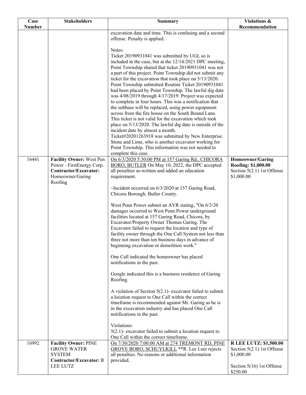| Case          | <b>Stakeholders</b>                               | <b>Summary</b>                                                                                                                                                                                                                        | Violations &                                                  |
|---------------|---------------------------------------------------|---------------------------------------------------------------------------------------------------------------------------------------------------------------------------------------------------------------------------------------|---------------------------------------------------------------|
| <b>Number</b> |                                                   |                                                                                                                                                                                                                                       | Recommendation                                                |
|               |                                                   | excavation date and time. This is confusing and a second<br>offense. Penalty is applied.                                                                                                                                              |                                                               |
|               |                                                   | Notes:                                                                                                                                                                                                                                |                                                               |
|               |                                                   | Ticket 20190931041 was submitted by UGI, so is<br>included in the case, but at the 12/14/2021 DPC meeting,                                                                                                                            |                                                               |
|               |                                                   | Point Township shared that ticket 20190931041 was not                                                                                                                                                                                 |                                                               |
|               |                                                   | a part of this project. Point Township did not submit any<br>ticket for the excavation that took place on 5/13/2020.<br>Point Township submitted Routine Ticket 20190931041<br>had been placed by Point Township. The lawful dig date |                                                               |
|               |                                                   | was 4/08/2019 through 4/17/2019. Project was expected                                                                                                                                                                                 |                                                               |
|               |                                                   | to complete in four hours. This was a notification that                                                                                                                                                                               |                                                               |
|               |                                                   | the subbase will be replaced, using power equipment<br>across from the fire house on the South Bound Lane.                                                                                                                            |                                                               |
|               |                                                   | This ticket is not valid for the excavation which took                                                                                                                                                                                |                                                               |
|               |                                                   | place on 5/13/2020. The lawful dig date is outside of the                                                                                                                                                                             |                                                               |
|               |                                                   | incident date by almost a month.                                                                                                                                                                                                      |                                                               |
|               |                                                   | Ticket#20201263918 was submitted by New Enterprise                                                                                                                                                                                    |                                                               |
|               |                                                   | Stone and Lime, who is another excavator working for<br>Point Township. This information was not needed to                                                                                                                            |                                                               |
|               |                                                   | complete this case.                                                                                                                                                                                                                   |                                                               |
| 16441         | <b>Facility Owner: West Pen</b>                   | On 6/3/2020 5:30:00 PM at 157 Garing Rd., CHICORA                                                                                                                                                                                     | <b>Homeowner/Garing</b>                                       |
|               | Power - FirstEnergy Corp.                         | BORO, BUTLER On May 10, 2022, the DPC accepted                                                                                                                                                                                        | Roofing: \$1,000.00                                           |
|               | Contractor/Excavator:<br>Homeowner/Garing         | all penalties as-written and added an education<br>requirement.                                                                                                                                                                       | Section 5(2.1) 1st Offense<br>\$1,000.00                      |
|               | Roofing                                           |                                                                                                                                                                                                                                       |                                                               |
|               |                                                   | ~Incident occurred on 6/3/2020 at 157 Garing Road,                                                                                                                                                                                    |                                                               |
|               |                                                   | Chicora Borough, Butler County.                                                                                                                                                                                                       |                                                               |
|               |                                                   | West Penn Power submit an AVR stating, "On 6/3/20<br>damages occurred to West Penn Power underground                                                                                                                                  |                                                               |
|               |                                                   | facilities located at 157 Garing Road, Chicora, by                                                                                                                                                                                    |                                                               |
|               |                                                   | Excavator/Property Owner Thomas Garing. The                                                                                                                                                                                           |                                                               |
|               |                                                   | Excavator failed to request the location and type of                                                                                                                                                                                  |                                                               |
|               |                                                   | facility owner through the One Call System not less than                                                                                                                                                                              |                                                               |
|               |                                                   | three not more than ten business days in advance of<br>beginning excavation or demolition work."                                                                                                                                      |                                                               |
|               |                                                   |                                                                                                                                                                                                                                       |                                                               |
|               |                                                   | One Call indicated the homeowner has placed                                                                                                                                                                                           |                                                               |
|               |                                                   | notifications in the past.                                                                                                                                                                                                            |                                                               |
|               |                                                   | Google indicated this is a business residence of Garing<br>Roofing.                                                                                                                                                                   |                                                               |
|               |                                                   | A violation of Section $5(2.1)$ - excavator failed to submit                                                                                                                                                                          |                                                               |
|               |                                                   | a location request to One Call within the correct                                                                                                                                                                                     |                                                               |
|               |                                                   | timeframe is recommended against Mr. Garing as he is                                                                                                                                                                                  |                                                               |
|               |                                                   | in the excavation industry and has placed One Call                                                                                                                                                                                    |                                                               |
|               |                                                   | notifications in the past.                                                                                                                                                                                                            |                                                               |
|               |                                                   | Violations:                                                                                                                                                                                                                           |                                                               |
|               |                                                   | $5(2.1)$ - excavator failed to submit a location request to                                                                                                                                                                           |                                                               |
|               |                                                   | One Call within the correct timeframe.                                                                                                                                                                                                |                                                               |
| 16992         | <b>Facility Owner: PINE</b><br><b>GROVE WATER</b> | On 7/30/2020 7:00:00 AM at 274 TREMONT RD, PINE<br>GROVE BORO, SCHUYLKILL <sup>**</sup> R. Lee Lutz rejects                                                                                                                           | <b>R LEE LUTZ: \$1,500.00</b><br>Section $5(2.1)$ 1st Offense |
|               | <b>SYSTEM</b>                                     | all penalties. No reasons or additional information                                                                                                                                                                                   | \$1,000.00                                                    |
|               | <b>Contractor/Excavator: R</b>                    | provided.                                                                                                                                                                                                                             |                                                               |
|               | LEE LUTZ                                          |                                                                                                                                                                                                                                       | Section $5(16)$ 1st Offense<br>\$250.00                       |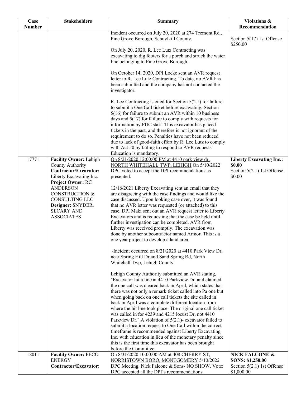| Case          | <b>Stakeholders</b>                                                                                                                    | <b>Summary</b>                                                                                                                                                                                                                                                                                                                                                                                                                                                                                                                                | Violations &                                                                        |
|---------------|----------------------------------------------------------------------------------------------------------------------------------------|-----------------------------------------------------------------------------------------------------------------------------------------------------------------------------------------------------------------------------------------------------------------------------------------------------------------------------------------------------------------------------------------------------------------------------------------------------------------------------------------------------------------------------------------------|-------------------------------------------------------------------------------------|
| <b>Number</b> |                                                                                                                                        |                                                                                                                                                                                                                                                                                                                                                                                                                                                                                                                                               | Recommendation                                                                      |
|               |                                                                                                                                        | Incident occurred on July 20, 2020 at 274 Tremont Rd.,<br>Pine Grove Borough, Schuylkill County.<br>On July 20, 2020, R. Lee Lutz Contracting was<br>excavating to dig footers for a porch and struck the water<br>line belonging to Pine Grove Borough.                                                                                                                                                                                                                                                                                      | Section $5(17)$ 1st Offense<br>\$250.00                                             |
|               |                                                                                                                                        | On October 14, 2020, DPI Locke sent an AVR request<br>letter to R. Lee Lutz Contracting. To date, no AVR has<br>been submitted and the company has not contacted the<br>investigator.                                                                                                                                                                                                                                                                                                                                                         |                                                                                     |
|               |                                                                                                                                        | R. Lee Contracting is cited for Section $5(2.1)$ for failure<br>to submit a One Call ticket before excavating, Section<br>$5(16)$ for failure to submit an AVR within 10 business<br>days and $5(17)$ for failure to comply with requests for<br>information by PUC staff. This excavator has placed<br>tickets in the past, and therefore is not ignorant of the<br>requirement to do so. Penalties have not been reduced<br>due to lack of good-faith effort by R. Lee Lutz to comply<br>with Act 50 by failing to respond to AVR requests. |                                                                                     |
| 17771         | Facility Owner: Lehigh<br>County Authority<br>Contractor/Excavator:<br>Liberty Excavating Inc.<br>Project Owner: RC<br><b>ANDERSON</b> | Education is mandatory.<br>On 8/21/2020 12:00:00 PM at 4410 park view dr,<br>NORTH WHITEHALL TWP, LEHIGH On 5/10/2022<br>DPC voted to accept the DPI recommendations as<br>presented.<br>12/16/2021 Liberty Excavating sent an email that they                                                                                                                                                                                                                                                                                                | <b>Liberty Excavating Inc.:</b><br>\$0.00<br>Section $5(2.1)$ 1st Offense<br>\$0.00 |
|               | <b>CONSTRUCTION &amp;</b><br>CONSULTING LLC<br>Designer: SNYDER,<br><b>SECARY AND</b><br><b>ASSOCIATES</b>                             | are disagreeing with the case findings and would like the<br>case discussed. Upon looking case over, it was found<br>that no AVR letter was requested (or attached) to this<br>case. DPI Maki sent out an AVR request letter to Liberty<br>Excavators and is requesting that the case be held until<br>further investigation can be completed. AVR from<br>Liberty was received promptly. The excavation was<br>done by another subcontractor named Armor. This is a<br>one year project to develop a land area.                              |                                                                                     |
|               |                                                                                                                                        | ~Incident occurred on $8/21/2020$ at 4410 Park View Dr,<br>near Spring Hill Dr and Sand Spring Rd, North<br>Whitehall Twp, Lehigh County.                                                                                                                                                                                                                                                                                                                                                                                                     |                                                                                     |
|               |                                                                                                                                        | Lehigh County Authority submitted an AVR stating,<br>"Excavator hit a line at 4410 Parkview Dr. and claimed<br>the one call was cleared back in April, which states that<br>there was not only a remark ticket called into Pa one but<br>when going back on one call tickets the site called in<br>back in April was a complete different location from<br>where the hit line took place. The original one call ticket                                                                                                                        |                                                                                     |
|               |                                                                                                                                        | was called in for 4239 and 4215 locust Dr, not 4410<br>Parkview Dr." A violation of $5(2.1)$ - excavator failed to<br>submit a location request to One Call within the correct<br>timeframe is recommended against Liberty Excavating<br>Inc. with education in lieu of the monetary penalty since<br>this is the first time this excavator has been brought<br>before the Committee.                                                                                                                                                         |                                                                                     |
| 18011         | <b>Facility Owner: PECO</b><br><b>ENERGY</b>                                                                                           | On 8/31/2020 10:00:00 AM at 408 CHERRY ST,<br>NORRISTOWN BORO, MONTGOMERY 5/10/2022                                                                                                                                                                                                                                                                                                                                                                                                                                                           | <b>NICK FALCONE &amp;</b><br>SONS: \$1,250.00                                       |
|               | Contractor/Excavator:                                                                                                                  | DPC Meeting. Nick Falcone & Sons- NO SHOW. Vote:<br>DPC accepted all the DPI's recommendations.                                                                                                                                                                                                                                                                                                                                                                                                                                               | Section $5(2.1)$ 1st Offense<br>\$1,000.00                                          |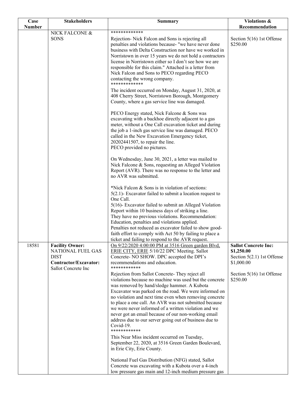| Case   | <b>Stakeholders</b>                                                                                               | <b>Summary</b>                                                                                                                                                                                                                                                                                                                                                                                                                                                                                                                             | Violations &                                                                          |
|--------|-------------------------------------------------------------------------------------------------------------------|--------------------------------------------------------------------------------------------------------------------------------------------------------------------------------------------------------------------------------------------------------------------------------------------------------------------------------------------------------------------------------------------------------------------------------------------------------------------------------------------------------------------------------------------|---------------------------------------------------------------------------------------|
| Number |                                                                                                                   |                                                                                                                                                                                                                                                                                                                                                                                                                                                                                                                                            | Recommendation                                                                        |
|        | NICK FALCONE &<br><b>SONS</b>                                                                                     | *************<br>Rejection- Nick Falcon and Sons is rejecting all<br>penalties and violations because- "we have never done<br>business with Delta Construction nor have we worked in<br>Norristown in over 15 years we do not hold a contractors<br>license in Norristown either so I don't see how we are<br>responsible for this claim." Attached is a letter from<br>Nick Falcon and Sons to PECO regarding PECO<br>contacting the wrong company.<br>*************                                                                      | Section $5(16)$ 1st Offense<br>\$250.00                                               |
|        |                                                                                                                   | The incident occurred on Monday, August 31, 2020, at<br>408 Cherry Street, Norristown Borough, Montgomery<br>County, where a gas service line was damaged.<br>PECO Energy stated, Nick Falcone & Sons was<br>excavating with a backhoe directly adjacent to a gas<br>meter, without a One Call excavation ticket and during<br>the job a 1-inch gas service line was damaged. PECO                                                                                                                                                         |                                                                                       |
|        |                                                                                                                   | called in the New Excavation Emergency ticket,<br>20202441507, to repair the line.<br>PECO provided no pictures.                                                                                                                                                                                                                                                                                                                                                                                                                           |                                                                                       |
|        |                                                                                                                   | On Wednesday, June 30, 2021, a letter was mailed to<br>Nick Falcone & Sons, requesting an Alleged Violation<br>Report (AVR). There was no response to the letter and<br>no AVR was submitted.                                                                                                                                                                                                                                                                                                                                              |                                                                                       |
|        |                                                                                                                   | *Nick Falcon & Sons is in violation of sections:<br>$5(2.1)$ - Excavator failed to submit a location request to<br>One Call.                                                                                                                                                                                                                                                                                                                                                                                                               |                                                                                       |
|        |                                                                                                                   | 5(16)- Excavator failed to submit an Alleged Violation<br>Report within 10 business days of striking a line.<br>They have no previous violations. Recommendation:<br>Education, penalties and violations applied.<br>Penalties not reduced as excavator failed to show good-<br>faith effort to comply with Act 50 by failing to place a<br>ticket and failing to respond to the AVR request.                                                                                                                                              |                                                                                       |
| 18581  | <b>Facility Owner:</b><br><b>NATIONAL FUEL GAS</b><br><b>DIST</b><br>Contractor/Excavator:<br>Sallot Concrete Inc | On 9/22/2020 4:00:00 PM at 3516 Green garden Blvd,<br>ERIE CITY, ERIE 5/10/22 DPC Meeting. Sallot<br>Concrete- NO SHOW. DPC accepted the DPI's<br>recommendations and education.<br>************                                                                                                                                                                                                                                                                                                                                           | <b>Sallot Concrete Inc:</b><br>\$1,250.00<br>Section 5(2.1) 1st Offense<br>\$1,000.00 |
|        |                                                                                                                   | Rejection from Sallot Concrete-They reject all<br>violations because no machine was used but the concrete<br>was removed by hand/sledge hammer. A Kubota<br>Excavator was parked on the road. We were informed on<br>no violation and next time even when removing concrete<br>to place a one call. An AVR was not submitted because<br>we were never informed of a written violation and we<br>never got an email because of our non-working email<br>address due to our server going out of business due to<br>Covid-19.<br>************ | Section $5(16)$ 1st Offense<br>\$250.00                                               |
|        |                                                                                                                   | This Near Miss incident occurred on Tuesday,<br>September 22, 2020, at 3516 Green Garden Boulevard,<br>in Erie City, Erie County.                                                                                                                                                                                                                                                                                                                                                                                                          |                                                                                       |
|        |                                                                                                                   | National Fuel Gas Distribution (NFG) stated, Sallot<br>Concrete was excavating with a Kubota over a 4-inch<br>low pressure gas main and 12-inch medium pressure gas                                                                                                                                                                                                                                                                                                                                                                        |                                                                                       |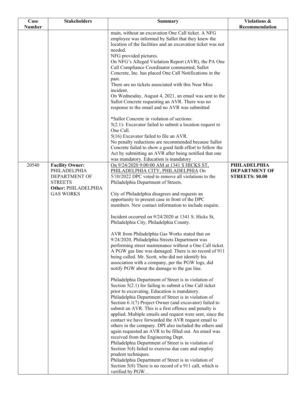| Case          | <b>Stakeholders</b>                   | <b>Summary</b>                                                                                                    | Violations &           |
|---------------|---------------------------------------|-------------------------------------------------------------------------------------------------------------------|------------------------|
| <b>Number</b> |                                       |                                                                                                                   | Recommendation         |
|               |                                       | main, without an excavation One Call ticket. A NFG<br>employee was informed by Sallot that they knew the          |                        |
|               |                                       | location of the facilities and an excavation ticket was not                                                       |                        |
|               |                                       | needed.<br>NFG provided pictures.                                                                                 |                        |
|               |                                       | On NFG's Alleged Violation Report (AVR), the PA One                                                               |                        |
|               |                                       | Call Compliance Coordinator commented, Sallot                                                                     |                        |
|               |                                       | Concrete, Inc. has placed One Call Notifications in the<br>past.                                                  |                        |
|               |                                       | There are no tickets associated with this Near Miss<br>incident.                                                  |                        |
|               |                                       | On Wednesday, August 4, 2021, an email was sent to the                                                            |                        |
|               |                                       | Sallot Concrete requesting an AVR. There was no                                                                   |                        |
|               |                                       | response to the email and no AVR was submitted                                                                    |                        |
|               |                                       | *Sallot Concrete in violation of sections:                                                                        |                        |
|               |                                       | $5(2.1)$ - Excavator failed to submit a location request to                                                       |                        |
|               |                                       | One Call.<br>5(16) Excavator failed to file an AVR.                                                               |                        |
|               |                                       | No penalty reductions are recommended because Sallot                                                              |                        |
|               |                                       | Concrete failed to show a good faith effort to follow the                                                         |                        |
|               |                                       | Act by submitting an AVR after being notified that one<br>was mandatory. Education is mandatory                   |                        |
| 20540         | <b>Facility Owner:</b>                | On 9/24/2020 9:00:00 AM at 1341 S HICKS ST,                                                                       | <b>PHILADELPHIA</b>    |
|               | PHILADELPHIA                          | PHILADELPHIA CITY, PHILADELPHIA On                                                                                | <b>DEPARTMENT OF</b>   |
|               | DEPARTMENT OF                         | 5/10/2022 DPC voted to remove all violations to the                                                               | <b>STREETS: \$0.00</b> |
|               | <b>STREETS</b><br>Other: PHILADELPHIA | Philadelphia Department of Streets.                                                                               |                        |
|               | <b>GAS WORKS</b>                      | City of Philadelphia disagrees and requests an                                                                    |                        |
|               |                                       | opportunity to present case in front of the DPC                                                                   |                        |
|               |                                       | members. New contact information to include esquire.                                                              |                        |
|               |                                       | Incident occurred on 9/24/2020 at 1341 S. Hicks St,                                                               |                        |
|               |                                       | Philadelphia City, Philadelphia County.                                                                           |                        |
|               |                                       | AVR from Philadelphia Gas Works stated that on                                                                    |                        |
|               |                                       | 9/24/2020, Philadelphia Streets Department was                                                                    |                        |
|               |                                       | performing street maintenance without a One Call ticket.<br>A PGW gas line was damaged. There is no record of 911 |                        |
|               |                                       | being called. Mr. Scott, who did not identify his                                                                 |                        |
|               |                                       | association with a company, per the PGW logs, did                                                                 |                        |
|               |                                       | notify PGW about the damage to the gas line.                                                                      |                        |
|               |                                       | Philadelphia Department of Street is in violation of                                                              |                        |
|               |                                       | Section $5(2.1)$ for failing to submit a One Call ticket                                                          |                        |
|               |                                       | prior to excavating. Education is mandatory.<br>Philadelphia Department of Street is in violation of              |                        |
|               |                                       | Section 6.1(7) Project Owner (and excavator) failed to                                                            |                        |
|               |                                       | submit an AVR. This is a first offence and penalty is                                                             |                        |
|               |                                       | applied. Multiple emails and request were sent, since the<br>contact we have forwarded the AVR request email to   |                        |
|               |                                       | others in the company. DPI also included the others and                                                           |                        |
|               |                                       | again requested an AVR to be filled out. An email was                                                             |                        |
|               |                                       | received from the Engineering Dept.<br>Philadelphia Department of Street is in violation of                       |                        |
|               |                                       | Section 5(4) failed to exercise due care and employ                                                               |                        |
|               |                                       | prudent techniques.                                                                                               |                        |
|               |                                       | Philadelphia Department of Street is in violation of<br>Section 5(8) There is no record of a 911 call, which is   |                        |
|               |                                       | verified by PGW                                                                                                   |                        |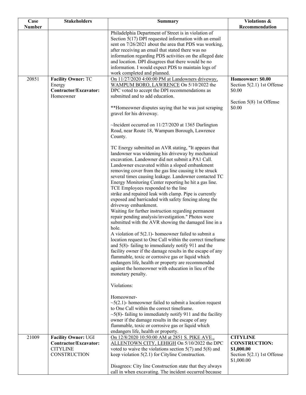| Case          | <b>Stakeholders</b>                                                             | <b>Summary</b>                                                                                                                                                                                                                                                                                                                                                                                                                                                                                                                                                                                                                                                                                                                                                                                                                                                                                                                                                                                                                                                                                                                                                                                  | Violations &                                                                                        |
|---------------|---------------------------------------------------------------------------------|-------------------------------------------------------------------------------------------------------------------------------------------------------------------------------------------------------------------------------------------------------------------------------------------------------------------------------------------------------------------------------------------------------------------------------------------------------------------------------------------------------------------------------------------------------------------------------------------------------------------------------------------------------------------------------------------------------------------------------------------------------------------------------------------------------------------------------------------------------------------------------------------------------------------------------------------------------------------------------------------------------------------------------------------------------------------------------------------------------------------------------------------------------------------------------------------------|-----------------------------------------------------------------------------------------------------|
| <b>Number</b> |                                                                                 |                                                                                                                                                                                                                                                                                                                                                                                                                                                                                                                                                                                                                                                                                                                                                                                                                                                                                                                                                                                                                                                                                                                                                                                                 | Recommendation                                                                                      |
|               |                                                                                 | Philadelphia Department of Street is in violation of<br>Section $5(17)$ DPI requested information with an email<br>sent on 7/26/2021 about the area that PDS was working,<br>after receiving an email that stated there was no<br>information regarding PDS activities on the alleged date<br>and location. DPI disagrees that there would be no<br>information. I would expect PDS to maintain logs of<br>work completed and planned.                                                                                                                                                                                                                                                                                                                                                                                                                                                                                                                                                                                                                                                                                                                                                          |                                                                                                     |
| 20851         | <b>Facility Owner: TC</b><br>Energy<br>Contractor/Excavator:<br>Homeowner       | On 11/27/2020 4:00:00 PM at Landowners driveway,<br>WAMPUM BORO, LAWRENCE On 5/10/2022 the<br>DPC voted to accept the DPI recommendations as<br>submitted and to add education.<br>**Homeowner disputes saying that he was just scraping                                                                                                                                                                                                                                                                                                                                                                                                                                                                                                                                                                                                                                                                                                                                                                                                                                                                                                                                                        | Homeowner: \$0.00<br>Section $5(2.1)$ 1st Offense<br>\$0.00<br>Section 5(8) 1st Offense<br>\$0.00   |
|               |                                                                                 | gravel for his driveway.<br>$\sim$ Incident occurred on 11/27/2020 at 1365 Darlington<br>Road, near Route 18, Wampum Borough, Lawrence<br>County.                                                                                                                                                                                                                                                                                                                                                                                                                                                                                                                                                                                                                                                                                                                                                                                                                                                                                                                                                                                                                                               |                                                                                                     |
|               |                                                                                 | TC Energy submitted an AVR stating, "It appears that<br>landowner was widening his driveway by mechanical<br>excavation. Landowner did not submit a PA1 Call.<br>Landowner excavated within a sloped embankment<br>removing cover from the gas line causing it be struck<br>several times causing leakage. Landowner contacted TC<br>Energy Monitoring Center reporting he hit a gas line.<br>TCE Employees responded to the line<br>strike and repaired leak with clamp. Pipe is currently<br>exposed and barricaded with safety fencing along the<br>driveway embankment.<br>Waiting for further instruction regarding permanent<br>repair pending analysis/investigation." Photos were<br>submitted with the AVR showing the damaged line in a<br>hole.<br>A violation of $5(2.1)$ - homeowner failed to submit a<br>location request to One Call within the correct timeframe<br>and $5(8)$ - failing to immediately notify 911 and the<br>facility owner if the damage results in the escape of any<br>flammable, toxic or corrosive gas or liquid which<br>endangers life, health or property are recommended<br>against the homeowner with education in lieu of the<br>monetary penalty. |                                                                                                     |
|               |                                                                                 | Violations:<br>Homeowner-<br>$\sim$ 5(2.1)- homeowner failed to submit a location request<br>to One Call within the correct timeframe.<br>$\sim$ 5(8)-failing to immediately notify 911 and the facility<br>owner if the damage results in the escape of any<br>flammable, toxic or corrosive gas or liquid which<br>endangers life, health or property.                                                                                                                                                                                                                                                                                                                                                                                                                                                                                                                                                                                                                                                                                                                                                                                                                                        |                                                                                                     |
| 21009         | Facility Owner: UGI<br>Contractor/Excavator:<br><b>CITYLINE</b><br>CONSTRUCTION | On 12/8/2020 10:50:00 AM at 2851 S. PIKE AVE.,<br>ALLENTOWN CITY, LEHIGH On 5/10/2022 the DPC<br>voted to waive the violations section $5(7)$ and $5(8)$ and<br>keep violation $5(2.1)$ for Cityline Construction.<br>Disagrees: City line Construction state that they always<br>call in when excavating. The incident occurred because                                                                                                                                                                                                                                                                                                                                                                                                                                                                                                                                                                                                                                                                                                                                                                                                                                                        | <b>CITYLINE</b><br><b>CONSTRUCTION:</b><br>\$1,000.00<br>Section $5(2.1)$ 1st Offense<br>\$1,000.00 |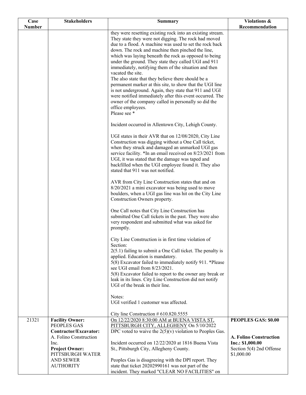| Case<br><b>Number</b> | <b>Stakeholders</b>                             | <b>Summary</b>                                                                                                     | Violations &<br>Recommendation         |
|-----------------------|-------------------------------------------------|--------------------------------------------------------------------------------------------------------------------|----------------------------------------|
|                       |                                                 | they were resetting existing rock into an existing stream.<br>They state they were not digging. The rock had moved |                                        |
|                       |                                                 | due to a flood. A machine was used to set the rock back                                                            |                                        |
|                       |                                                 | down. The rock and machine then pinched the line,                                                                  |                                        |
|                       |                                                 | which was laying beneath the rock as opposed to being<br>under the ground. They state they called UGI and 911      |                                        |
|                       |                                                 | immediately, notifying them of the situation and then                                                              |                                        |
|                       |                                                 | vacated the site.                                                                                                  |                                        |
|                       |                                                 | The also state that they believe there should be a<br>permanent marker at this site, to show that the UGI line     |                                        |
|                       |                                                 | is not underground. Again, they state that 911 and UGI                                                             |                                        |
|                       |                                                 | were notified immediately after this event occurred. The<br>owner of the company called in personally so did the   |                                        |
|                       |                                                 | office employees.                                                                                                  |                                        |
|                       |                                                 | Please see *                                                                                                       |                                        |
|                       |                                                 | Incident occurred in Allentown City, Lehigh County.                                                                |                                        |
|                       |                                                 | UGI states in their AVR that on 12/08/2020, City Line                                                              |                                        |
|                       |                                                 | Construction was digging without a One Call ticket,<br>when they struck and damaged an unmarked UGI gas            |                                        |
|                       |                                                 | service facility. *In an email received on 8/23/2021 from                                                          |                                        |
|                       |                                                 | UGI, it was stated that the damage was taped and                                                                   |                                        |
|                       |                                                 | backfilled when the UGI employee found it. They also<br>stated that 911 was not notified.                          |                                        |
|                       |                                                 | AVR from City Line Construction states that and on                                                                 |                                        |
|                       |                                                 | 8/20/2021 a mini excavator was being used to move<br>boulders, when a UGI gas line was hit on the City Line        |                                        |
|                       |                                                 | Construction Owners property.                                                                                      |                                        |
|                       |                                                 | One Call notes that City Line Construction has                                                                     |                                        |
|                       |                                                 | submitted One Call tickets in the past. They were also<br>very respondent and submitted what was asked for         |                                        |
|                       |                                                 | promptly.                                                                                                          |                                        |
|                       |                                                 | City Line Construction is in first time violation of<br>Section:                                                   |                                        |
|                       |                                                 | $2(5.1)$ failing to submit a One Call ticket. The penalty is                                                       |                                        |
|                       |                                                 | applied. Education is mandatory.                                                                                   |                                        |
|                       |                                                 | 5(8) Excavator failed to immediately notify 911. *Please<br>see UGI email from 8/23/2021.                          |                                        |
|                       |                                                 | 5(8) Excavator failed to report to the owner any break or                                                          |                                        |
|                       |                                                 | leak in its lines. City Line Construction did not notify<br>UGI of the break in their line.                        |                                        |
|                       |                                                 | Notes:                                                                                                             |                                        |
|                       |                                                 | UGI verified 1 customer was affected.                                                                              |                                        |
|                       |                                                 | City line Construction $#610.820.5555$                                                                             |                                        |
| 21321                 | <b>Facility Owner:</b><br>PEOPLES GAS           | On 12/22/2020 8:30:00 AM at BUENA VISTA ST,<br>PITTSBURGH CITY, ALLEGHENY On 5/10/2022                             | PEOPLES GAS: \$0.00                    |
|                       | Contractor/Excavator:<br>A. Folino Construction | DPC voted to waive the $2(5)(v)$ violation to Peoples Gas.                                                         | <b>A. Folino Construction</b>          |
|                       | Inc.                                            | Incident occurred on 12/22/2020 at 1816 Buena Vista                                                                | Inc.: \$1,000.00                       |
|                       | <b>Project Owner:</b><br>PITTSBURGH WATER       | St., Pittsburgh City, Allegheny County.                                                                            | Section 5(4) 2nd Offense<br>\$1,000.00 |
|                       | <b>AND SEWER</b>                                | Peoples Gas is disagreeing with the DPI report. They                                                               |                                        |
|                       | <b>AUTHORITY</b>                                | state that ticket 20202990161 was not part of the                                                                  |                                        |
|                       |                                                 | incident. They marked "CLEAR NO FACILITIES" on                                                                     |                                        |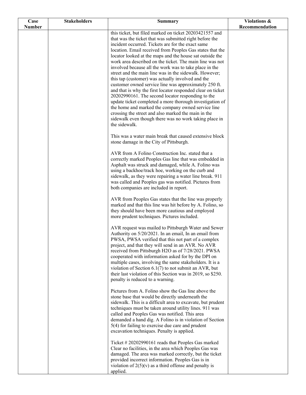| Case          | <b>Stakeholders</b> | <b>Summary</b>                                                                                                                                                                                                                                                                                                                                                                                                                                                                                                                                                                                 | Violations &   |
|---------------|---------------------|------------------------------------------------------------------------------------------------------------------------------------------------------------------------------------------------------------------------------------------------------------------------------------------------------------------------------------------------------------------------------------------------------------------------------------------------------------------------------------------------------------------------------------------------------------------------------------------------|----------------|
| <b>Number</b> |                     |                                                                                                                                                                                                                                                                                                                                                                                                                                                                                                                                                                                                | Recommendation |
|               |                     | this ticket, but filed marked on ticket 20203421557 and<br>that was the ticket that was submitted right before the<br>incident occurred. Tickets are for the exact same<br>location. Email received from Peoples Gas states that the<br>locator looked at the maps and the house sat outside the<br>work area described on the ticket. The main line was not<br>involved because all the work was to take place in the<br>street and the main line was in the sidewalk. However;<br>this tap (customer) was actually involved and the<br>customer owned service line was approximately 250 ft. |                |
|               |                     | and that is why the first locator responded clear on ticket<br>20202990161. The second locator responding to the<br>update ticket completed a more thorough investigation of<br>the home and marked the company owned service line<br>crossing the street and also marked the main in the<br>sidewalk even though there was no work taking place in<br>the sidewalk.                                                                                                                                                                                                                           |                |
|               |                     | This was a water main break that caused extensive block<br>stone damage in the City of Pittsburgh.                                                                                                                                                                                                                                                                                                                                                                                                                                                                                             |                |
|               |                     | AVR from A Folino Construction Inc. stated that a<br>correctly marked Peoples Gas line that was embedded in<br>Asphalt was struck and damaged, while A. Folino was<br>using a backhoe/track hoe, working on the curb and<br>sidewalk, as they were repairing a water line break. 911<br>was called and Peoples gas was notified. Pictures from<br>both companies are included in report.                                                                                                                                                                                                       |                |
|               |                     | AVR from Peoples Gas states that the line was properly<br>marked and that this line was hit before by A. Folino, so<br>they should have been more cautious and employed<br>more prudent techniques. Pictures included.                                                                                                                                                                                                                                                                                                                                                                         |                |
|               |                     | AVR request was mailed to Pittsburgh Water and Sewer<br>Authority on 5/20/2021. In an email, In an email from<br>PWSA, PWSA verified that this not part of a complex<br>project, and that they will send in an AVR. No AVR<br>received from Pittsburgh H2O as of 7/28/2021. PWSA<br>cooperated with information asked for by the DPI on<br>multiple cases, involving the same stakeholders. It is a<br>violation of Section $6.1(7)$ to not submit an AVR, but<br>their last violation of this Section was in 2019, so \$250.<br>penalty is reduced to a warning.                              |                |
|               |                     | Pictures from A. Folino show the Gas line above the<br>stone base that would be directly underneath the<br>sidewalk. This is a difficult area to excavate, but prudent<br>techniques must be taken around utility lines. 911 was<br>called and Peoples Gas was notified. This area<br>demanded a hand dig. A Folino is in violation of Section<br>5(4) for failing to exercise due care and prudent<br>excavation techniques. Penalty is applied.                                                                                                                                              |                |
|               |                     | Ticket #20202990161 reads that Peoples Gas marked<br>Clear no facilities, in the area which Peoples Gas was<br>damaged. The area was marked correctly, but the ticket<br>provided incorrect information. Peoples Gas is in<br>violation of $2(5)(v)$ as a third offense and penalty is<br>applied.                                                                                                                                                                                                                                                                                             |                |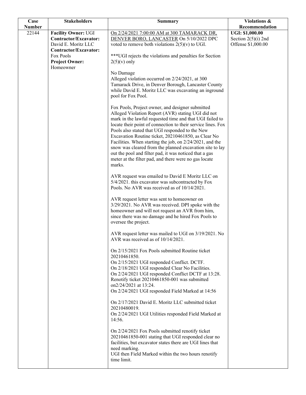| Case          | <b>Stakeholders</b>                | <b>Summary</b>                                                                                                       | Violations &           |
|---------------|------------------------------------|----------------------------------------------------------------------------------------------------------------------|------------------------|
| <b>Number</b> |                                    |                                                                                                                      | Recommendation         |
| 22144         | <b>Facility Owner: UGI</b>         | On 2/24/2021 7:00:00 AM at 300 TAMARACK DR.                                                                          | <b>UGI: \$1,000.00</b> |
|               | Contractor/Excavator:              | DENVER BORO, LANCASTER On 5/10/2022 DPC                                                                              | Section $2(5)(i)$ 2nd  |
|               | David E. Moritz LLC                | voted to remove both violations $2(5)(v)$ to UGI.                                                                    | Offense \$1,000.00     |
|               | Contractor/Excavator:              |                                                                                                                      |                        |
|               | Fox Pools                          | *** UGI rejects the violations and penalties for Section                                                             |                        |
|               | <b>Project Owner:</b><br>Homeowner | $2(5)(v)$ only                                                                                                       |                        |
|               |                                    | No Damage                                                                                                            |                        |
|               |                                    | Alleged violation occurred on 2/24/2021, at 300                                                                      |                        |
|               |                                    | Tamarack Drive, in Denver Borough, Lancaster County                                                                  |                        |
|               |                                    | while David E. Moritz LLC was excavating an inground                                                                 |                        |
|               |                                    | pool for Fox Pool.                                                                                                   |                        |
|               |                                    |                                                                                                                      |                        |
|               |                                    | Fox Pools, Project owner, and designer submitted                                                                     |                        |
|               |                                    | Alleged Violation Report (AVR) stating UGI did not                                                                   |                        |
|               |                                    | mark in the lawful requested time and that UGI failed to                                                             |                        |
|               |                                    | locate their point of connection to their service lines. Fox                                                         |                        |
|               |                                    | Pools also stated that UGI responded to the New                                                                      |                        |
|               |                                    | Excavation Routine ticket, 20210461850, as Clear No                                                                  |                        |
|               |                                    | Facilities. When starting the job, on 2/24/2021, and the<br>snow was cleared from the planned excavation site to lay |                        |
|               |                                    | out the pool and filter pad, it was noticed that a gas                                                               |                        |
|               |                                    | meter at the filter pad, and there were no gas locate                                                                |                        |
|               |                                    | marks.                                                                                                               |                        |
|               |                                    |                                                                                                                      |                        |
|               |                                    | AVR request was emailed to David E Moritz LLC on                                                                     |                        |
|               |                                    | 5/4/2021. this excavator was subcontracted by Fox                                                                    |                        |
|               |                                    | Pools. No AVR was received as of 10/14/2021.                                                                         |                        |
|               |                                    |                                                                                                                      |                        |
|               |                                    | AVR request letter was sent to homeowner on<br>3/29/2021. No AVR was received. DPI spoke with the                    |                        |
|               |                                    | homeowner and will not request an AVR from him,                                                                      |                        |
|               |                                    | since there was no damage and he hired Fox Pools to                                                                  |                        |
|               |                                    | oversee the project.                                                                                                 |                        |
|               |                                    |                                                                                                                      |                        |
|               |                                    | AVR request letter was mailed to UGI on 3/19/2021. No                                                                |                        |
|               |                                    | AVR was received as of 10/14/2021.                                                                                   |                        |
|               |                                    | On 2/15/2021 Fox Pools submitted Routine ticket                                                                      |                        |
|               |                                    | 20210461850.                                                                                                         |                        |
|               |                                    | On 2/15/2021 UGI responded Conflict. DCTF.                                                                           |                        |
|               |                                    | On 2/18/2021 UGI responded Clear No Facilities.                                                                      |                        |
|               |                                    | On 2/24/2021 UGI responded Conflict DCTF at 13:28.                                                                   |                        |
|               |                                    | Renotify ticket 20210461850-001 was submitted                                                                        |                        |
|               |                                    | on2/24/2021 at 13:24.                                                                                                |                        |
|               |                                    | On 2/24/2021 UGI responded Field Marked at 14:56                                                                     |                        |
|               |                                    | On 2/17/2021 David E. Moritz LLC submitted ticket                                                                    |                        |
|               |                                    | 20210480019.                                                                                                         |                        |
|               |                                    | On 2/24/2021 UGI Utilities responded Field Marked at                                                                 |                        |
|               |                                    | 14:56.                                                                                                               |                        |
|               |                                    |                                                                                                                      |                        |
|               |                                    | On 2/24/2021 Fox Pools submitted renotify ticket                                                                     |                        |
|               |                                    | 20210461850-001 stating that UGI responded clear no                                                                  |                        |
|               |                                    | facilities, but excavator states there are UGI lines that                                                            |                        |
|               |                                    | need marking.                                                                                                        |                        |
|               |                                    | UGI then Field Marked within the two hours renotify<br>time limit.                                                   |                        |
|               |                                    |                                                                                                                      |                        |
|               |                                    |                                                                                                                      |                        |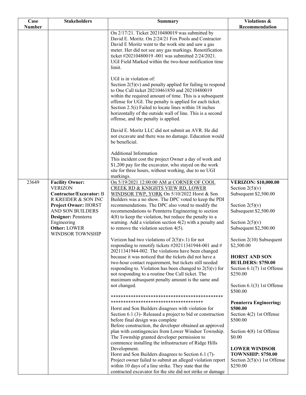| Case          | <b>Stakeholders</b>                      | <b>Summary</b>                                                                                              | Violations &                                      |
|---------------|------------------------------------------|-------------------------------------------------------------------------------------------------------------|---------------------------------------------------|
| <b>Number</b> |                                          |                                                                                                             | Recommendation                                    |
|               |                                          | On 2/17/21. Ticket 20210480019 was submitted by                                                             |                                                   |
|               |                                          | David E. Moritz. On 2/24/21 Fox Pools and Contractor                                                        |                                                   |
|               |                                          | David E Moritz went to the work site and saw a gas                                                          |                                                   |
|               |                                          | meter. Her did not see any gas markings. Renotification                                                     |                                                   |
|               |                                          | ticket #20210480019 -001 was submitted 2/24/2021.<br>UGI Field Marked within the two-hour notification time |                                                   |
|               |                                          | limit.                                                                                                      |                                                   |
|               |                                          |                                                                                                             |                                                   |
|               |                                          | UGI is in violation of:                                                                                     |                                                   |
|               |                                          | Section $2(5)(v)$ and penalty applied for failing to respond                                                |                                                   |
|               |                                          | to One Call ticket 20210461850 and 20210480019                                                              |                                                   |
|               |                                          | within the required amount of time. This is a subsequent                                                    |                                                   |
|               |                                          | offense for UGI. The penalty is applied for each ticket.                                                    |                                                   |
|               |                                          | Section 2.5(i) Failed to locate lines within 18 inches                                                      |                                                   |
|               |                                          | horizontally of the outside wall of line. This is a second                                                  |                                                   |
|               |                                          | offense, and the penalty is applied.                                                                        |                                                   |
|               |                                          | David E. Moritz LLC did not submit an AVR. He did                                                           |                                                   |
|               |                                          | not excavate and there was no damage. Education would                                                       |                                                   |
|               |                                          | be beneficial.                                                                                              |                                                   |
|               |                                          |                                                                                                             |                                                   |
|               |                                          | <b>Additional Information</b>                                                                               |                                                   |
|               |                                          | This incident cost the project Owner a day of work and                                                      |                                                   |
|               |                                          | \$1,200 pay for the excavator, who stayed on the work                                                       |                                                   |
|               |                                          | site for three hours, without working, due to no UGI                                                        |                                                   |
|               |                                          | markings.                                                                                                   |                                                   |
| 23649         | <b>Facility Owner:</b><br><b>VERIZON</b> | On 5/19/2021 12:00:00 AM at CORNER OF COOL<br>CREEK RD & KNIGHTS VIEW RD, LOWER                             | <b>VERIZON: \$10,000.00</b><br>Section $2(5)(v)$  |
|               | Contractor/Excavator: B                  | WINDSOR TWP, YORK On 5/10/2022 Horst & Son                                                                  | Subsequent \$2,500.00                             |
|               | R KREIDER & SON INC                      | Builders was a no show. The DPC voted to keep the PDI                                                       |                                                   |
|               | <b>Project Owner: HORST</b>              | recommendations. The DPC also voted to modify the                                                           | Section $2(5)(v)$                                 |
|               | AND SON BUILDERS                         | recommendations to Pennterra Engineering to section                                                         | Subsequent \$2,500.00                             |
|               | Designer: Pennterra                      | $4(8)$ to keep the violation, but reduce the penalty to a                                                   |                                                   |
|               | Engineering                              | warning. Add a violation section $4(2)$ with a penalty and                                                  | Section $2(5)(v)$                                 |
|               | <b>Other: LOWER</b>                      | to remove the violation section $4(5)$ .                                                                    | Subsequent \$2,500.00                             |
|               | WINDSOR TOWNSHIP                         |                                                                                                             |                                                   |
|               |                                          | Verizon had two violations of $2(5)(v.1)$ for not<br>responding to renotify tickets #20211341944-001 and #  | Section 2(10) Subsequent<br>\$2,500.00            |
|               |                                          | 20211341944-002. The violations have been changed                                                           |                                                   |
|               |                                          | because it was noticed that the tickets did not have a                                                      | <b>HORST AND SON</b>                              |
|               |                                          | two-hour contact requirement, but tickets still needed                                                      | <b>BUILDERS: \$750.00</b>                         |
|               |                                          | responding to. Violation has been changed to $2(5)(v)$ for                                                  | Section $6.1(7)$ 1st Offense                      |
|               |                                          | not responding to a routine One Call ticket. The                                                            | \$250.00                                          |
|               |                                          | maximum subsequent penalty amount is the same and                                                           |                                                   |
|               |                                          | not changed.                                                                                                | Section $6.1(3)$ 1st Offense                      |
|               |                                          |                                                                                                             | \$500.00                                          |
|               |                                          | *************************************                                                                       | <b>Pennterra Engineering:</b>                     |
|               |                                          | Horst and Son Builders disagrees with violation for                                                         | \$500.00                                          |
|               |                                          | Section 6.1 (3)-Released a project to bid or construction                                                   | Section 4(2) 1st Offense                          |
|               |                                          | before final design was complete                                                                            | \$500.00                                          |
|               |                                          | Before construction, the developer obtained an approved                                                     |                                                   |
|               |                                          | plan with contingencies from Lower Windsor Township.                                                        | Section 4(8) 1st Offense                          |
|               |                                          | The Township granted developer permission to                                                                | \$0.00                                            |
|               |                                          | commence installing the infrastructure of Ridge Hills                                                       |                                                   |
|               |                                          | Development.<br>Horst and Son Builders disagrees to Section 6.1 (7)-                                        | <b>LOWER WINDSOR</b><br><b>TOWNSHIP: \$750.00</b> |
|               |                                          | Project owner failed to submit an alleged violation report                                                  | Section $2(5)(v)$ 1st Offense                     |
|               |                                          | within 10 days of a line strike. They state that the                                                        | \$250.00                                          |
|               |                                          | contracted excavator for the site did not strike or damage                                                  |                                                   |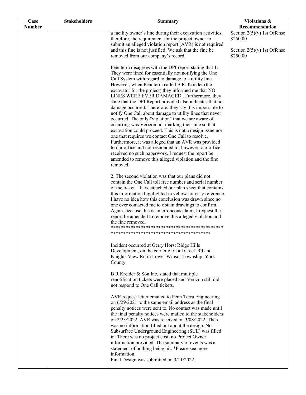| Case<br><b>Number</b> | <b>Stakeholders</b> | <b>Summary</b>                                                                                                                                                                                                                                                                                                                                                                                                                                                                                                                                                                                                                                                                                                                                                                                                                                                                                                                                                                                        | Violations &<br>Recommendation                                                         |
|-----------------------|---------------------|-------------------------------------------------------------------------------------------------------------------------------------------------------------------------------------------------------------------------------------------------------------------------------------------------------------------------------------------------------------------------------------------------------------------------------------------------------------------------------------------------------------------------------------------------------------------------------------------------------------------------------------------------------------------------------------------------------------------------------------------------------------------------------------------------------------------------------------------------------------------------------------------------------------------------------------------------------------------------------------------------------|----------------------------------------------------------------------------------------|
|                       |                     | a facility owner's line during their excavation activities,<br>therefore, the requirement for the project owner to<br>submit an alleged violation report (AVR) is not required<br>and this fine is not justified. We ask that the fine be<br>removed from our company's record.                                                                                                                                                                                                                                                                                                                                                                                                                                                                                                                                                                                                                                                                                                                       | Section $2(5)(v)$ 1st Offense<br>\$250.00<br>Section $2(5)(v)$ 1st Offense<br>\$250.00 |
|                       |                     | Pennterra disagrees with the DPI report stating that 1.<br>They were fined for essentially not notifying the One<br>Call System with regard to damage to a utility line.<br>However, when Pennterra called B.R. Krieder (the<br>excavator for the project) they informed me that NO<br>LINES WERE EVER DAMAGED. Furthermore, they<br>state that the DPI Report provided also indicates that no<br>damage occurred. Therefore, they say it is impossible to<br>notify One Call about damage to utility lines that never<br>occurred. The only "violation" that we are aware of<br>occurring was Verizon not marking their line so that<br>excavation could proceed. This is not a design issue nor<br>one that requires we contact One Call to resolve.<br>Furthermore, it was alleged that an AVR was provided<br>to our office and not responded to; however, our office<br>received no such paperwork. I request the report be<br>amended to remove this alleged violation and the fine<br>removed. |                                                                                        |
|                       |                     | 2. The second violation was that our plans did not<br>contain the One Call toll free number and serial number<br>of the ticket. I have attached our plan sheet that contains<br>this information highlighted in yellow for easy reference.<br>I have no idea how this conclusion was drawn since no<br>one ever contacted me to obtain drawings to confirm.<br>Again, because this is an erroneous claim, I request the<br>report be amended to remove this alleged violation and<br>the fine removed.                                                                                                                                                                                                                                                                                                                                                                                                                                                                                                |                                                                                        |
|                       |                     | Incident occurred at Gerry Horst Ridge Hills<br>Development, on the corner of Cool Creek Rd and<br>Knights View Rd in Lower Winsor Township, York<br>County.                                                                                                                                                                                                                                                                                                                                                                                                                                                                                                                                                                                                                                                                                                                                                                                                                                          |                                                                                        |
|                       |                     | B R Kreider & Son Inc. stated that multiple<br>renotification tickets were placed and Verizon still did<br>not respond to One Call tickets.                                                                                                                                                                                                                                                                                                                                                                                                                                                                                                                                                                                                                                                                                                                                                                                                                                                           |                                                                                        |
|                       |                     | AVR request letter emailed to Penn Terra Engineering<br>on 6/29/2021 to the same email address as the final<br>penalty notices were sent to. No contact was made until<br>the final penalty notices were mailed to the stakeholders<br>on 2/23/2022. AVR was received on 3/08/2022. There<br>was no information filled out about the design. No<br>Subsurface Underground Engineering (SUE) was filled<br>in. There was no project cost, no Project Owner<br>information provided. The summary of events was a<br>statement of nothing being hit. *Please see more<br>information.<br>Final Design was submitted on 3/11/2022.                                                                                                                                                                                                                                                                                                                                                                        |                                                                                        |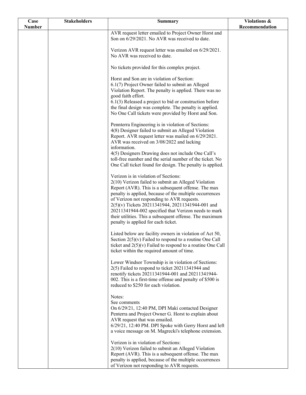| Case          | <b>Stakeholders</b> | <b>Summary</b>                                                                                                      | Violations &   |
|---------------|---------------------|---------------------------------------------------------------------------------------------------------------------|----------------|
| <b>Number</b> |                     |                                                                                                                     | Recommendation |
|               |                     | AVR request letter emailed to Project Owner Horst and                                                               |                |
|               |                     | Son on 6/29/2021. No AVR was received to date.                                                                      |                |
|               |                     | Verizon AVR request letter was emailed on 6/29/2021.                                                                |                |
|               |                     | No AVR was received to date.                                                                                        |                |
|               |                     |                                                                                                                     |                |
|               |                     | No tickets provided for this complex project.                                                                       |                |
|               |                     |                                                                                                                     |                |
|               |                     | Horst and Son are in violation of Section:                                                                          |                |
|               |                     | 6.1(7) Project Owner failed to submit an Alleged                                                                    |                |
|               |                     | Violation Report. The penalty is applied. There was no                                                              |                |
|               |                     | good faith effort.                                                                                                  |                |
|               |                     | $6.1(3)$ Released a project to bid or construction before<br>the final design was complete. The penalty is applied. |                |
|               |                     | No One Call tickets were provided by Horst and Son.                                                                 |                |
|               |                     |                                                                                                                     |                |
|               |                     | Pennterra Engineering is in violation of Sections:                                                                  |                |
|               |                     | 4(8) Designer failed to submit an Alleged Violation                                                                 |                |
|               |                     | Report. AVR request letter was mailed on 6/29/2021.                                                                 |                |
|               |                     | AVR was received on 3/08/2022 and lacking                                                                           |                |
|               |                     | information.                                                                                                        |                |
|               |                     | 4(5) Designers Drawing does not include One Call's<br>toll-free number and the serial number of the ticket. No      |                |
|               |                     | One Call ticket found for design. The penalty is applied.                                                           |                |
|               |                     |                                                                                                                     |                |
|               |                     | Verizon is in violation of Sections:                                                                                |                |
|               |                     | 2(10) Verizon failed to submit an Alleged Violation                                                                 |                |
|               |                     | Report (AVR). This is a subsequent offense. The max                                                                 |                |
|               |                     | penalty is applied, because of the multiple occurrences                                                             |                |
|               |                     | of Verizon not responding to AVR requests.                                                                          |                |
|               |                     | 2(5)(v) Tickets 20211341944, 20211341944-001 and                                                                    |                |
|               |                     | 20211341944-002 specified that Verizon needs to mark<br>their utilities. This a subsequent offense. The maximum     |                |
|               |                     | penalty is applied for each ticket.                                                                                 |                |
|               |                     |                                                                                                                     |                |
|               |                     | Listed below are facility owners in violation of Act 50,                                                            |                |
|               |                     | Section $2(5)(v)$ Failed to respond to a routine One Call                                                           |                |
|               |                     | ticket and $2(5)(v)$ Failed to respond to a routine One Call                                                        |                |
|               |                     | ticket within the required amount of time.                                                                          |                |
|               |                     |                                                                                                                     |                |
|               |                     | Lower Windsor Township is in violation of Sections:<br>2(5) Failed to respond to ticket 20211341944 and             |                |
|               |                     | renotify tickets 20211341944-001 and 20211341944-                                                                   |                |
|               |                     | 002. This is a first-time offense and penalty of \$500 is                                                           |                |
|               |                     | reduced to \$250 for each violation.                                                                                |                |
|               |                     |                                                                                                                     |                |
|               |                     | Notes:                                                                                                              |                |
|               |                     | See comments                                                                                                        |                |
|               |                     | On 6/29/21, 12:40 PM, DPI Maki contacted Designer<br>Penterra and Project Owner G. Horst to explain about           |                |
|               |                     | AVR request that was emailed.                                                                                       |                |
|               |                     | 6/29/21, 12:40 PM. DPI Spoke with Gerry Horst and left                                                              |                |
|               |                     | a voice message on M. Magrecki's telephone extension.                                                               |                |
|               |                     |                                                                                                                     |                |
|               |                     | Verizon is in violation of Sections:                                                                                |                |
|               |                     | 2(10) Verizon failed to submit an Alleged Violation                                                                 |                |
|               |                     | Report (AVR). This is a subsequent offense. The max                                                                 |                |
|               |                     | penalty is applied, because of the multiple occurrences                                                             |                |
|               |                     | of Verizon not responding to AVR requests.                                                                          |                |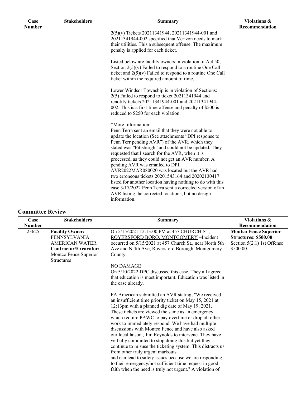| Case          | <b>Stakeholders</b> | Summary                                                                                                                                                                                                                                                                                                                                                                                                                                                                                                                                                                                                                                                                                        | Violations &   |
|---------------|---------------------|------------------------------------------------------------------------------------------------------------------------------------------------------------------------------------------------------------------------------------------------------------------------------------------------------------------------------------------------------------------------------------------------------------------------------------------------------------------------------------------------------------------------------------------------------------------------------------------------------------------------------------------------------------------------------------------------|----------------|
| <b>Number</b> |                     |                                                                                                                                                                                                                                                                                                                                                                                                                                                                                                                                                                                                                                                                                                | Recommendation |
|               |                     | 2(5)(v) Tickets 20211341944, 20211341944-001 and<br>20211341944-002 specified that Verizon needs to mark<br>their utilities. This a subsequent offense. The maximum<br>penalty is applied for each ticket.                                                                                                                                                                                                                                                                                                                                                                                                                                                                                     |                |
|               |                     | Listed below are facility owners in violation of Act 50,<br>Section $2(5)(v)$ Failed to respond to a routine One Call<br>ticket and $2(5)(v)$ Failed to respond to a routine One Call<br>ticket within the required amount of time.                                                                                                                                                                                                                                                                                                                                                                                                                                                            |                |
|               |                     | Lower Windsor Township is in violation of Sections:<br>2(5) Failed to respond to ticket 20211341944 and<br>renotify tickets 20211341944-001 and 20211341944-<br>002. This is a first-time offense and penalty of \$500 is<br>reduced to \$250 for each violation.                                                                                                                                                                                                                                                                                                                                                                                                                              |                |
|               |                     | *More Information:<br>Penn Terra sent an email that they were not able to<br>update the location (See attachments "DPI response to<br>Penn Terr pending AVR") of the AVR, which they<br>stated was "Pittsburgh" and could not be updated. They<br>requested that I search for the AVR, when it is<br>processed, as they could not get an AVR number. A<br>pending AVR was emailed to DPI.<br>AVR2022MAR080020 was located but the AVR had<br>two erroneous tickets 20201543164 and 20202130417<br>listed for another location having nothing to do with this<br>case.3/17/2022 Penn Terra sent a corrected version of an<br>AVR listing the corrected locations, but no design<br>information. |                |

### **Committee Review**

| Case          | <b>Stakeholders</b>                                                                                                             | <b>Summary</b>                                                                                                                                                                                                                                                                                                                                                                                                                                                                                                                                                                                                                                                             | Violations &                                                                                     |
|---------------|---------------------------------------------------------------------------------------------------------------------------------|----------------------------------------------------------------------------------------------------------------------------------------------------------------------------------------------------------------------------------------------------------------------------------------------------------------------------------------------------------------------------------------------------------------------------------------------------------------------------------------------------------------------------------------------------------------------------------------------------------------------------------------------------------------------------|--------------------------------------------------------------------------------------------------|
| <b>Number</b> |                                                                                                                                 |                                                                                                                                                                                                                                                                                                                                                                                                                                                                                                                                                                                                                                                                            | Recommendation                                                                                   |
| 23625         | <b>Facility Owner:</b><br>PENNSYLVANIA<br>AMERICAN WATER<br>Contractor/Excavator:<br>Montco Fence Superior<br><b>Structures</b> | On 5/15/2021 12:13:00 PM at 457 CHURCH ST,<br>ROYERSFORD BORO, MONTGOMERY ~Incident<br>occurred on 5/15/2021 at 457 Church St., near North 5th<br>Ave and N 4th Ave, Royersford Borough, Montgomery<br>County.<br>NO DAMAGE<br>On 5/10/2022 DPC discussed this case. They all agreed<br>that education is most important. Education was listed in<br>the case already.<br>PA American submitted an AVR stating, "We received<br>an insufficient time priority ticket on May 15, 2021 at                                                                                                                                                                                    | <b>Montco Fence Superior</b><br>Structures: \$500.00<br>Section $5(2.1)$ 1st Offense<br>\$500.00 |
|               |                                                                                                                                 | 12:13pm with a planned dig date of May 19, 2021.<br>These tickets are viewed the same as an emergency<br>which require PAWC to pay overtime or drop all other<br>work to immediately respond. We have had multiple<br>discussions with Montco Fence and have also asked<br>our local laison, Jim Reynolds to intervene. They have<br>verbally committed to stop doing this but yet they<br>continue to misuse the ticketing system. This distracts us<br>from other truly urgent markouts<br>and can lead to safety issues because we are responding<br>to their emergency/not sufficient time request in good<br>faith when the need is truly not urgent." A violation of |                                                                                                  |